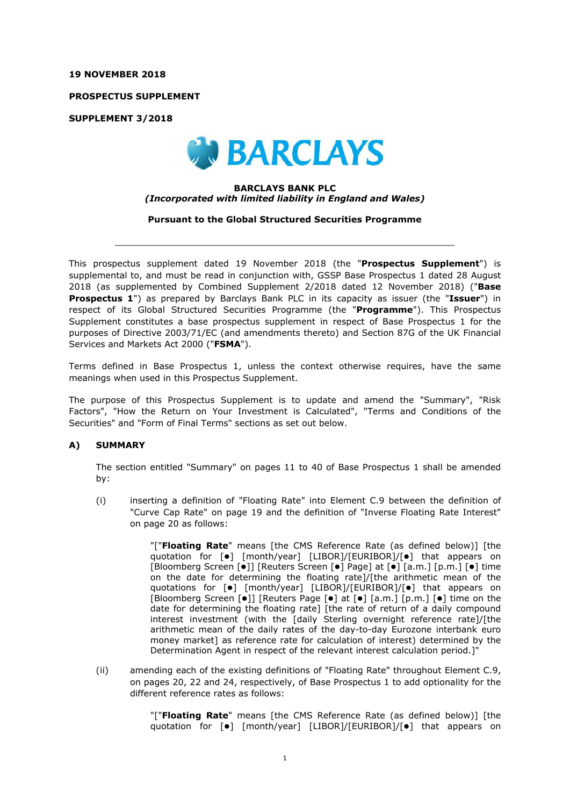#### **19 NOVEMBER 2018**

**PROSPECTUS SUPPLEMENT**

**SUPPLEMENT 3/2018**



#### **BARCLAYS BANK PLC** *(Incorporated with limited liability in England and Wales)*

**Pursuant to the Global Structured Securities Programme**

 $\_$  ,  $\_$  ,  $\_$  ,  $\_$  ,  $\_$  ,  $\_$  ,  $\_$  ,  $\_$  ,  $\_$  ,  $\_$  ,  $\_$  ,  $\_$  ,  $\_$  ,  $\_$  ,  $\_$  ,  $\_$  ,  $\_$  ,  $\_$  ,  $\_$  ,  $\_$  ,  $\_$  ,  $\_$  ,  $\_$  ,  $\_$  ,  $\_$  ,  $\_$  ,  $\_$  ,  $\_$  ,  $\_$  ,  $\_$  ,  $\_$  ,  $\_$  ,  $\_$  ,  $\_$  ,  $\_$  ,  $\_$  ,  $\_$  ,

This prospectus supplement dated 19 November 2018 (the "**Prospectus Supplement**") is supplemental to, and must be read in conjunction with, GSSP Base Prospectus 1 dated 28 August 2018 (as supplemented by Combined Supplement 2/2018 dated 12 November 2018) ("**Base Prospectus 1**") as prepared by Barclays Bank PLC in its capacity as issuer (the "**Issuer**") in respect of its Global Structured Securities Programme (the "**Programme**"). This Prospectus Supplement constitutes a base prospectus supplement in respect of Base Prospectus 1 for the purposes of Directive 2003/71/EC (and amendments thereto) and Section 87G of the UK Financial Services and Markets Act 2000 ("**FSMA**").

Terms defined in Base Prospectus 1, unless the context otherwise requires, have the same meanings when used in this Prospectus Supplement.

The purpose of this Prospectus Supplement is to update and amend the "Summary", "Risk Factors", "How the Return on Your Investment is Calculated", "Terms and Conditions of the Securities" and "Form of Final Terms" sections as set out below.

### **A) SUMMARY**

The section entitled "Summary" on pages 11 to 40 of Base Prospectus 1 shall be amended by:

(i) inserting a definition of "Floating Rate" into Element C.9 between the definition of "Curve Cap Rate" on page 19 and the definition of "Inverse Floating Rate Interest" on page 20 as follows:

> "["**Floating Rate**" means [the CMS Reference Rate (as defined below)] [the quotation for  $\lceil \bullet \rceil$  [month/year] [LIBOR]/[EURIBOR]/ $\lceil \bullet \rceil$  that appears on [Bloomberg Screen  $\lceil \bullet \rceil$ ] [Reuters Screen  $\lceil \bullet \rceil$  Page] at  $\lceil \bullet \rceil$  [a.m.]  $\lceil p.m. \rceil$   $\lceil \bullet \rceil$  time on the date for determining the floating rate]/[the arithmetic mean of the quotations for  $[\bullet]$   $[month/year]$   $[LIBOR]/[EURIBOR]/[\bullet]$  that appears on [Bloomberg Screen  $\lceil \bullet \rceil$ ] [Reuters Page  $\lceil \bullet \rceil$  at  $\lceil \bullet \rceil$  [a.m.]  $\lceil p.m. \rceil$   $\lceil \bullet \rceil$  time on the date for determining the floating rate] [the rate of return of a daily compound interest investment (with the [daily Sterling overnight reference rate]/[the arithmetic mean of the daily rates of the day-to-day Eurozone interbank euro money market] as reference rate for calculation of interest) determined by the Determination Agent in respect of the relevant interest calculation period.]"

(ii) amending each of the existing definitions of "Floating Rate" throughout Element C.9, on pages 20, 22 and 24, respectively, of Base Prospectus 1 to add optionality for the different reference rates as follows:

> "["**Floating Rate**" means [the CMS Reference Rate (as defined below)] [the quotation for  $\lceil \bullet \rceil$  [month/year] [LIBOR]/[EURIBOR]/ $\lceil \bullet \rceil$  that appears on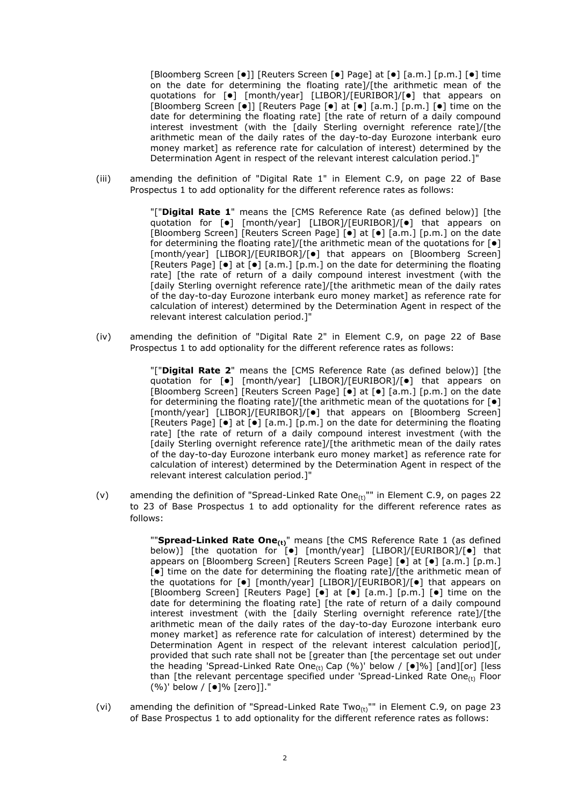[Bloomberg Screen [ $\bullet$ ]] [Reuters Screen [ $\bullet$ ] Page] at [ $\bullet$ ] [a.m.] [p.m.] [ $\bullet$ ] time on the date for determining the floating rate]/[the arithmetic mean of the quotations for  $[\bullet]$  [month/year] [LIBOR]/[EURIBOR]/ $[\bullet]$  that appears on [Bloomberg Screen  $\lceil \bullet \rceil$ ] [Reuters Page  $\lceil \bullet \rceil$  at  $\lceil \bullet \rceil$  [a.m.]  $\lceil \circ \rceil$  and  $\lceil \bullet \rceil$  time on the date for determining the floating rate] [the rate of return of a daily compound interest investment (with the [daily Sterling overnight reference rate]/[the arithmetic mean of the daily rates of the day-to-day Eurozone interbank euro money market] as reference rate for calculation of interest) determined by the Determination Agent in respect of the relevant interest calculation period.]"

(iii) amending the definition of "Digital Rate 1" in Element C.9, on page 22 of Base Prospectus 1 to add optionality for the different reference rates as follows:

> "["**Digital Rate 1**" means the [CMS Reference Rate (as defined below)] [the quotation for  $\lceil \bullet \rceil$  [month/year] [LIBOR]/[EURIBOR]/ $\lceil \bullet \rceil$  that appears on [Bloomberg Screen] [Reuters Screen Page] [ $\bullet$ ] at [ $\bullet$ ] [a.m.] [p.m.] on the date for determining the floating rate]/[the arithmetic mean of the quotations for  $[\bullet]$ [month/year] [LIBOR]/[EURIBOR]/[ $\bullet$ ] that appears on [Bloomberg Screen] [Reuters Page] [ $\bullet$ ] at [ $\bullet$ ] [a.m.] [p.m.] on the date for determining the floating rate] [the rate of return of a daily compound interest investment (with the [daily Sterling overnight reference rate]/[the arithmetic mean of the daily rates of the day-to-day Eurozone interbank euro money market] as reference rate for calculation of interest) determined by the Determination Agent in respect of the relevant interest calculation period.]"

(iv) amending the definition of "Digital Rate 2" in Element C.9, on page 22 of Base Prospectus 1 to add optionality for the different reference rates as follows:

> "["**Digital Rate 2**" means the [CMS Reference Rate (as defined below)] [the quotation for  $\lceil \bullet \rceil$  [month/year] [LIBOR]/[EURIBOR]/ $\lceil \bullet \rceil$  that appears on [Bloomberg Screen] [Reuters Screen Page] [•] at [•] [a.m.] [p.m.] on the date for determining the floating rate]/[the arithmetic mean of the quotations for  $\lceil \bullet \rceil$ [month/year] [LIBOR]/[EURIBOR]/[ $\bullet$ ] that appears on [Bloomberg Screen] [Reuters Page]  $[•]$  at  $[•]$  [a.m.]  $[p.m.]$  on the date for determining the floating rate] [the rate of return of a daily compound interest investment (with the [daily Sterling overnight reference rate]/[the arithmetic mean of the daily rates of the day-to-day Eurozone interbank euro money market] as reference rate for calculation of interest) determined by the Determination Agent in respect of the relevant interest calculation period.]"

(v) amending the definition of "Spread-Linked Rate One $_{(t)}$ "" in Element C.9, on pages 22 to 23 of Base Prospectus 1 to add optionality for the different reference rates as follows:

> ""**Spread-Linked Rate One(t)**" means [the CMS Reference Rate 1 (as defined below)] [the quotation for  $\left[ \bullet \right]$  [month/year] [LIBOR]/[EURIBOR]/ $\left[ \bullet \right]$  that appears on [Bloomberg Screen] [Reuters Screen Page]  $\begin{bmatrix} \bullet \\ \bullet \end{bmatrix}$  at  $\begin{bmatrix} \bullet \\ \bullet \end{bmatrix}$  [a.m.]  $\begin{bmatrix} p,m \end{bmatrix}$  $[0]$  time on the date for determining the floating rate]/[the arithmetic mean of the quotations for  $\lceil \bullet \rceil$  [month/year] [LIBOR]/[EURIBOR]/ $\lceil \bullet \rceil$  that appears on [Bloomberg Screen] [Reuters Page]  $\begin{bmatrix} \bullet \\ \end{bmatrix}$  at  $\begin{bmatrix} \bullet \\ \end{bmatrix}$  [a.m.]  $\begin{bmatrix} p.m. \\ \end{bmatrix}$  [ $\bullet$ ] time on the date for determining the floating rate] [the rate of return of a daily compound interest investment (with the [daily Sterling overnight reference rate]/[the arithmetic mean of the daily rates of the day-to-day Eurozone interbank euro money market] as reference rate for calculation of interest) determined by the Determination Agent in respect of the relevant interest calculation period][, provided that such rate shall not be [greater than [the percentage set out under the heading 'Spread-Linked Rate One<sub>(t)</sub> Cap (%)' below /  $\lceil \cdot \cdot \rceil$  [and][or] [less than [the relevant percentage specified under 'Spread-Linked Rate One $_{(1)}$  Floor  $(%)'$  below /  $[•]%$  [zero]]."

(vi) amending the definition of "Spread-Linked Rate Two<sub>(t)</sub>"" in Element C.9, on page 23 of Base Prospectus 1 to add optionality for the different reference rates as follows: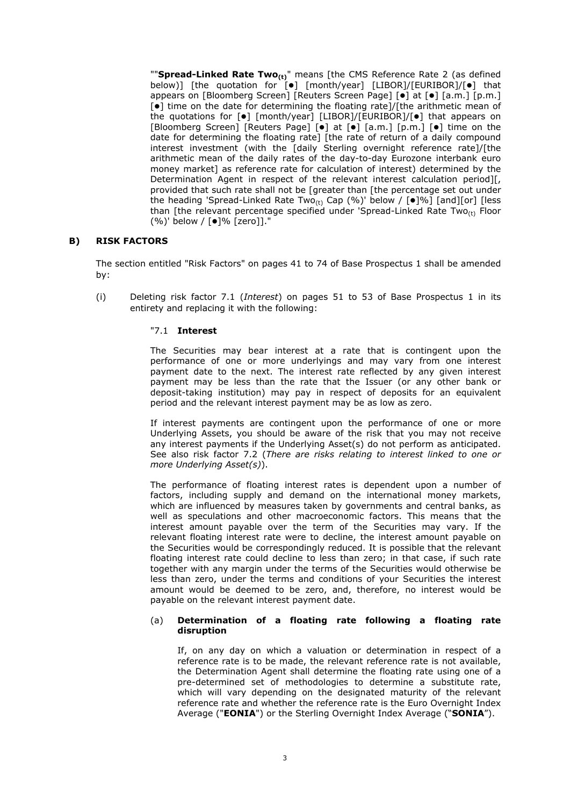""**Spread-Linked Rate Two(t)**" means [the CMS Reference Rate 2 (as defined below)] [the quotation for [ $\bullet$ ] [month/year] [LIBOR]/[EURIBOR]/[ $\bullet$ ] that appears on [Bloomberg Screen] [Reuters Screen Page] [ $\bullet$ ] at [ $\bullet$ ] [a.m.] [p.m.]  $\left[ \bullet \right]$  time on the date for determining the floating rate]/[the arithmetic mean of the quotations for  $\lceil \bullet \rceil$  [month/year] [LIBOR]/[EURIBOR]/ $\lceil \bullet \rceil$  that appears on [Bloomberg Screen] [Reuters Page] [ $\bullet$ ] at [ $\bullet$ ] [a.m.] [ $p.m.]$  [ $\bullet$ ] time on the date for determining the floating rate] [the rate of return of a daily compound interest investment (with the [daily Sterling overnight reference rate]/[the arithmetic mean of the daily rates of the day-to-day Eurozone interbank euro money market] as reference rate for calculation of interest) determined by the Determination Agent in respect of the relevant interest calculation period][, provided that such rate shall not be [greater than [the percentage set out under the heading 'Spread-Linked Rate Two<sub>(t)</sub> Cap (%)' below /  $[\bullet]$ %] [and][or] [less than [the relevant percentage specified under 'Spread-Linked Rate Two $_{(t)}$  Floor (%)' below / [●]% [zero]]."

### **B) RISK FACTORS**

The section entitled "Risk Factors" on pages 41 to 74 of Base Prospectus 1 shall be amended by:

(i) Deleting risk factor 7.1 (*Interest*) on pages 51 to 53 of Base Prospectus 1 in its entirety and replacing it with the following:

#### "7.1 **Interest**

The Securities may bear interest at a rate that is contingent upon the performance of one or more underlyings and may vary from one interest payment date to the next. The interest rate reflected by any given interest payment may be less than the rate that the Issuer (or any other bank or deposit-taking institution) may pay in respect of deposits for an equivalent period and the relevant interest payment may be as low as zero.

If interest payments are contingent upon the performance of one or more Underlying Assets, you should be aware of the risk that you may not receive any interest payments if the Underlying Asset(s) do not perform as anticipated. See also risk factor 7.2 (*There are risks relating to interest linked to one or more Underlying Asset(s)*).

The performance of floating interest rates is dependent upon a number of factors, including supply and demand on the international money markets, which are influenced by measures taken by governments and central banks, as well as speculations and other macroeconomic factors. This means that the interest amount payable over the term of the Securities may vary. If the relevant floating interest rate were to decline, the interest amount payable on the Securities would be correspondingly reduced. It is possible that the relevant floating interest rate could decline to less than zero; in that case, if such rate together with any margin under the terms of the Securities would otherwise be less than zero, under the terms and conditions of your Securities the interest amount would be deemed to be zero, and, therefore, no interest would be payable on the relevant interest payment date.

#### (a) **Determination of a floating rate following a floating rate disruption**

If, on any day on which a valuation or determination in respect of a reference rate is to be made, the relevant reference rate is not available, the Determination Agent shall determine the floating rate using one of a pre-determined set of methodologies to determine a substitute rate, which will vary depending on the designated maturity of the relevant reference rate and whether the reference rate is the Euro Overnight Index Average ("**EONIA**") or the Sterling Overnight Index Average ("**SONIA**").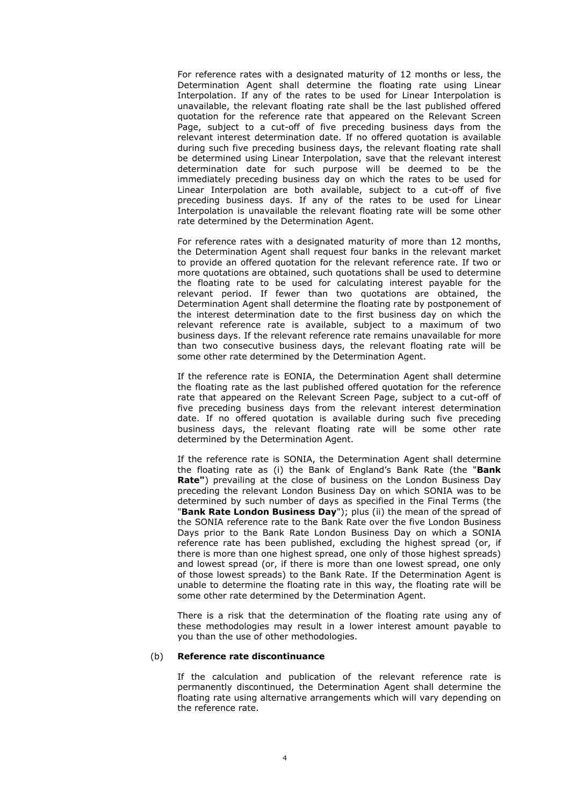For reference rates with a designated maturity of 12 months or less, the Determination Agent shall determine the floating rate using Linear Interpolation. If any of the rates to be used for Linear Interpolation is unavailable, the relevant floating rate shall be the last published offered quotation for the reference rate that appeared on the Relevant Screen Page, subject to a cut-off of five preceding business days from the relevant interest determination date. If no offered quotation is available during such five preceding business days, the relevant floating rate shall be determined using Linear Interpolation, save that the relevant interest determination date for such purpose will be deemed to be the immediately preceding business day on which the rates to be used for Linear Interpolation are both available, subject to a cut-off of five preceding business days. If any of the rates to be used for Linear Interpolation is unavailable the relevant floating rate will be some other rate determined by the Determination Agent.

For reference rates with a designated maturity of more than 12 months, the Determination Agent shall request four banks in the relevant market to provide an offered quotation for the relevant reference rate. If two or more quotations are obtained, such quotations shall be used to determine the floating rate to be used for calculating interest payable for the relevant period. If fewer than two quotations are obtained, the Determination Agent shall determine the floating rate by postponement of the interest determination date to the first business day on which the relevant reference rate is available, subject to a maximum of two business days. If the relevant reference rate remains unavailable for more than two consecutive business days, the relevant floating rate will be some other rate determined by the Determination Agent.

If the reference rate is EONIA, the Determination Agent shall determine the floating rate as the last published offered quotation for the reference rate that appeared on the Relevant Screen Page, subject to a cut-off of five preceding business days from the relevant interest determination date. If no offered quotation is available during such five preceding business days, the relevant floating rate will be some other rate determined by the Determination Agent.

If the reference rate is SONIA, the Determination Agent shall determine the floating rate as (i) the Bank of England's Bank Rate (the "**Bank Rate"**) prevailing at the close of business on the London Business Day preceding the relevant London Business Day on which SONIA was to be determined by such number of days as specified in the Final Terms (the "**Bank Rate London Business Day**"); plus (ii) the mean of the spread of the SONIA reference rate to the Bank Rate over the five London Business Days prior to the Bank Rate London Business Day on which a SONIA reference rate has been published, excluding the highest spread (or, if there is more than one highest spread, one only of those highest spreads) and lowest spread (or, if there is more than one lowest spread, one only of those lowest spreads) to the Bank Rate. If the Determination Agent is unable to determine the floating rate in this way, the floating rate will be some other rate determined by the Determination Agent.

There is a risk that the determination of the floating rate using any of these methodologies may result in a lower interest amount payable to you than the use of other methodologies.

#### (b) **Reference rate discontinuance**

If the calculation and publication of the relevant reference rate is permanently discontinued, the Determination Agent shall determine the floating rate using alternative arrangements which will vary depending on the reference rate.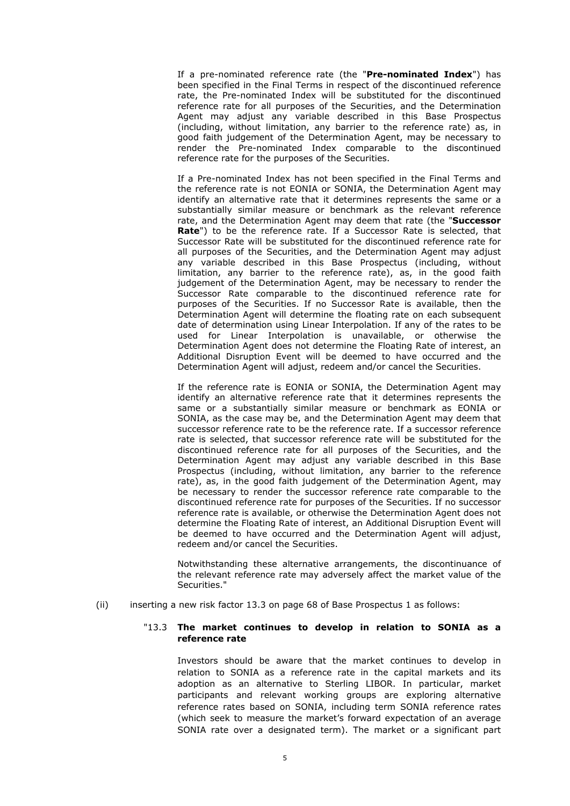If a pre-nominated reference rate (the "**Pre-nominated Index**") has been specified in the Final Terms in respect of the discontinued reference rate, the Pre-nominated Index will be substituted for the discontinued reference rate for all purposes of the Securities, and the Determination Agent may adjust any variable described in this Base Prospectus (including, without limitation, any barrier to the reference rate) as, in good faith judgement of the Determination Agent, may be necessary to render the Pre-nominated Index comparable to the discontinued reference rate for the purposes of the Securities.

If a Pre-nominated Index has not been specified in the Final Terms and the reference rate is not EONIA or SONIA, the Determination Agent may identify an alternative rate that it determines represents the same or a substantially similar measure or benchmark as the relevant reference rate, and the Determination Agent may deem that rate (the "**Successor Rate**") to be the reference rate. If a Successor Rate is selected, that Successor Rate will be substituted for the discontinued reference rate for all purposes of the Securities, and the Determination Agent may adjust any variable described in this Base Prospectus (including, without limitation, any barrier to the reference rate), as, in the good faith judgement of the Determination Agent, may be necessary to render the Successor Rate comparable to the discontinued reference rate for purposes of the Securities. If no Successor Rate is available, then the Determination Agent will determine the floating rate on each subsequent date of determination using Linear Interpolation. If any of the rates to be used for Linear Interpolation is unavailable, or otherwise the Determination Agent does not determine the Floating Rate of interest, an Additional Disruption Event will be deemed to have occurred and the Determination Agent will adjust, redeem and/or cancel the Securities.

If the reference rate is EONIA or SONIA, the Determination Agent may identify an alternative reference rate that it determines represents the same or a substantially similar measure or benchmark as EONIA or SONIA, as the case may be, and the Determination Agent may deem that successor reference rate to be the reference rate. If a successor reference rate is selected, that successor reference rate will be substituted for the discontinued reference rate for all purposes of the Securities, and the Determination Agent may adjust any variable described in this Base Prospectus (including, without limitation, any barrier to the reference rate), as, in the good faith judgement of the Determination Agent, may be necessary to render the successor reference rate comparable to the discontinued reference rate for purposes of the Securities. If no successor reference rate is available, or otherwise the Determination Agent does not determine the Floating Rate of interest, an Additional Disruption Event will be deemed to have occurred and the Determination Agent will adjust, redeem and/or cancel the Securities.

Notwithstanding these alternative arrangements, the discontinuance of the relevant reference rate may adversely affect the market value of the Securities."

(ii) inserting a new risk factor 13.3 on page 68 of Base Prospectus 1 as follows:

### "13.3 **The market continues to develop in relation to SONIA as a reference rate**

Investors should be aware that the market continues to develop in relation to SONIA as a reference rate in the capital markets and its adoption as an alternative to Sterling LIBOR. In particular, market participants and relevant working groups are exploring alternative reference rates based on SONIA, including term SONIA reference rates (which seek to measure the market's forward expectation of an average SONIA rate over a designated term). The market or a significant part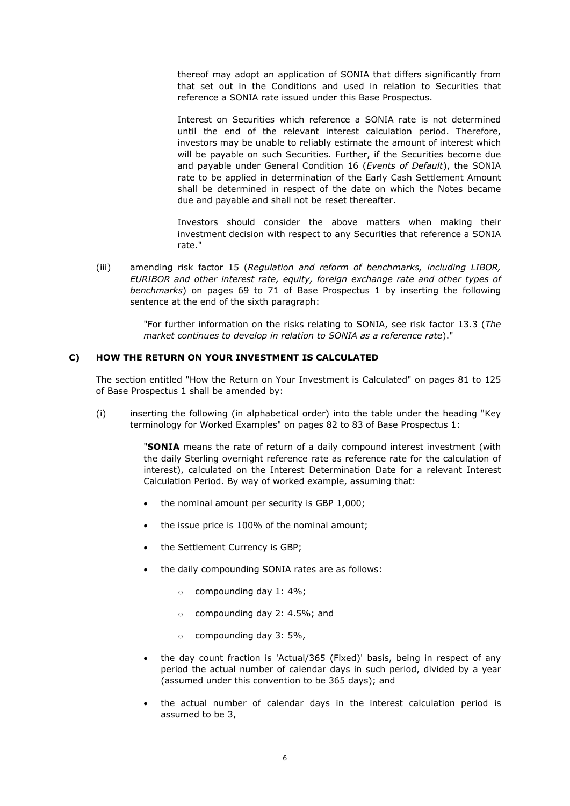thereof may adopt an application of SONIA that differs significantly from that set out in the Conditions and used in relation to Securities that reference a SONIA rate issued under this Base Prospectus.

Interest on Securities which reference a SONIA rate is not determined until the end of the relevant interest calculation period. Therefore, investors may be unable to reliably estimate the amount of interest which will be payable on such Securities. Further, if the Securities become due and payable under General Condition 16 (*Events of Default*), the SONIA rate to be applied in determination of the Early Cash Settlement Amount shall be determined in respect of the date on which the Notes became due and payable and shall not be reset thereafter.

Investors should consider the above matters when making their investment decision with respect to any Securities that reference a SONIA rate."

(iii) amending risk factor 15 (*Regulation and reform of benchmarks, including LIBOR, EURIBOR and other interest rate, equity, foreign exchange rate and other types of benchmarks*) on pages 69 to 71 of Base Prospectus 1 by inserting the following sentence at the end of the sixth paragraph:

> "For further information on the risks relating to SONIA, see risk factor 13.3 (*The market continues to develop in relation to SONIA as a reference rate*)."

### **C) HOW THE RETURN ON YOUR INVESTMENT IS CALCULATED**

The section entitled "How the Return on Your Investment is Calculated" on pages 81 to 125 of Base Prospectus 1 shall be amended by:

(i) inserting the following (in alphabetical order) into the table under the heading "Key terminology for Worked Examples" on pages 82 to 83 of Base Prospectus 1:

> "**SONIA** means the rate of return of a daily compound interest investment (with the daily Sterling overnight reference rate as reference rate for the calculation of interest), calculated on the Interest Determination Date for a relevant Interest Calculation Period. By way of worked example, assuming that:

- the nominal amount per security is GBP 1,000;
- the issue price is 100% of the nominal amount;
- the Settlement Currency is GBP;
- the daily compounding SONIA rates are as follows:
	- o compounding day 1: 4%;
	- o compounding day 2: 4.5%; and
	- $\circ$  compounding day 3: 5%,
- the day count fraction is 'Actual/365 (Fixed)' basis, being in respect of any period the actual number of calendar days in such period, divided by a year (assumed under this convention to be 365 days); and
- the actual number of calendar days in the interest calculation period is assumed to be 3,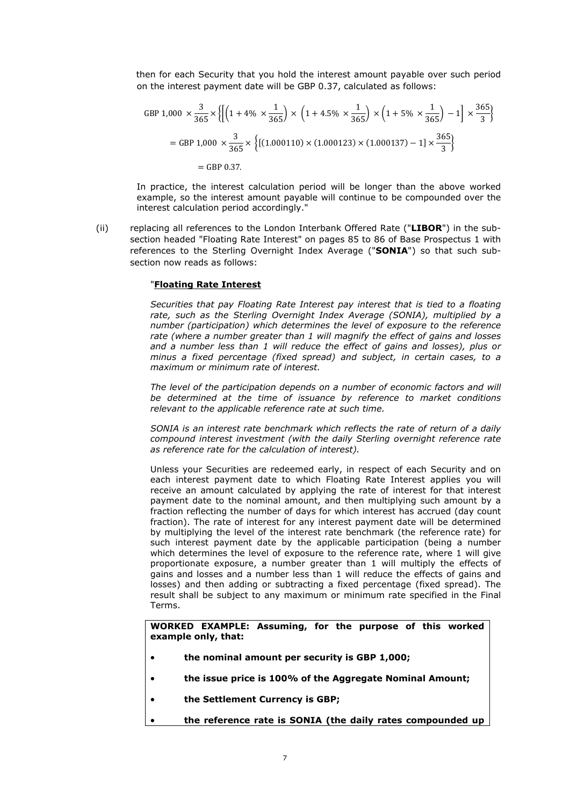then for each Security that you hold the interest amount payable over such period on the interest payment date will be GBP 0.37, calculated as follows:

$$
GBP\ 1,000 \times \frac{3}{365} \times \left\{ \left[ \left( 1 + 4\% \times \frac{1}{365} \right) \times \left( 1 + 4.5\% \times \frac{1}{365} \right) \times \left( 1 + 5\% \times \frac{1}{365} \right) - 1 \right] \times \frac{365}{3} \right\}
$$
\n
$$
= GBP\ 1,000 \times \frac{3}{365} \times \left\{ \left[ (1.000110) \times (1.000123) \times (1.000137) - 1 \right] \times \frac{365}{3} \right\}
$$
\n
$$
= GBP\ 0.37.
$$

In practice, the interest calculation period will be longer than the above worked example, so the interest amount payable will continue to be compounded over the interest calculation period accordingly."

(ii) replacing all references to the London Interbank Offered Rate ("**LIBOR**") in the subsection headed "Floating Rate Interest" on pages 85 to 86 of Base Prospectus 1 with references to the Sterling Overnight Index Average ("**SONIA**") so that such subsection now reads as follows:

#### "**Floating Rate Interest**

*Securities that pay Floating Rate Interest pay interest that is tied to a floating rate, such as the Sterling Overnight Index Average (SONIA), multiplied by a number (participation) which determines the level of exposure to the reference rate (where a number greater than 1 will magnify the effect of gains and losses and a number less than 1 will reduce the effect of gains and losses), plus or minus a fixed percentage (fixed spread) and subject, in certain cases, to a maximum or minimum rate of interest.*

The level of the participation depends on a number of economic factors and will *be determined at the time of issuance by reference to market conditions relevant to the applicable reference rate at such time.*

*SONIA is an interest rate benchmark which reflects the rate of return of a daily compound interest investment (with the daily Sterling overnight reference rate as reference rate for the calculation of interest).*

Unless your Securities are redeemed early, in respect of each Security and on each interest payment date to which Floating Rate Interest applies you will receive an amount calculated by applying the rate of interest for that interest payment date to the nominal amount, and then multiplying such amount by a fraction reflecting the number of days for which interest has accrued (day count fraction). The rate of interest for any interest payment date will be determined by multiplying the level of the interest rate benchmark (the reference rate) for such interest payment date by the applicable participation (being a number which determines the level of exposure to the reference rate, where 1 will give proportionate exposure, a number greater than 1 will multiply the effects of gains and losses and a number less than 1 will reduce the effects of gains and losses) and then adding or subtracting a fixed percentage (fixed spread). The result shall be subject to any maximum or minimum rate specified in the Final Terms.

**WORKED EXAMPLE: Assuming, for the purpose of this worked example only, that:**

- **the nominal amount per security is GBP 1,000;**
- **the issue price is 100% of the Aggregate Nominal Amount;**
- **the Settlement Currency is GBP;**
- **the reference rate is SONIA (the daily rates compounded up**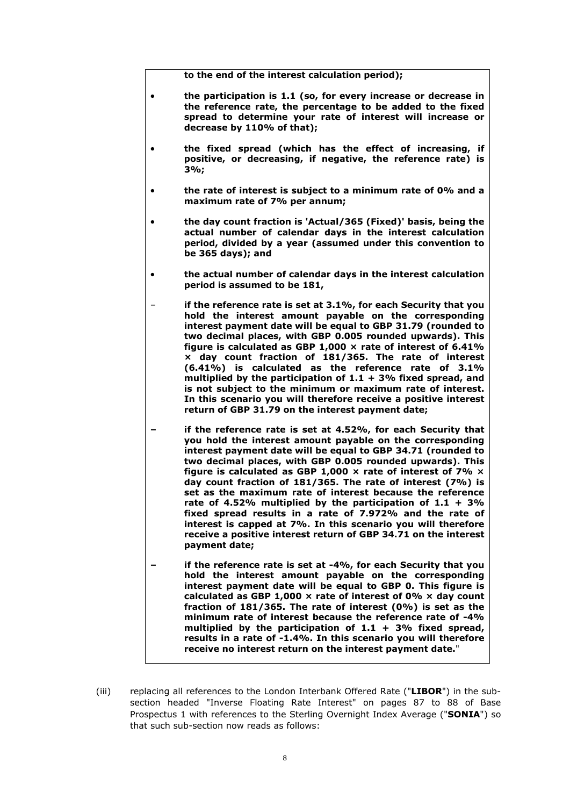**to the end of the interest calculation period);**

- **the participation is 1.1 (so, for every increase or decrease in the reference rate, the percentage to be added to the fixed spread to determine your rate of interest will increase or decrease by 110% of that);**
- **the fixed spread (which has the effect of increasing, if positive, or decreasing, if negative, the reference rate) is 3%;**
- **the rate of interest is subject to a minimum rate of 0% and a maximum rate of 7% per annum;**
- **the day count fraction is 'Actual/365 (Fixed)' basis, being the actual number of calendar days in the interest calculation period, divided by a year (assumed under this convention to be 365 days); and**
- **the actual number of calendar days in the interest calculation period is assumed to be 181,**
	- **if the reference rate is set at 3.1%, for each Security that you hold the interest amount payable on the corresponding interest payment date will be equal to GBP 31.79 (rounded to two decimal places, with GBP 0.005 rounded upwards). This figure is calculated as GBP 1,000 × rate of interest of 6.41% × day count fraction of 181/365. The rate of interest (6.41%) is calculated as the reference rate of 3.1% multiplied by the participation of 1.1 + 3% fixed spread, and is not subject to the minimum or maximum rate of interest. In this scenario you will therefore receive a positive interest return of GBP 31.79 on the interest payment date;**
	- **– if the reference rate is set at 4.52%, for each Security that you hold the interest amount payable on the corresponding interest payment date will be equal to GBP 34.71 (rounded to two decimal places, with GBP 0.005 rounded upwards). This figure is calculated as GBP 1,000 × rate of interest of 7% × day count fraction of 181/365. The rate of interest (7%) is set as the maximum rate of interest because the reference rate of 4.52% multiplied by the participation of 1.1 + 3% fixed spread results in a rate of 7.972% and the rate of interest is capped at 7%. In this scenario you will therefore receive a positive interest return of GBP 34.71 on the interest payment date;**
	- **– if the reference rate is set at -4%, for each Security that you hold the interest amount payable on the corresponding interest payment date will be equal to GBP 0. This figure is calculated as GBP 1,000 × rate of interest of 0% × day count fraction of 181/365. The rate of interest (0%) is set as the minimum rate of interest because the reference rate of -4% multiplied by the participation of 1.1 + 3% fixed spread, results in a rate of -1.4%. In this scenario you will therefore receive no interest return on the interest payment date.**"
- (iii) replacing all references to the London Interbank Offered Rate ("**LIBOR**") in the subsection headed "Inverse Floating Rate Interest" on pages 87 to 88 of Base Prospectus 1 with references to the Sterling Overnight Index Average ("**SONIA**") so that such sub-section now reads as follows: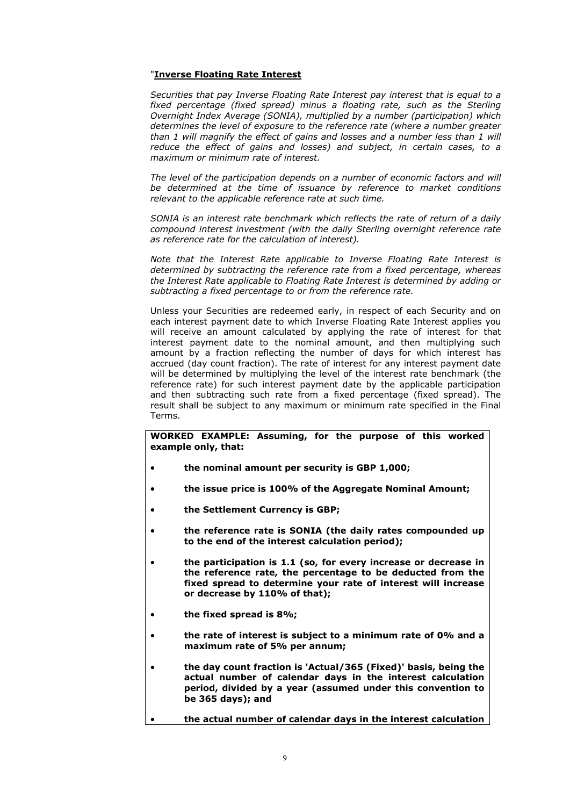### "**Inverse Floating Rate Interest**

*Securities that pay Inverse Floating Rate Interest pay interest that is equal to a*  fixed percentage (fixed spread) minus a floating rate, such as the Sterling *Overnight Index Average (SONIA), multiplied by a number (participation) which determines the level of exposure to the reference rate (where a number greater than 1 will magnify the effect of gains and losses and a number less than 1 will reduce the effect of gains and losses) and subject, in certain cases, to a maximum or minimum rate of interest.*

The level of the participation depends on a number of economic factors and will *be determined at the time of issuance by reference to market conditions relevant to the applicable reference rate at such time.*

*SONIA is an interest rate benchmark which reflects the rate of return of a daily compound interest investment (with the daily Sterling overnight reference rate as reference rate for the calculation of interest).*

*Note that the Interest Rate applicable to Inverse Floating Rate Interest is determined by subtracting the reference rate from a fixed percentage, whereas the Interest Rate applicable to Floating Rate Interest is determined by adding or subtracting a fixed percentage to or from the reference rate.*

Unless your Securities are redeemed early, in respect of each Security and on each interest payment date to which Inverse Floating Rate Interest applies you will receive an amount calculated by applying the rate of interest for that interest payment date to the nominal amount, and then multiplying such amount by a fraction reflecting the number of days for which interest has accrued (day count fraction). The rate of interest for any interest payment date will be determined by multiplying the level of the interest rate benchmark (the reference rate) for such interest payment date by the applicable participation and then subtracting such rate from a fixed percentage (fixed spread). The result shall be subject to any maximum or minimum rate specified in the Final Terms.

**WORKED EXAMPLE: Assuming, for the purpose of this worked example only, that:**

- **the nominal amount per security is GBP 1,000;**
- **the issue price is 100% of the Aggregate Nominal Amount;**
- **the Settlement Currency is GBP;**
- **the reference rate is SONIA (the daily rates compounded up to the end of the interest calculation period);**
- **the participation is 1.1 (so, for every increase or decrease in the reference rate, the percentage to be deducted from the fixed spread to determine your rate of interest will increase or decrease by 110% of that);**
- **the fixed spread is 8%;**
- **the rate of interest is subject to a minimum rate of 0% and a maximum rate of 5% per annum;**
- **the day count fraction is 'Actual/365 (Fixed)' basis, being the actual number of calendar days in the interest calculation period, divided by a year (assumed under this convention to be 365 days); and**

```
 the actual number of calendar days in the interest calculation
```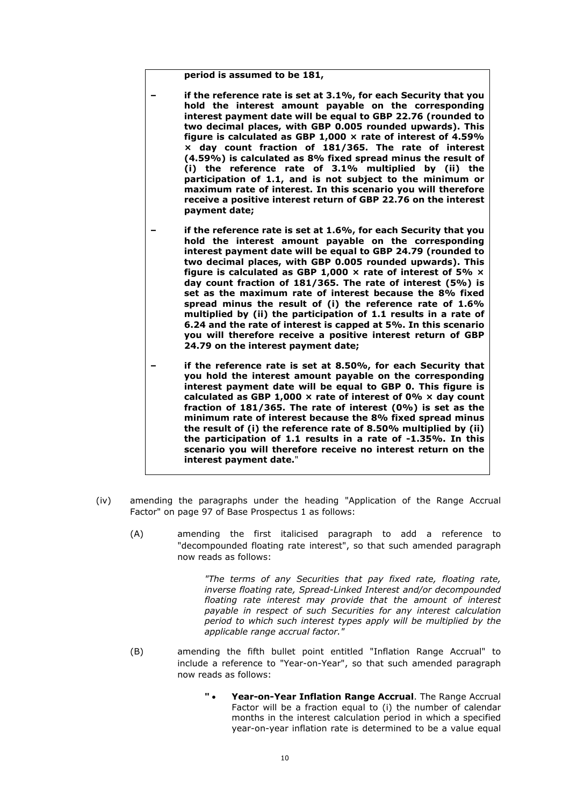**period is assumed to be 181,**

- **– if the reference rate is set at 3.1%, for each Security that you hold the interest amount payable on the corresponding interest payment date will be equal to GBP 22.76 (rounded to two decimal places, with GBP 0.005 rounded upwards). This figure is calculated as GBP 1,000 × rate of interest of 4.59% × day count fraction of 181/365. The rate of interest (4.59%) is calculated as 8% fixed spread minus the result of (i) the reference rate of 3.1% multiplied by (ii) the participation of 1.1, and is not subject to the minimum or maximum rate of interest. In this scenario you will therefore receive a positive interest return of GBP 22.76 on the interest payment date;**
- **– if the reference rate is set at 1.6%, for each Security that you hold the interest amount payable on the corresponding interest payment date will be equal to GBP 24.79 (rounded to two decimal places, with GBP 0.005 rounded upwards). This figure is calculated as GBP 1,000 × rate of interest of 5% × day count fraction of 181/365. The rate of interest (5%) is set as the maximum rate of interest because the 8% fixed spread minus the result of (i) the reference rate of 1.6% multiplied by (ii) the participation of 1.1 results in a rate of 6.24 and the rate of interest is capped at 5%. In this scenario you will therefore receive a positive interest return of GBP 24.79 on the interest payment date;**
- **– if the reference rate is set at 8.50%, for each Security that you hold the interest amount payable on the corresponding interest payment date will be equal to GBP 0. This figure is calculated as GBP 1,000 × rate of interest of 0% × day count fraction of 181/365. The rate of interest (0%) is set as the minimum rate of interest because the 8% fixed spread minus the result of (i) the reference rate of 8.50% multiplied by (ii) the participation of 1.1 results in a rate of -1.35%. In this scenario you will therefore receive no interest return on the interest payment date.**"
- (iv) amending the paragraphs under the heading "Application of the Range Accrual Factor" on page 97 of Base Prospectus 1 as follows:
	- (A) amending the first italicised paragraph to add a reference to "decompounded floating rate interest", so that such amended paragraph now reads as follows:

*"The terms of any Securities that pay fixed rate, floating rate, inverse floating rate, Spread-Linked Interest and/or decompounded floating rate interest may provide that the amount of interest payable in respect of such Securities for any interest calculation period to which such interest types apply will be multiplied by the applicable range accrual factor."*

- (B) amending the fifth bullet point entitled "Inflation Range Accrual" to include a reference to "Year-on-Year", so that such amended paragraph now reads as follows:
	- **" Year-on-Year Inflation Range Accrual**. The Range Accrual Factor will be a fraction equal to (i) the number of calendar months in the interest calculation period in which a specified year-on-year inflation rate is determined to be a value equal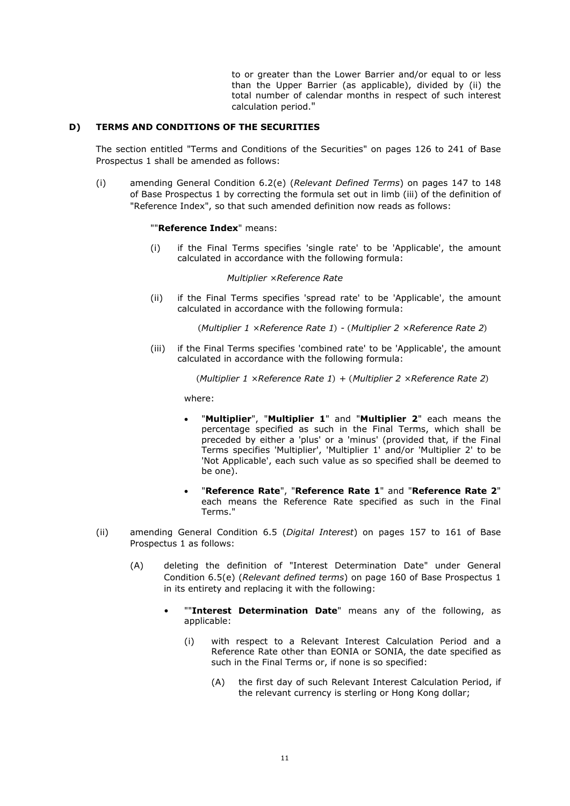to or greater than the Lower Barrier and/or equal to or less than the Upper Barrier (as applicable), divided by (ii) the total number of calendar months in respect of such interest calculation period."

### **D) TERMS AND CONDITIONS OF THE SECURITIES**

The section entitled "Terms and Conditions of the Securities" on pages 126 to 241 of Base Prospectus 1 shall be amended as follows:

(i) amending General Condition 6.2(e) (*Relevant Defined Terms*) on pages 147 to 148 of Base Prospectus 1 by correcting the formula set out in limb (iii) of the definition of "Reference Index", so that such amended definition now reads as follows:

#### ""**Reference Index**" means:

(i) if the Final Terms specifies 'single rate' to be 'Applicable', the amount calculated in accordance with the following formula:

#### *Multiplier ×Reference Rate*

(ii) if the Final Terms specifies 'spread rate' to be 'Applicable', the amount calculated in accordance with the following formula:

(*Multiplier 1 ×Reference Rate 1*) *-* (*Multiplier 2 ×Reference Rate 2*)

(iii) if the Final Terms specifies 'combined rate' to be 'Applicable', the amount calculated in accordance with the following formula:

(*Multiplier 1 ×Reference Rate 1*) *+* (*Multiplier 2 ×Reference Rate 2*)

where:

- "**Multiplier**", "**Multiplier 1**" and "**Multiplier 2**" each means the percentage specified as such in the Final Terms, which shall be preceded by either a 'plus' or a 'minus' (provided that, if the Final Terms specifies 'Multiplier', 'Multiplier 1' and/or 'Multiplier 2' to be 'Not Applicable', each such value as so specified shall be deemed to be one).
- "**Reference Rate**", "**Reference Rate 1**" and "**Reference Rate 2**" each means the Reference Rate specified as such in the Final Terms."
- (ii) amending General Condition 6.5 (*Digital Interest*) on pages 157 to 161 of Base Prospectus 1 as follows:
	- (A) deleting the definition of "Interest Determination Date" under General Condition 6.5(e) (*Relevant defined terms*) on page 160 of Base Prospectus 1 in its entirety and replacing it with the following:
		- ""**Interest Determination Date**" means any of the following, as applicable:
			- (i) with respect to a Relevant Interest Calculation Period and a Reference Rate other than EONIA or SONIA, the date specified as such in the Final Terms or, if none is so specified:
				- (A) the first day of such Relevant Interest Calculation Period, if the relevant currency is sterling or Hong Kong dollar;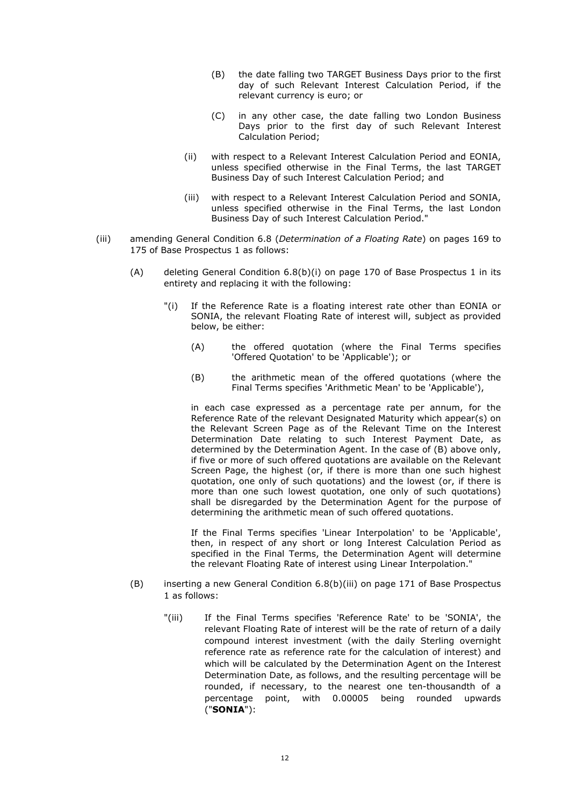- (B) the date falling two TARGET Business Days prior to the first day of such Relevant Interest Calculation Period, if the relevant currency is euro; or
- (C) in any other case, the date falling two London Business Days prior to the first day of such Relevant Interest Calculation Period;
- (ii) with respect to a Relevant Interest Calculation Period and EONIA, unless specified otherwise in the Final Terms, the last TARGET Business Day of such Interest Calculation Period; and
- (iii) with respect to a Relevant Interest Calculation Period and SONIA, unless specified otherwise in the Final Terms, the last London Business Day of such Interest Calculation Period."
- (iii) amending General Condition 6.8 (*Determination of a Floating Rate*) on pages 169 to 175 of Base Prospectus 1 as follows:
	- (A) deleting General Condition 6.8(b)(i) on page 170 of Base Prospectus 1 in its entirety and replacing it with the following:
		- "(i) If the Reference Rate is a floating interest rate other than EONIA or SONIA, the relevant Floating Rate of interest will, subject as provided below, be either:
			- (A) the offered quotation (where the Final Terms specifies 'Offered Quotation' to be 'Applicable'); or
			- (B) the arithmetic mean of the offered quotations (where the Final Terms specifies 'Arithmetic Mean' to be 'Applicable'),

in each case expressed as a percentage rate per annum, for the Reference Rate of the relevant Designated Maturity which appear(s) on the Relevant Screen Page as of the Relevant Time on the Interest Determination Date relating to such Interest Payment Date, as determined by the Determination Agent. In the case of (B) above only, if five or more of such offered quotations are available on the Relevant Screen Page, the highest (or, if there is more than one such highest quotation, one only of such quotations) and the lowest (or, if there is more than one such lowest quotation, one only of such quotations) shall be disregarded by the Determination Agent for the purpose of determining the arithmetic mean of such offered quotations.

If the Final Terms specifies 'Linear Interpolation' to be 'Applicable', then, in respect of any short or long Interest Calculation Period as specified in the Final Terms, the Determination Agent will determine the relevant Floating Rate of interest using Linear Interpolation."

- (B) inserting a new General Condition 6.8(b)(iii) on page 171 of Base Prospectus 1 as follows:
	- "(iii) If the Final Terms specifies 'Reference Rate' to be 'SONIA', the relevant Floating Rate of interest will be the rate of return of a daily compound interest investment (with the daily Sterling overnight reference rate as reference rate for the calculation of interest) and which will be calculated by the Determination Agent on the Interest Determination Date, as follows, and the resulting percentage will be rounded, if necessary, to the nearest one ten-thousandth of a percentage point, with 0.00005 being rounded upwards ("**SONIA**"):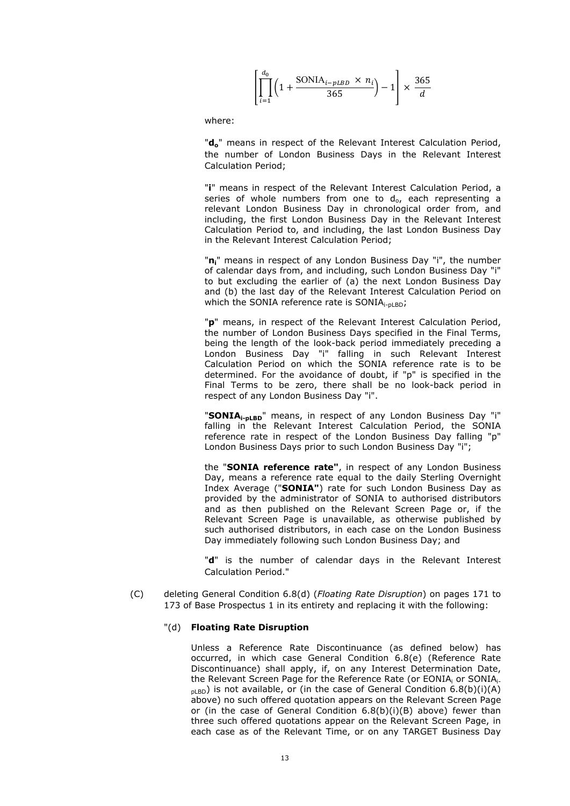$$
\left[ \prod_{i=1}^{d_0} \left( 1 + \frac{\text{SONIA}_{i-pLBD} \times n_i}{365} \right) - 1 \right] \times \frac{365}{d}
$$

where:

"**do**" means in respect of the Relevant Interest Calculation Period, the number of London Business Days in the Relevant Interest Calculation Period;

"**i**" means in respect of the Relevant Interest Calculation Period, a series of whole numbers from one to  $d_{o}$ , each representing a relevant London Business Day in chronological order from, and including, the first London Business Day in the Relevant Interest Calculation Period to, and including, the last London Business Day in the Relevant Interest Calculation Period;

"**ni**" means in respect of any London Business Day "i", the number of calendar days from, and including, such London Business Day "i" to but excluding the earlier of (a) the next London Business Day and (b) the last day of the Relevant Interest Calculation Period on which the SONIA reference rate is  $SONIA<sub>i-plBD</sub>$ ;

"**p**" means, in respect of the Relevant Interest Calculation Period, the number of London Business Days specified in the Final Terms, being the length of the look-back period immediately preceding a London Business Day "i" falling in such Relevant Interest Calculation Period on which the SONIA reference rate is to be determined. For the avoidance of doubt, if "p" is specified in the Final Terms to be zero, there shall be no look-back period in respect of any London Business Day "i".

"**SONIAi-pLBD**" means, in respect of any London Business Day "i" falling in the Relevant Interest Calculation Period, the SONIA reference rate in respect of the London Business Day falling "p" London Business Days prior to such London Business Day "i";

the "**SONIA reference rate"**, in respect of any London Business Day, means a reference rate equal to the daily Sterling Overnight Index Average ("**SONIA"**) rate for such London Business Day as provided by the administrator of SONIA to authorised distributors and as then published on the Relevant Screen Page or, if the Relevant Screen Page is unavailable, as otherwise published by such authorised distributors, in each case on the London Business Day immediately following such London Business Day; and

"**d**" is the number of calendar days in the Relevant Interest Calculation Period."

(C) deleting General Condition 6.8(d) (*Floating Rate Disruption*) on pages 171 to 173 of Base Prospectus 1 in its entirety and replacing it with the following:

#### "(d) **Floating Rate Disruption**

Unless a Reference Rate Discontinuance (as defined below) has occurred, in which case General Condition 6.8(e) (Reference Rate Discontinuance) shall apply, if, on any Interest Determination Date, the Relevant Screen Page for the Reference Rate (or EONIA<sub>i</sub> or SONIA<sub>i-</sub>  $_{\text{plBD}}$ ) is not available, or (in the case of General Condition 6.8(b)(i)(A) above) no such offered quotation appears on the Relevant Screen Page or (in the case of General Condition 6.8(b)(i)(B) above) fewer than three such offered quotations appear on the Relevant Screen Page, in each case as of the Relevant Time, or on any TARGET Business Day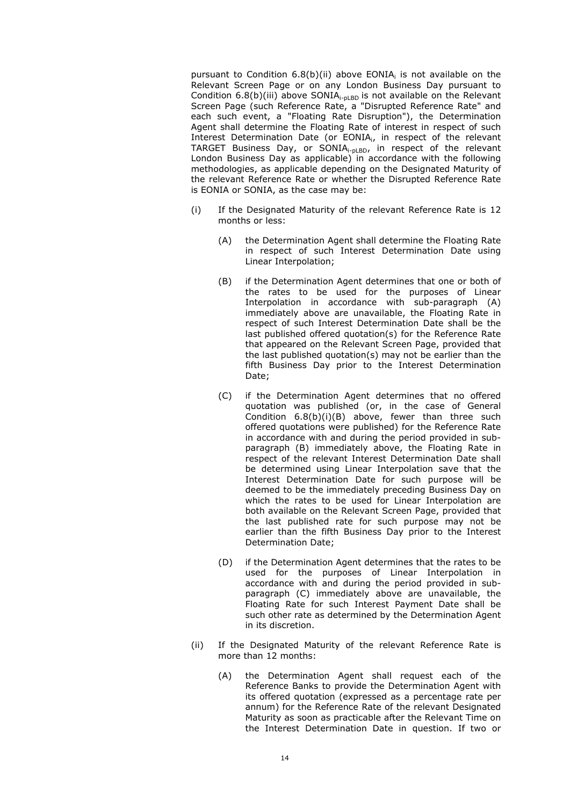pursuant to Condition  $6.8(b)(ii)$  above EONIA<sub>i</sub> is not available on the Relevant Screen Page or on any London Business Day pursuant to Condition  $6.8(b)$ (iii) above SONIA<sub>i-pLBD</sub> is not available on the Relevant Screen Page (such Reference Rate, a "Disrupted Reference Rate" and each such event, a "Floating Rate Disruption"), the Determination Agent shall determine the Floating Rate of interest in respect of such Interest Determination Date (or EONIAi, in respect of the relevant TARGET Business Day, or SONIA<sub>i-pLBD</sub>, in respect of the relevant London Business Day as applicable) in accordance with the following methodologies, as applicable depending on the Designated Maturity of the relevant Reference Rate or whether the Disrupted Reference Rate is EONIA or SONIA, as the case may be:

- (i) If the Designated Maturity of the relevant Reference Rate is 12 months or less:
	- (A) the Determination Agent shall determine the Floating Rate in respect of such Interest Determination Date using Linear Interpolation;
	- (B) if the Determination Agent determines that one or both of the rates to be used for the purposes of Linear Interpolation in accordance with sub-paragraph (A) immediately above are unavailable, the Floating Rate in respect of such Interest Determination Date shall be the last published offered quotation(s) for the Reference Rate that appeared on the Relevant Screen Page, provided that the last published quotation(s) may not be earlier than the fifth Business Day prior to the Interest Determination Date;
	- (C) if the Determination Agent determines that no offered quotation was published (or, in the case of General Condition 6.8(b)(i)(B) above, fewer than three such offered quotations were published) for the Reference Rate in accordance with and during the period provided in subparagraph (B) immediately above, the Floating Rate in respect of the relevant Interest Determination Date shall be determined using Linear Interpolation save that the Interest Determination Date for such purpose will be deemed to be the immediately preceding Business Day on which the rates to be used for Linear Interpolation are both available on the Relevant Screen Page, provided that the last published rate for such purpose may not be earlier than the fifth Business Day prior to the Interest Determination Date;
	- (D) if the Determination Agent determines that the rates to be used for the purposes of Linear Interpolation in accordance with and during the period provided in subparagraph (C) immediately above are unavailable, the Floating Rate for such Interest Payment Date shall be such other rate as determined by the Determination Agent in its discretion.
- (ii) If the Designated Maturity of the relevant Reference Rate is more than 12 months:
	- (A) the Determination Agent shall request each of the Reference Banks to provide the Determination Agent with its offered quotation (expressed as a percentage rate per annum) for the Reference Rate of the relevant Designated Maturity as soon as practicable after the Relevant Time on the Interest Determination Date in question. If two or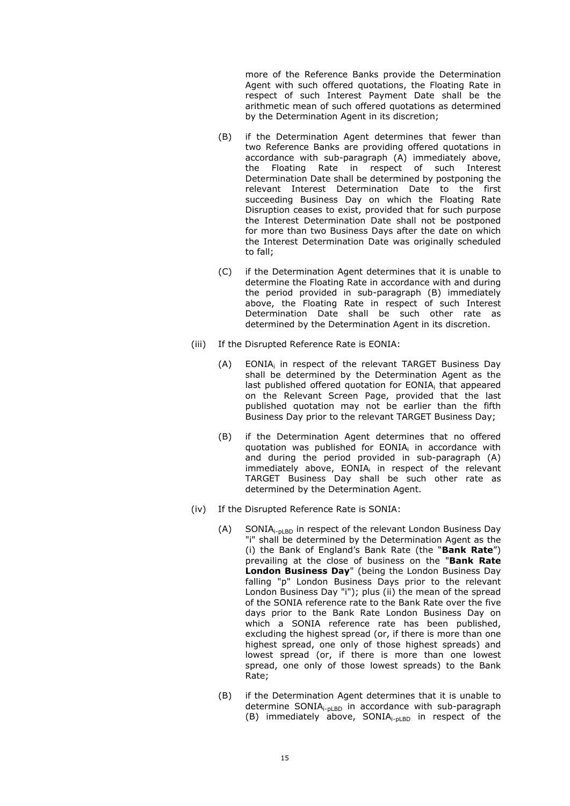more of the Reference Banks provide the Determination Agent with such offered quotations, the Floating Rate in respect of such Interest Payment Date shall be the arithmetic mean of such offered quotations as determined by the Determination Agent in its discretion;

- (B) if the Determination Agent determines that fewer than two Reference Banks are providing offered quotations in accordance with sub-paragraph (A) immediately above, the Floating Rate in respect of such Interest Determination Date shall be determined by postponing the relevant Interest Determination Date to the first succeeding Business Day on which the Floating Rate Disruption ceases to exist, provided that for such purpose the Interest Determination Date shall not be postponed for more than two Business Days after the date on which the Interest Determination Date was originally scheduled to fall;
- (C) if the Determination Agent determines that it is unable to determine the Floating Rate in accordance with and during the period provided in sub-paragraph (B) immediately above, the Floating Rate in respect of such Interest Determination Date shall be such other rate as determined by the Determination Agent in its discretion.
- (iii) If the Disrupted Reference Rate is EONIA:
	- (A) EONIA<sub>i</sub> in respect of the relevant TARGET Business Day shall be determined by the Determination Agent as the last published offered quotation for EONIA<sup>i</sup> that appeared on the Relevant Screen Page, provided that the last published quotation may not be earlier than the fifth Business Day prior to the relevant TARGET Business Day;
	- (B) if the Determination Agent determines that no offered quotation was published for  $EONIA<sub>i</sub>$  in accordance with and during the period provided in sub-paragraph (A) immediately above,  $EONIA<sub>i</sub>$  in respect of the relevant TARGET Business Day shall be such other rate as determined by the Determination Agent.
- (iv) If the Disrupted Reference Rate is SONIA:
	- $(A)$  SONIA<sub>i-pLBD</sub> in respect of the relevant London Business Day "i" shall be determined by the Determination Agent as the (i) the Bank of England's Bank Rate (the "**Bank Rate**") prevailing at the close of business on the "**Bank Rate London Business Day**" (being the London Business Day falling "p" London Business Days prior to the relevant London Business Day "i"); plus (ii) the mean of the spread of the SONIA reference rate to the Bank Rate over the five days prior to the Bank Rate London Business Day on which a SONIA reference rate has been published, excluding the highest spread (or, if there is more than one highest spread, one only of those highest spreads) and lowest spread (or, if there is more than one lowest spread, one only of those lowest spreads) to the Bank Rate;
	- (B) if the Determination Agent determines that it is unable to determine SONIA<sub>i-pLBD</sub> in accordance with sub-paragraph (B) immediately above,  $SONIA_{i\text{-}nlBD}$  in respect of the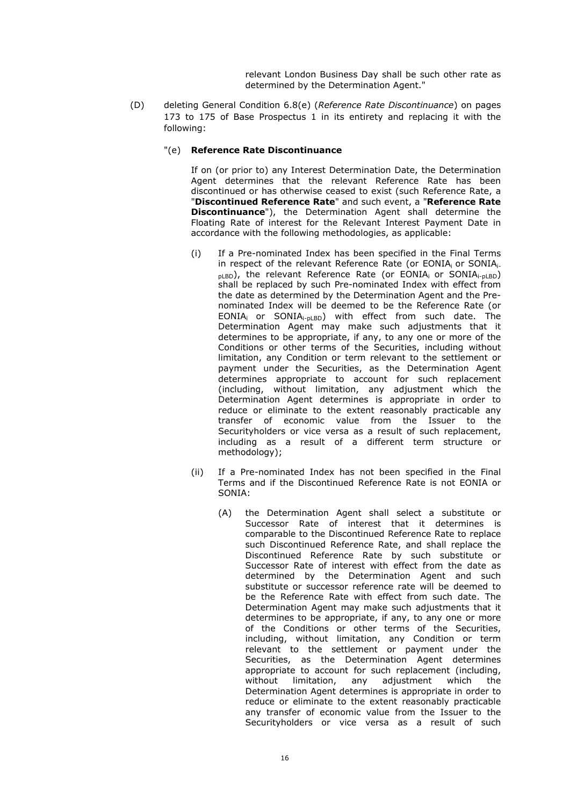relevant London Business Day shall be such other rate as determined by the Determination Agent."

- (D) deleting General Condition 6.8(e) (*Reference Rate Discontinuance*) on pages 173 to 175 of Base Prospectus 1 in its entirety and replacing it with the following:
	- "(e) **Reference Rate Discontinuance**

If on (or prior to) any Interest Determination Date, the Determination Agent determines that the relevant Reference Rate has been discontinued or has otherwise ceased to exist (such Reference Rate, a "**Discontinued Reference Rate**" and such event, a "**Reference Rate Discontinuance**"), the Determination Agent shall determine the Floating Rate of interest for the Relevant Interest Payment Date in accordance with the following methodologies, as applicable:

- (i) If a Pre-nominated Index has been specified in the Final Terms in respect of the relevant Reference Rate (or EONIA<sub>i</sub> or SONIA<sub>i-</sub>  $_{\text{DLBD}}$ ), the relevant Reference Rate (or EONIA<sub>i</sub> or SONIA<sub>i-pLBD</sub>) shall be replaced by such Pre-nominated Index with effect from the date as determined by the Determination Agent and the Prenominated Index will be deemed to be the Reference Rate (or EONIA<sub>i</sub> or SONIA<sub>i-pLBD</sub>) with effect from such date. The Determination Agent may make such adjustments that it determines to be appropriate, if any, to any one or more of the Conditions or other terms of the Securities, including without limitation, any Condition or term relevant to the settlement or payment under the Securities, as the Determination Agent determines appropriate to account for such replacement (including, without limitation, any adjustment which the Determination Agent determines is appropriate in order to reduce or eliminate to the extent reasonably practicable any transfer of economic value from the Issuer to the Securityholders or vice versa as a result of such replacement, including as a result of a different term structure or methodology);
- (ii) If a Pre-nominated Index has not been specified in the Final Terms and if the Discontinued Reference Rate is not EONIA or SONIA:
	- (A) the Determination Agent shall select a substitute or Successor Rate of interest that it determines is comparable to the Discontinued Reference Rate to replace such Discontinued Reference Rate, and shall replace the Discontinued Reference Rate by such substitute or Successor Rate of interest with effect from the date as determined by the Determination Agent and such substitute or successor reference rate will be deemed to be the Reference Rate with effect from such date. The Determination Agent may make such adjustments that it determines to be appropriate, if any, to any one or more of the Conditions or other terms of the Securities, including, without limitation, any Condition or term relevant to the settlement or payment under the Securities, as the Determination Agent determines appropriate to account for such replacement (including, without limitation, any adjustment which the Determination Agent determines is appropriate in order to reduce or eliminate to the extent reasonably practicable any transfer of economic value from the Issuer to the Securityholders or vice versa as a result of such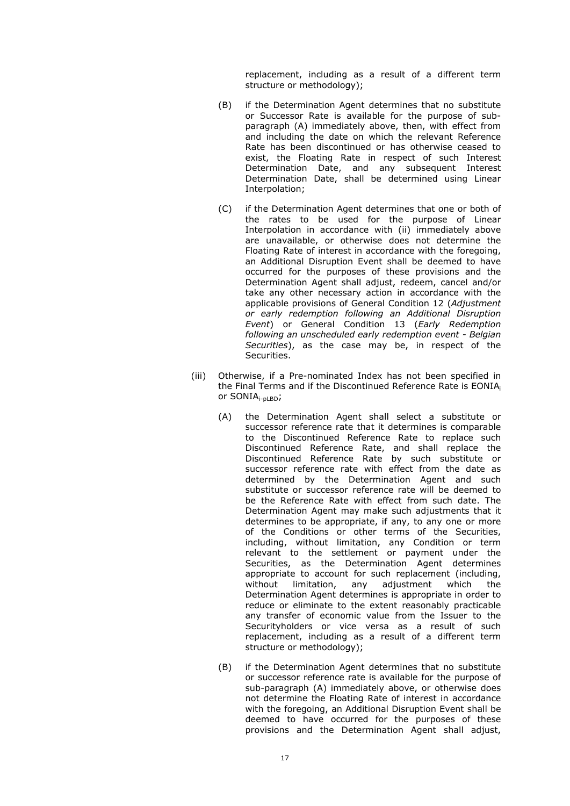replacement, including as a result of a different term structure or methodology);

- (B) if the Determination Agent determines that no substitute or Successor Rate is available for the purpose of subparagraph (A) immediately above, then, with effect from and including the date on which the relevant Reference Rate has been discontinued or has otherwise ceased to exist, the Floating Rate in respect of such Interest Determination Date, and any subsequent Interest Determination Date, shall be determined using Linear Interpolation;
- (C) if the Determination Agent determines that one or both of the rates to be used for the purpose of Linear Interpolation in accordance with (ii) immediately above are unavailable, or otherwise does not determine the Floating Rate of interest in accordance with the foregoing, an Additional Disruption Event shall be deemed to have occurred for the purposes of these provisions and the Determination Agent shall adjust, redeem, cancel and/or take any other necessary action in accordance with the applicable provisions of General Condition 12 (*Adjustment or early redemption following an Additional Disruption Event*) or General Condition 13 (*Early Redemption following an unscheduled early redemption event - Belgian Securities*), as the case may be, in respect of the Securities.
- (iii) Otherwise, if a Pre-nominated Index has not been specified in the Final Terms and if the Discontinued Reference Rate is EONIA<sup>i</sup> or SONIA<sub>i-pLBD</sub>;
	- (A) the Determination Agent shall select a substitute or successor reference rate that it determines is comparable to the Discontinued Reference Rate to replace such Discontinued Reference Rate, and shall replace the Discontinued Reference Rate by such substitute or successor reference rate with effect from the date as determined by the Determination Agent and such substitute or successor reference rate will be deemed to be the Reference Rate with effect from such date. The Determination Agent may make such adjustments that it determines to be appropriate, if any, to any one or more of the Conditions or other terms of the Securities, including, without limitation, any Condition or term relevant to the settlement or payment under the Securities, as the Determination Agent determines appropriate to account for such replacement (including, without limitation, any adjustment which the Determination Agent determines is appropriate in order to reduce or eliminate to the extent reasonably practicable any transfer of economic value from the Issuer to the Securityholders or vice versa as a result of such replacement, including as a result of a different term structure or methodology);
	- (B) if the Determination Agent determines that no substitute or successor reference rate is available for the purpose of sub-paragraph (A) immediately above, or otherwise does not determine the Floating Rate of interest in accordance with the foregoing, an Additional Disruption Event shall be deemed to have occurred for the purposes of these provisions and the Determination Agent shall adjust,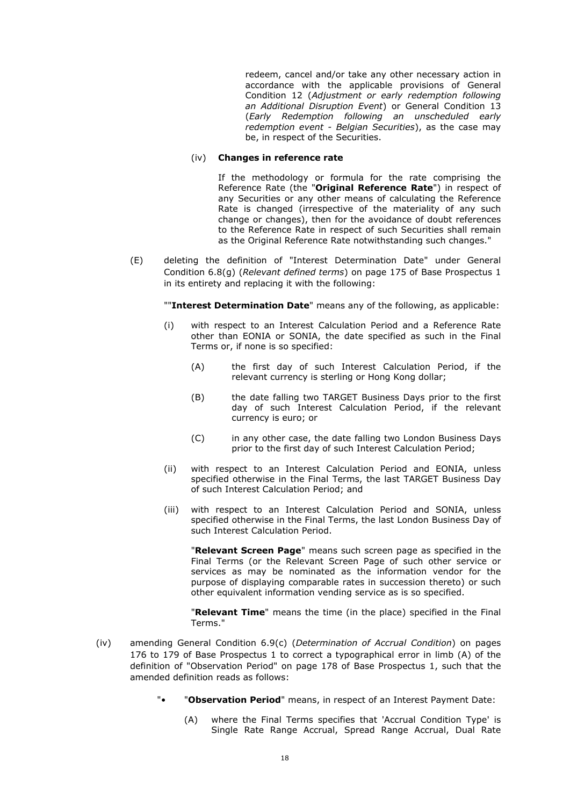redeem, cancel and/or take any other necessary action in accordance with the applicable provisions of General Condition 12 (*Adjustment or early redemption following an Additional Disruption Event*) or General Condition 13 (*Early Redemption following an unscheduled early redemption event - Belgian Securities*), as the case may be, in respect of the Securities.

### (iv) **Changes in reference rate**

If the methodology or formula for the rate comprising the Reference Rate (the "**Original Reference Rate**") in respect of any Securities or any other means of calculating the Reference Rate is changed (irrespective of the materiality of any such change or changes), then for the avoidance of doubt references to the Reference Rate in respect of such Securities shall remain as the Original Reference Rate notwithstanding such changes."

(E) deleting the definition of "Interest Determination Date" under General Condition 6.8(g) (*Relevant defined terms*) on page 175 of Base Prospectus 1 in its entirety and replacing it with the following:

""**Interest Determination Date**" means any of the following, as applicable:

- (i) with respect to an Interest Calculation Period and a Reference Rate other than EONIA or SONIA, the date specified as such in the Final Terms or, if none is so specified:
	- (A) the first day of such Interest Calculation Period, if the relevant currency is sterling or Hong Kong dollar;
	- (B) the date falling two TARGET Business Days prior to the first day of such Interest Calculation Period, if the relevant currency is euro; or
	- (C) in any other case, the date falling two London Business Days prior to the first day of such Interest Calculation Period;
- (ii) with respect to an Interest Calculation Period and EONIA, unless specified otherwise in the Final Terms, the last TARGET Business Day of such Interest Calculation Period; and
- (iii) with respect to an Interest Calculation Period and SONIA, unless specified otherwise in the Final Terms, the last London Business Day of such Interest Calculation Period.

"**Relevant Screen Page**" means such screen page as specified in the Final Terms (or the Relevant Screen Page of such other service or services as may be nominated as the information vendor for the purpose of displaying comparable rates in succession thereto) or such other equivalent information vending service as is so specified.

"**Relevant Time**" means the time (in the place) specified in the Final Terms."

- (iv) amending General Condition 6.9(c) (*Determination of Accrual Condition*) on pages 176 to 179 of Base Prospectus 1 to correct a typographical error in limb (A) of the definition of "Observation Period" on page 178 of Base Prospectus 1, such that the amended definition reads as follows:
	- "**Observation Period**" means, in respect of an Interest Payment Date:
		- (A) where the Final Terms specifies that 'Accrual Condition Type' is Single Rate Range Accrual, Spread Range Accrual, Dual Rate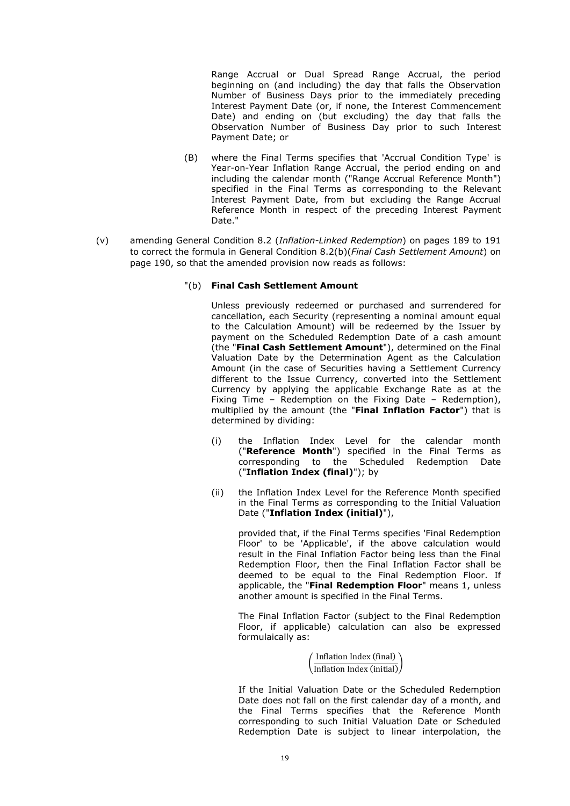Range Accrual or Dual Spread Range Accrual, the period beginning on (and including) the day that falls the Observation Number of Business Days prior to the immediately preceding Interest Payment Date (or, if none, the Interest Commencement Date) and ending on (but excluding) the day that falls the Observation Number of Business Day prior to such Interest Payment Date; or

- (B) where the Final Terms specifies that 'Accrual Condition Type' is Year-on-Year Inflation Range Accrual, the period ending on and including the calendar month ("Range Accrual Reference Month") specified in the Final Terms as corresponding to the Relevant Interest Payment Date, from but excluding the Range Accrual Reference Month in respect of the preceding Interest Payment Date."
- (v) amending General Condition 8.2 (*Inflation-Linked Redemption*) on pages 189 to 191 to correct the formula in General Condition 8.2(b)(*Final Cash Settlement Amount*) on page 190, so that the amended provision now reads as follows:
	- "(b) **Final Cash Settlement Amount**

Unless previously redeemed or purchased and surrendered for cancellation, each Security (representing a nominal amount equal to the Calculation Amount) will be redeemed by the Issuer by payment on the Scheduled Redemption Date of a cash amount (the "**Final Cash Settlement Amount**"), determined on the Final Valuation Date by the Determination Agent as the Calculation Amount (in the case of Securities having a Settlement Currency different to the Issue Currency, converted into the Settlement Currency by applying the applicable Exchange Rate as at the Fixing Time – Redemption on the Fixing Date – Redemption), multiplied by the amount (the "**Final Inflation Factor**") that is determined by dividing:

- (i) the Inflation Index Level for the calendar month ("**Reference Month**") specified in the Final Terms as corresponding to the Scheduled Redemption Date ("**Inflation Index (final)**"); by
- (ii) the Inflation Index Level for the Reference Month specified in the Final Terms as corresponding to the Initial Valuation Date ("**Inflation Index (initial)**"),

provided that, if the Final Terms specifies 'Final Redemption Floor' to be 'Applicable', if the above calculation would result in the Final Inflation Factor being less than the Final Redemption Floor, then the Final Inflation Factor shall be deemed to be equal to the Final Redemption Floor. If applicable, the "**Final Redemption Floor**" means 1, unless another amount is specified in the Final Terms.

The Final Inflation Factor (subject to the Final Redemption Floor, if applicable) calculation can also be expressed formulaically as:

> $\left(\overline{\text{Inflation Index (initial)}}\right)$ Inflation Index (final)

If the Initial Valuation Date or the Scheduled Redemption Date does not fall on the first calendar day of a month, and the Final Terms specifies that the Reference Month corresponding to such Initial Valuation Date or Scheduled Redemption Date is subject to linear interpolation, the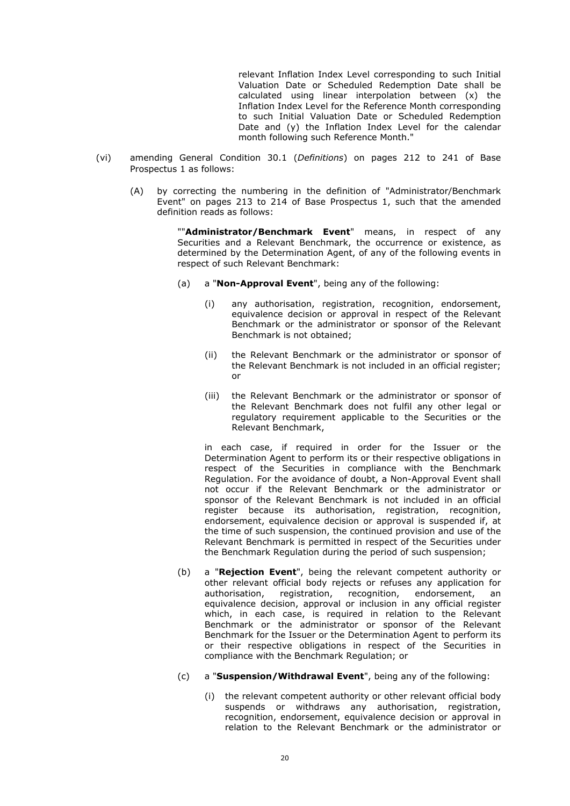relevant Inflation Index Level corresponding to such Initial Valuation Date or Scheduled Redemption Date shall be calculated using linear interpolation between (x) the Inflation Index Level for the Reference Month corresponding to such Initial Valuation Date or Scheduled Redemption Date and (y) the Inflation Index Level for the calendar month following such Reference Month."

- (vi) amending General Condition 30.1 (*Definitions*) on pages 212 to 241 of Base Prospectus 1 as follows:
	- (A) by correcting the numbering in the definition of "Administrator/Benchmark Event" on pages 213 to 214 of Base Prospectus 1, such that the amended definition reads as follows:

""**Administrator/Benchmark Event**" means, in respect of any Securities and a Relevant Benchmark, the occurrence or existence, as determined by the Determination Agent, of any of the following events in respect of such Relevant Benchmark:

- (a) a "**Non-Approval Event**", being any of the following:
	- (i) any authorisation, registration, recognition, endorsement, equivalence decision or approval in respect of the Relevant Benchmark or the administrator or sponsor of the Relevant Benchmark is not obtained;
	- (ii) the Relevant Benchmark or the administrator or sponsor of the Relevant Benchmark is not included in an official register; or
	- (iii) the Relevant Benchmark or the administrator or sponsor of the Relevant Benchmark does not fulfil any other legal or regulatory requirement applicable to the Securities or the Relevant Benchmark,

in each case, if required in order for the Issuer or the Determination Agent to perform its or their respective obligations in respect of the Securities in compliance with the Benchmark Regulation. For the avoidance of doubt, a Non-Approval Event shall not occur if the Relevant Benchmark or the administrator or sponsor of the Relevant Benchmark is not included in an official register because its authorisation, registration, recognition, endorsement, equivalence decision or approval is suspended if, at the time of such suspension, the continued provision and use of the Relevant Benchmark is permitted in respect of the Securities under the Benchmark Regulation during the period of such suspension;

- (b) a "**Rejection Event**", being the relevant competent authority or other relevant official body rejects or refuses any application for authorisation, registration, recognition, endorsement, an equivalence decision, approval or inclusion in any official register which, in each case, is required in relation to the Relevant Benchmark or the administrator or sponsor of the Relevant Benchmark for the Issuer or the Determination Agent to perform its or their respective obligations in respect of the Securities in compliance with the Benchmark Regulation; or
- (c) a "**Suspension/Withdrawal Event**", being any of the following:
	- (i) the relevant competent authority or other relevant official body suspends or withdraws any authorisation, registration, recognition, endorsement, equivalence decision or approval in relation to the Relevant Benchmark or the administrator or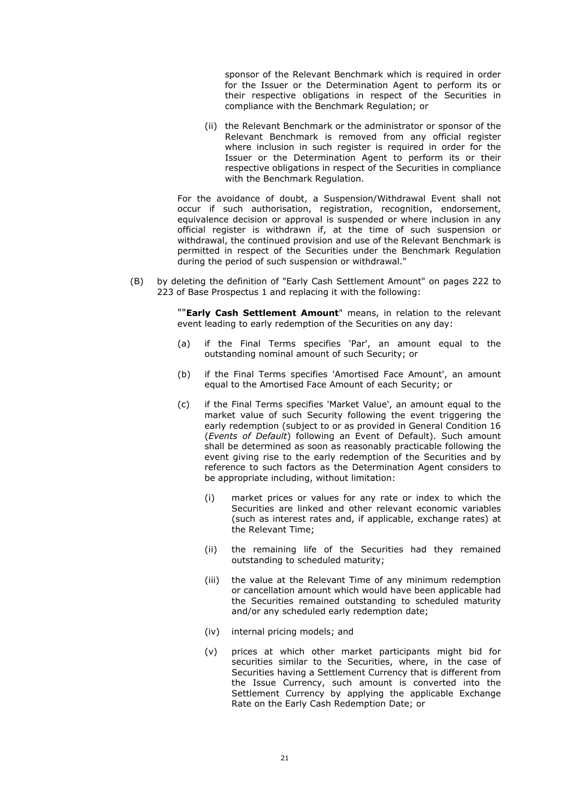sponsor of the Relevant Benchmark which is required in order for the Issuer or the Determination Agent to perform its or their respective obligations in respect of the Securities in compliance with the Benchmark Regulation; or

(ii) the Relevant Benchmark or the administrator or sponsor of the Relevant Benchmark is removed from any official register where inclusion in such register is required in order for the Issuer or the Determination Agent to perform its or their respective obligations in respect of the Securities in compliance with the Benchmark Regulation.

For the avoidance of doubt, a Suspension/Withdrawal Event shall not occur if such authorisation, registration, recognition, endorsement, equivalence decision or approval is suspended or where inclusion in any official register is withdrawn if, at the time of such suspension or withdrawal, the continued provision and use of the Relevant Benchmark is permitted in respect of the Securities under the Benchmark Regulation during the period of such suspension or withdrawal."

(B) by deleting the definition of "Early Cash Settlement Amount" on pages 222 to 223 of Base Prospectus 1 and replacing it with the following:

> ""**Early Cash Settlement Amount**" means, in relation to the relevant event leading to early redemption of the Securities on any day:

- (a) if the Final Terms specifies 'Par', an amount equal to the outstanding nominal amount of such Security; or
- (b) if the Final Terms specifies 'Amortised Face Amount', an amount equal to the Amortised Face Amount of each Security; or
- (c) if the Final Terms specifies 'Market Value', an amount equal to the market value of such Security following the event triggering the early redemption (subject to or as provided in General Condition 16 (*Events of Default*) following an Event of Default). Such amount shall be determined as soon as reasonably practicable following the event giving rise to the early redemption of the Securities and by reference to such factors as the Determination Agent considers to be appropriate including, without limitation:
	- (i) market prices or values for any rate or index to which the Securities are linked and other relevant economic variables (such as interest rates and, if applicable, exchange rates) at the Relevant Time;
	- (ii) the remaining life of the Securities had they remained outstanding to scheduled maturity;
	- (iii) the value at the Relevant Time of any minimum redemption or cancellation amount which would have been applicable had the Securities remained outstanding to scheduled maturity and/or any scheduled early redemption date;
	- (iv) internal pricing models; and
	- (v) prices at which other market participants might bid for securities similar to the Securities, where, in the case of Securities having a Settlement Currency that is different from the Issue Currency, such amount is converted into the Settlement Currency by applying the applicable Exchange Rate on the Early Cash Redemption Date; or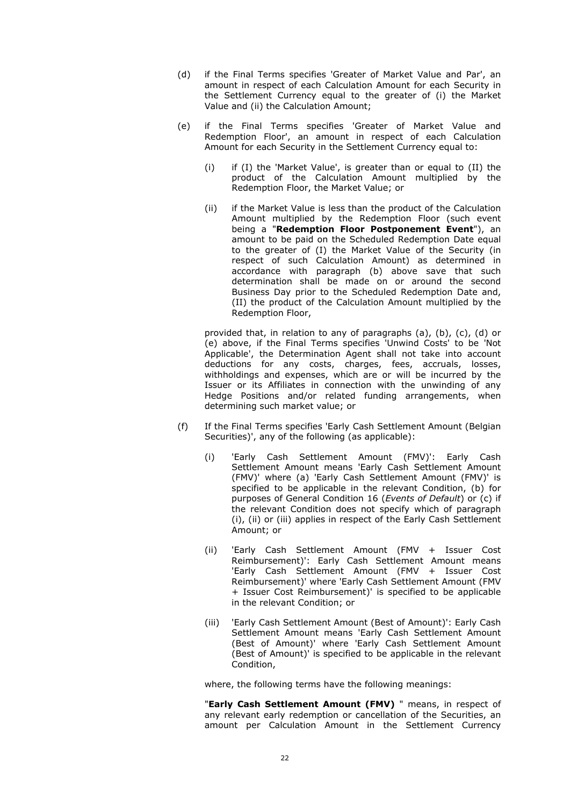- (d) if the Final Terms specifies 'Greater of Market Value and Par', an amount in respect of each Calculation Amount for each Security in the Settlement Currency equal to the greater of (i) the Market Value and (ii) the Calculation Amount;
- (e) if the Final Terms specifies 'Greater of Market Value and Redemption Floor', an amount in respect of each Calculation Amount for each Security in the Settlement Currency equal to:
	- (i) if (I) the 'Market Value', is greater than or equal to (II) the product of the Calculation Amount multiplied by the Redemption Floor, the Market Value; or
	- (ii) if the Market Value is less than the product of the Calculation Amount multiplied by the Redemption Floor (such event being a "**Redemption Floor Postponement Event**"), an amount to be paid on the Scheduled Redemption Date equal to the greater of (I) the Market Value of the Security (in respect of such Calculation Amount) as determined in accordance with paragraph (b) above save that such determination shall be made on or around the second Business Day prior to the Scheduled Redemption Date and, (II) the product of the Calculation Amount multiplied by the Redemption Floor,

provided that, in relation to any of paragraphs (a), (b), (c), (d) or (e) above, if the Final Terms specifies 'Unwind Costs' to be 'Not Applicable', the Determination Agent shall not take into account deductions for any costs, charges, fees, accruals, losses, withholdings and expenses, which are or will be incurred by the Issuer or its Affiliates in connection with the unwinding of any Hedge Positions and/or related funding arrangements, when determining such market value; or

- (f) If the Final Terms specifies 'Early Cash Settlement Amount (Belgian Securities)', any of the following (as applicable):
	- (i) 'Early Cash Settlement Amount (FMV)': Early Cash Settlement Amount means 'Early Cash Settlement Amount (FMV)' where (a) 'Early Cash Settlement Amount (FMV)' is specified to be applicable in the relevant Condition, (b) for purposes of General Condition 16 (*Events of Default*) or (c) if the relevant Condition does not specify which of paragraph (i), (ii) or (iii) applies in respect of the Early Cash Settlement Amount; or
	- (ii) 'Early Cash Settlement Amount (FMV + Issuer Cost Reimbursement)': Early Cash Settlement Amount means 'Early Cash Settlement Amount (FMV + Issuer Cost Reimbursement)' where 'Early Cash Settlement Amount (FMV + Issuer Cost Reimbursement)' is specified to be applicable in the relevant Condition; or
	- (iii) 'Early Cash Settlement Amount (Best of Amount)': Early Cash Settlement Amount means 'Early Cash Settlement Amount (Best of Amount)' where 'Early Cash Settlement Amount (Best of Amount)' is specified to be applicable in the relevant Condition,

where, the following terms have the following meanings:

"**Early Cash Settlement Amount (FMV)** " means, in respect of any relevant early redemption or cancellation of the Securities, an amount per Calculation Amount in the Settlement Currency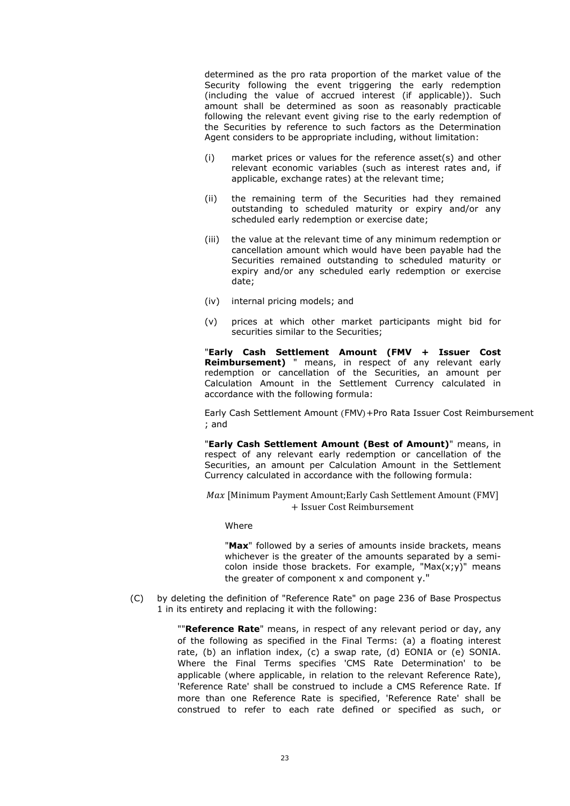determined as the pro rata proportion of the market value of the Security following the event triggering the early redemption (including the value of accrued interest (if applicable)). Such amount shall be determined as soon as reasonably practicable following the relevant event giving rise to the early redemption of the Securities by reference to such factors as the Determination Agent considers to be appropriate including, without limitation:

- (i) market prices or values for the reference asset(s) and other relevant economic variables (such as interest rates and, if applicable, exchange rates) at the relevant time;
- (ii) the remaining term of the Securities had they remained outstanding to scheduled maturity or expiry and/or any scheduled early redemption or exercise date;
- (iii) the value at the relevant time of any minimum redemption or cancellation amount which would have been payable had the Securities remained outstanding to scheduled maturity or expiry and/or any scheduled early redemption or exercise date;
- (iv) internal pricing models; and
- (v) prices at which other market participants might bid for securities similar to the Securities;

"**Early Cash Settlement Amount (FMV + Issuer Cost Reimbursement)** " means, in respect of any relevant early redemption or cancellation of the Securities, an amount per Calculation Amount in the Settlement Currency calculated in accordance with the following formula:

Early Cash Settlement Amount (FMV)+Pro Rata Issuer Cost Reimbursement ; and

"**Early Cash Settlement Amount (Best of Amount)**" means, in respect of any relevant early redemption or cancellation of the Securities, an amount per Calculation Amount in the Settlement Currency calculated in accordance with the following formula:

 $Max$  [Minimum Payment Amount;Early Cash Settlement Amount (FMV] + Issuer Cost Reimbursement

#### Where

"**Max**" followed by a series of amounts inside brackets, means whichever is the greater of the amounts separated by a semicolon inside those brackets. For example, "Max $(x,y)$ " means the greater of component x and component y."

(C) by deleting the definition of "Reference Rate" on page 236 of Base Prospectus 1 in its entirety and replacing it with the following:

> ""**Reference Rate**" means, in respect of any relevant period or day, any of the following as specified in the Final Terms: (a) a floating interest rate, (b) an inflation index, (c) a swap rate, (d) EONIA or (e) SONIA. Where the Final Terms specifies 'CMS Rate Determination' to be applicable (where applicable, in relation to the relevant Reference Rate), 'Reference Rate' shall be construed to include a CMS Reference Rate. If more than one Reference Rate is specified, 'Reference Rate' shall be construed to refer to each rate defined or specified as such, or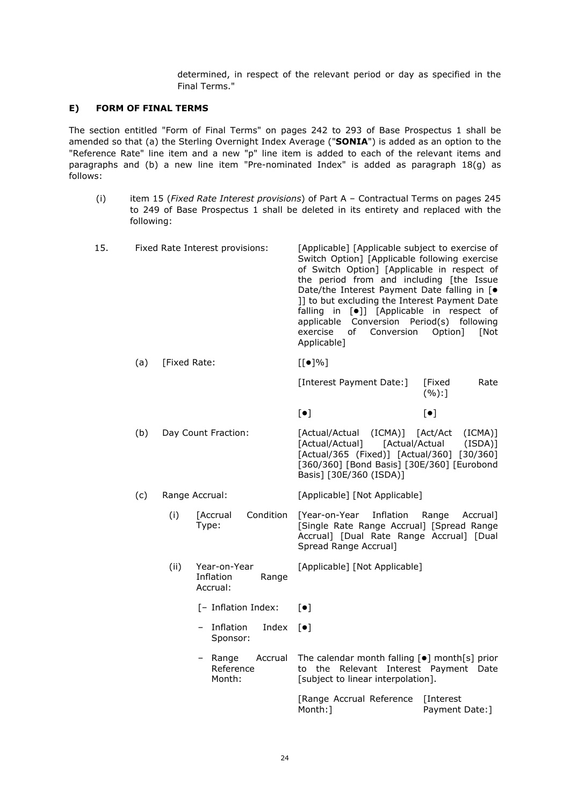determined, in respect of the relevant period or day as specified in the Final Terms."

## **E) FORM OF FINAL TERMS**

The section entitled "Form of Final Terms" on pages 242 to 293 of Base Prospectus 1 shall be amended so that (a) the Sterling Overnight Index Average ("**SONIA**") is added as an option to the "Reference Rate" line item and a new "p" line item is added to each of the relevant items and paragraphs and (b) a new line item "Pre-nominated Index" is added as paragraph 18(g) as follows:

(i) item 15 (*Fixed Rate Interest provisions*) of Part A – Contractual Terms on pages 245 to 249 of Base Prospectus 1 shall be deleted in its entirety and replaced with the following:

| 15. |     |                     | Fixed Rate Interest provisions:       |           | [Applicable] [Applicable subject to exercise of<br>Switch Option] [Applicable following exercise<br>of Switch Option] [Applicable in respect of<br>the period from and including [the Issue<br>Date/the Interest Payment Date falling in [ $\bullet$<br>]] to but excluding the Interest Payment Date<br>falling in [ $\bullet$ ]] [Applicable in respect of<br>applicable Conversion Period(s) following<br>exercise<br>Conversion<br>of<br>Applicable] | Option]<br>[Not                            |
|-----|-----|---------------------|---------------------------------------|-----------|----------------------------------------------------------------------------------------------------------------------------------------------------------------------------------------------------------------------------------------------------------------------------------------------------------------------------------------------------------------------------------------------------------------------------------------------------------|--------------------------------------------|
|     | (a) | [Fixed Rate:        |                                       |           | $[[\bullet]\%]$                                                                                                                                                                                                                                                                                                                                                                                                                                          |                                            |
|     |     |                     |                                       |           | [Interest Payment Date:]                                                                                                                                                                                                                                                                                                                                                                                                                                 | Rate<br>[Fixed<br>(%):                     |
|     |     |                     |                                       |           | $[\bullet]$                                                                                                                                                                                                                                                                                                                                                                                                                                              | $[\bullet]$                                |
|     | (b) | Day Count Fraction: |                                       |           | [Actual/Actual (ICMA)] [Act/Act<br>[Actual/Actual]<br>[Actual/365 (Fixed)] [Actual/360] [30/360]<br>[360/360] [Bond Basis] [30E/360] [Eurobond<br>Basis] [30E/360 (ISDA)]                                                                                                                                                                                                                                                                                | $(ICMA)$ ]<br>[Actual/Actual<br>$(ISDA)$ ] |
|     | (c) |                     | Range Accrual:                        |           | [Applicable] [Not Applicable]                                                                                                                                                                                                                                                                                                                                                                                                                            |                                            |
|     |     | (i)                 | <b>[Accrual</b><br>Type:              | Condition | [Year-on-Year Inflation<br>[Single Rate Range Accrual] [Spread Range<br>Accrual] [Dual Rate Range Accrual] [Dual<br>Spread Range Accrual]                                                                                                                                                                                                                                                                                                                | Range Accrual]                             |
|     |     | (ii)                | Year-on-Year<br>Inflation<br>Accrual: | Range     | [Applicable] [Not Applicable]                                                                                                                                                                                                                                                                                                                                                                                                                            |                                            |

- $[-$  Inflation Index:  $[•]$
- Inflation Sponsor: Index  $[\bullet]$
- $-$  Range Reference Month: Accrual The calendar month falling  $[•]$  month[s] prior to the Relevant Interest Payment Date [subject to linear interpolation].

[Range Accrual Reference [Interest Month:] Payment Date:]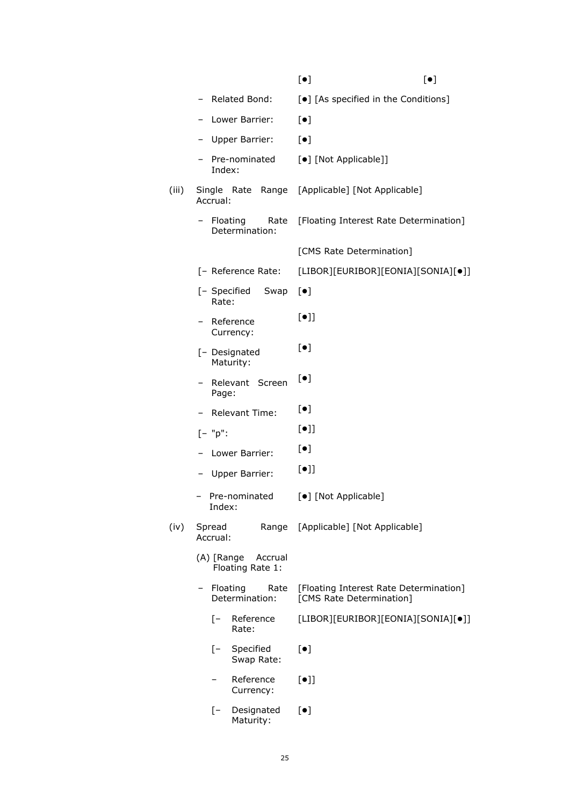|       |                                              | $[\bullet]$<br>$[\bullet]$                                         |
|-------|----------------------------------------------|--------------------------------------------------------------------|
|       | Related Bond:                                | [ $\bullet$ ] [As specified in the Conditions]                     |
|       | Lower Barrier:                               | $[\bullet]$                                                        |
|       | Upper Barrier:                               | $[\bullet]$                                                        |
|       | Pre-nominated<br>Index:                      | [•] [Not Applicable]]                                              |
| (iii) | Single Rate<br>Range<br>Accrual:             | [Applicable] [Not Applicable]                                      |
|       | Floating<br>Rate<br>-<br>Determination:      | [Floating Interest Rate Determination]                             |
|       |                                              | [CMS Rate Determination]                                           |
|       | [- Reference Rate:                           | [LIBOR][EURIBOR][EONIA][SONIA][•]]                                 |
|       | [- Specified<br>Swap<br>Rate:                | $[\bullet]$                                                        |
|       | Reference<br>Currency:                       | $[\bullet]$                                                        |
|       | [- Designated<br>Maturity:                   | $[\bullet]$                                                        |
|       | Relevant Screen<br>Page:                     | $[\bullet]$                                                        |
|       | Relevant Time:                               | $[\bullet]$                                                        |
|       | $[- "p":$                                    | $[\bullet]$                                                        |
|       | Lower Barrier:                               | $[\bullet]$                                                        |
|       | Upper Barrier:                               | $[\bullet]$                                                        |
|       | Pre-nominated<br>Index:                      | [•] [Not Applicable]                                               |
| (iv)  | Spread<br>Range<br>Accrual:                  | [Applicable] [Not Applicable]                                      |
|       | (A) [Range<br>Accrual<br>Floating Rate 1:    |                                                                    |
|       | Floating<br>Rate<br>Determination:           | [Floating Interest Rate Determination]<br>[CMS Rate Determination] |
|       | Reference<br>$\mathsf{I}$<br>Rate:           | [LIBOR][EURIBOR][EONIA][SONIA][•]]                                 |
|       | $\lceil - \rceil$<br>Specified<br>Swap Rate: | $\left[\bullet\right]$                                             |
|       | Reference<br>Currency:                       | $[\bullet]$                                                        |
|       | Designated<br>$\mathsf{I}$<br>Maturity:      | $\left[\bullet\right]$                                             |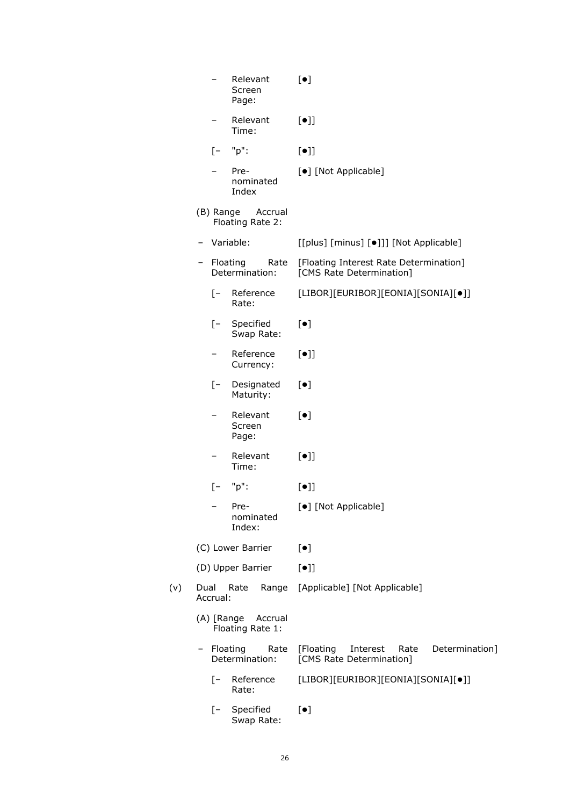| Relevant<br>Screen<br>Page:               | $\lceil \bullet \rceil$                                                     |  |  |
|-------------------------------------------|-----------------------------------------------------------------------------|--|--|
| Relevant<br>Time:                         | $[\bullet]$                                                                 |  |  |
| "p":<br>$\lceil - \rceil$                 | $[\bullet]$                                                                 |  |  |
| Pre-<br>nominated<br>Index                | [•] [Not Applicable]                                                        |  |  |
| (B) Range<br>Accrual<br>Floating Rate 2:  |                                                                             |  |  |
| Variable:                                 | [[plus] [minus] [.]]] [Not Applicable]                                      |  |  |
| Floating<br>Rate<br>Determination:        | [Floating Interest Rate Determination]<br>[CMS Rate Determination]          |  |  |
| $[-$<br>Reference<br>Rate:                | [LIBOR][EURIBOR][EONIA][SONIA][•]]                                          |  |  |
| [- Specified<br>Swap Rate:                | $[\bullet]$                                                                 |  |  |
| Reference<br>Currency:                    | $[\bullet]$                                                                 |  |  |
| $[- -]$<br>Designated<br>Maturity:        | $[\bullet]$                                                                 |  |  |
| Relevant<br>Screen<br>Page:               | $[\bullet]$                                                                 |  |  |
| Relevant<br>Time:                         | $[\bullet]$                                                                 |  |  |
| "p":<br>$[-$                              | $[\bullet]$                                                                 |  |  |
| Pre-<br>nominated<br>Index:               | [•] [Not Applicable]                                                        |  |  |
| (C) Lower Barrier                         | $[\bullet]$                                                                 |  |  |
| (D) Upper Barrier                         | $[\bullet]$                                                                 |  |  |
| Dual<br>Rate<br>Range<br>Accrual:         | [Applicable] [Not Applicable]                                               |  |  |
| (A) [Range<br>Accrual<br>Floating Rate 1: |                                                                             |  |  |
| Floating<br>Rate<br>Determination:        | Determination]<br>[Floating<br>Interest<br>Rate<br>[CMS Rate Determination] |  |  |
| Reference<br>$-$<br>Rate:                 | [LIBOR][EURIBOR][EONIA][SONIA][•]]                                          |  |  |
| Specified<br>$[-$<br>Swap Rate:           | $[\bullet]$                                                                 |  |  |

 $(v)$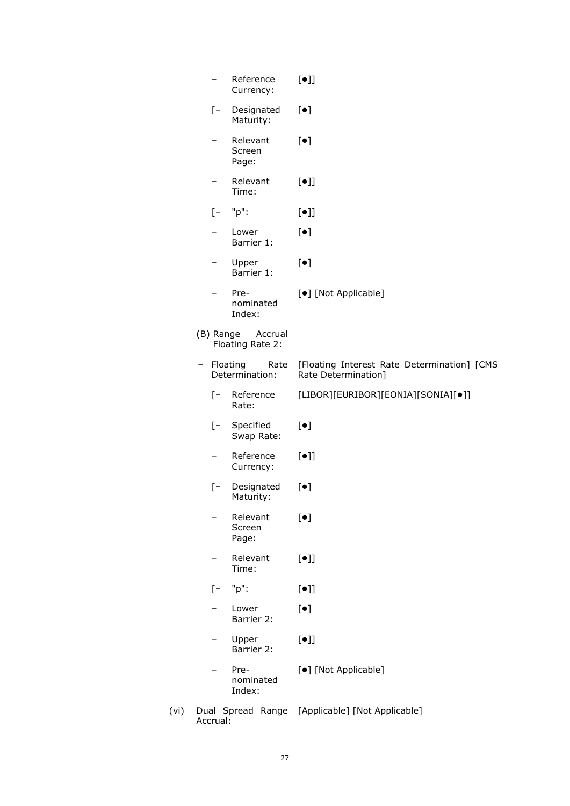|   | -                 | Reference<br>Currency:                   | $[\bullet]$                                                        |
|---|-------------------|------------------------------------------|--------------------------------------------------------------------|
|   | $[-]$             | Designated<br>Maturity:                  | $[\bullet]$                                                        |
|   |                   | Relevant<br>Screen<br>Page:              | $[\bullet]$                                                        |
|   |                   | Relevant<br>Time:                        | $[\bullet]$                                                        |
|   | $\lceil - \rceil$ | "p":                                     | $[\bullet]$                                                        |
|   |                   | Lower<br>Barrier 1:                      | $[\bullet]$                                                        |
|   |                   | Upper<br>Barrier 1:                      | $[\bullet]$                                                        |
|   |                   | Pre-<br>nominated<br>Index:              | [•] [Not Applicable]                                               |
|   |                   | (B) Range<br>Accrual<br>Floating Rate 2: |                                                                    |
| - | Floating          | Rate<br>Determination:                   | [Floating Interest Rate Determination] [CMS<br>Rate Determination] |
|   | $[-$              | Reference<br>Rate:                       | [LIBOR][EURIBOR][EONIA][SONIA][•]]                                 |
|   |                   | [- Specified<br>Swap Rate:               | $[\bullet]$                                                        |
|   |                   | Reference<br>Currency:                   | $[\bullet]$                                                        |
|   | $[-]$             | Designated<br>Maturity:                  | $[\bullet]$                                                        |
|   |                   | Relevant<br>Screen<br>Page:              | $[\bullet]$                                                        |
|   |                   | Relevant<br>Time:                        | $[\bullet]$                                                        |
|   | $[-$              | "p":                                     | $[\bullet]$                                                        |
|   |                   | Lower<br>Barrier 2:                      | $[\bullet]$                                                        |
|   |                   | Upper<br>Barrier 2:                      | $[\bullet]$                                                        |
|   |                   | Pre-<br>nominated<br>Index:              | [ $\bullet$ ] [Not Applicable]                                     |
|   |                   |                                          | Dual Spread Range [Applicable] [Not Applicable]                    |

(vi) Dual Spread Range Accrual: [Applicable] [Not Applicable]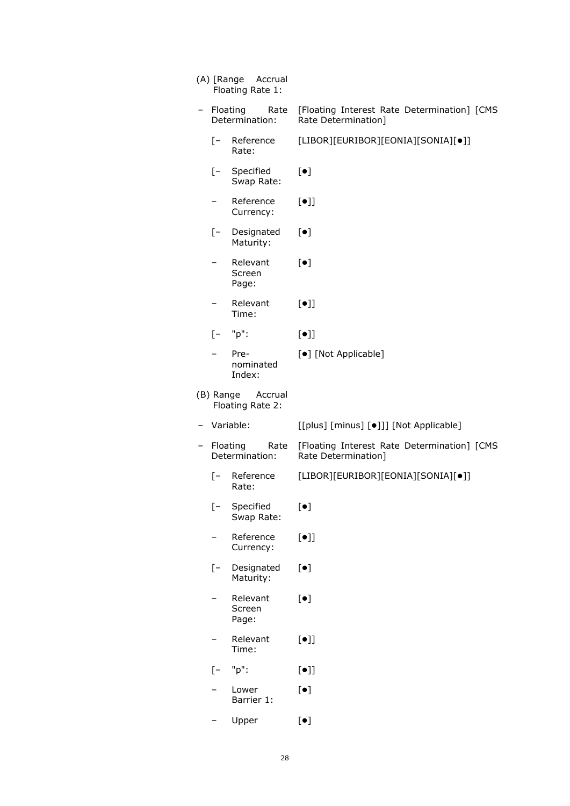|       | (A) [Range Accrual<br>Floating Rate 1: |                                                                    |
|-------|----------------------------------------|--------------------------------------------------------------------|
|       | - Floating Rate<br>Determination:      | [Floating Interest Rate Determination] [CMS<br>Rate Determination] |
|       | [- Reference<br>Rate:                  | [LIBOR][EURIBOR][EONIA][SONIA][•]]                                 |
| $[-$  | Specified<br>Swap Rate:                | $[\bullet]$                                                        |
| -     | Reference<br>Currency:                 | $[\bullet]$                                                        |
|       | [- Designated<br>Maturity:             | $[\bullet]$                                                        |
|       | Relevant<br>Screen<br>Page:            | $\left[\bullet\right]$                                             |
| Ξ.    | Relevant<br>Time:                      | $[\bullet]$                                                        |
|       | $[-$ "p":                              | $[\bullet]$                                                        |
|       | Pre-<br>nominated<br>Index:            | [•] [Not Applicable]                                               |
|       | (B) Range Accrual<br>Floating Rate 2:  |                                                                    |
|       | Variable:                              | [[plus] [minus] [•]]] [Not Applicable]                             |
|       | Floating<br>Rate<br>Determination:     | [Floating Interest Rate Determination] [CMS<br>Rate Determination] |
| $[-]$ | Reference<br>Rate:                     | [LIBOR][EURIBOR][EONIA][SONIA][•]]                                 |
| $[-]$ | Specified<br>Swap Rate:                | $[\bullet]$                                                        |
|       | Reference<br>Currency:                 | $[\bullet]$                                                        |
| [-    | Designated<br>Maturity:                | $[\bullet]$                                                        |
|       | Relevant<br>Screen<br>Page:            | $[\bullet]$                                                        |
|       | Relevant<br>Time:                      | $[\bullet]$                                                        |
| [-    | "p":                                   | $[\bullet]$                                                        |
|       | Lower<br>Barrier 1:                    | $[\bullet]$                                                        |
|       | Upper                                  | $\lbrack \bullet \rbrack$                                          |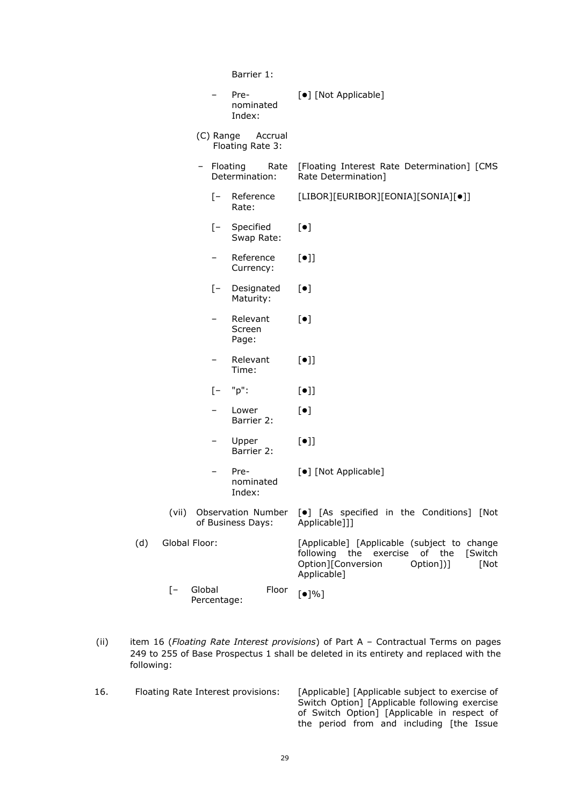Barrier 1:

|     |                   |        |             | Pre-<br>nominated<br>Index: | [•] [Not Applicable]                                                                                                                              |
|-----|-------------------|--------|-------------|-----------------------------|---------------------------------------------------------------------------------------------------------------------------------------------------|
|     |                   |        | (C) Range   | Accrual<br>Floating Rate 3: |                                                                                                                                                   |
|     |                   |        | - Floating  | Rate<br>Determination:      | [Floating Interest Rate Determination] [CMS<br>Rate Determination]                                                                                |
|     |                   |        | $[-]$       | Reference<br>Rate:          | [LIBOR][EURIBOR][EONIA][SONIA][•]]                                                                                                                |
|     |                   |        | $[-$        | Specified<br>Swap Rate:     | $[\bullet]$                                                                                                                                       |
|     |                   |        | -           | Reference<br>Currency:      | $[\bullet]$                                                                                                                                       |
|     |                   |        | $[-$        | Designated<br>Maturity:     | $[\bullet]$                                                                                                                                       |
|     |                   |        | -           | Relevant<br>Screen<br>Page: | $[\bullet]$                                                                                                                                       |
|     |                   |        |             | Relevant<br>Time:           | $[\bullet]$                                                                                                                                       |
|     |                   |        | [-          | "p":                        | $[\bullet]$                                                                                                                                       |
|     |                   |        |             | Lower<br>Barrier 2:         | $[\bullet]$                                                                                                                                       |
|     |                   |        |             | Upper<br>Barrier 2:         | $[\bullet]$                                                                                                                                       |
|     |                   |        |             | Pre-<br>nominated<br>Index: | [•] [Not Applicable]                                                                                                                              |
|     | (vii)             |        |             | of Business Days:           | Observation Number [ $\bullet$ ] [As specified in the Conditions] [Not<br>Applicable]]]                                                           |
| (d) | Global Floor:     |        |             |                             | [Applicable] [Applicable (subject to change<br>following the exercise of the<br>[Switch<br>Option][Conversion<br>Option])]<br>[Not<br>Applicable] |
|     | $\lceil - \rceil$ | Global | Percentage: | Floor                       | [•]%                                                                                                                                              |

(ii) item 16 (*Floating Rate Interest provisions*) of Part A – Contractual Terms on pages 249 to 255 of Base Prospectus 1 shall be deleted in its entirety and replaced with the following:

16. Floating Rate Interest provisions: [Applicable] [Applicable subject to exercise of Switch Option] [Applicable following exercise of Switch Option] [Applicable in respect of the period from and including [the Issue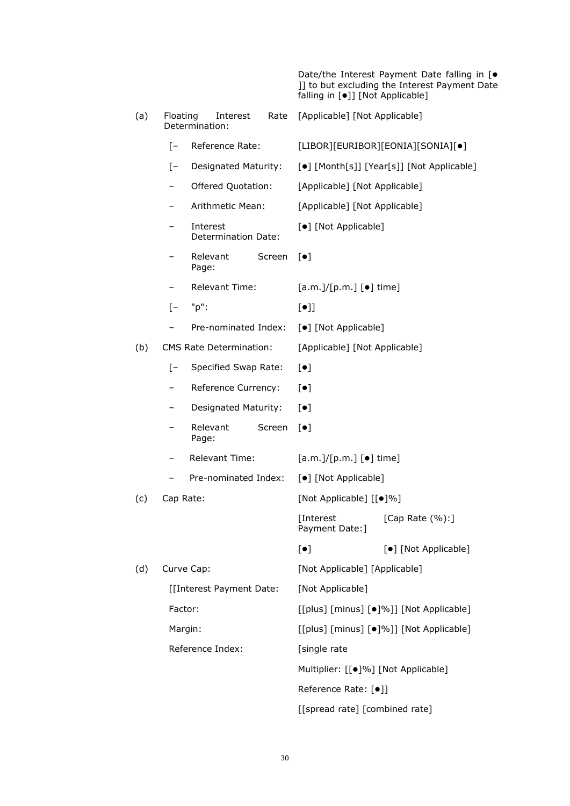|     |                   |                                 |        | falling in [.]] [Not Applicable]              | Date/the Interest Payment Date falling in [ $\bullet$<br>]] to but excluding the Interest Payment Date |  |
|-----|-------------------|---------------------------------|--------|-----------------------------------------------|--------------------------------------------------------------------------------------------------------|--|
| (a) | Floating          | Interest<br>Determination:      | Rate   | [Applicable] [Not Applicable]                 |                                                                                                        |  |
|     | $\lceil - \rceil$ | Reference Rate:                 |        |                                               | [LIBOR][EURIBOR][EONIA][SONIA][•]                                                                      |  |
|     | $[-]$             | Designated Maturity:            |        |                                               | [ $\bullet$ ] [Month[s]] [Year[s]] [Not Applicable]                                                    |  |
|     |                   | Offered Quotation:              |        | [Applicable] [Not Applicable]                 |                                                                                                        |  |
|     |                   | Arithmetic Mean:                |        | [Applicable] [Not Applicable]                 |                                                                                                        |  |
|     |                   | Interest<br>Determination Date: |        | [•] [Not Applicable]                          |                                                                                                        |  |
|     |                   | Relevant<br>Page:               | Screen | $[\bullet]$                                   |                                                                                                        |  |
|     |                   | Relevant Time:                  |        | $[a.m.]/[p.m.]$ $[•]$ time]                   |                                                                                                        |  |
|     | $\mathsf{I}$      | "p":                            |        | $[\bullet]$                                   |                                                                                                        |  |
|     |                   | Pre-nominated Index:            |        | [ $\bullet$ ] [Not Applicable]                |                                                                                                        |  |
| (b) |                   | <b>CMS Rate Determination:</b>  |        | [Applicable] [Not Applicable]                 |                                                                                                        |  |
|     | $\mathsf{I}$      | Specified Swap Rate:            |        | $[\bullet]$                                   |                                                                                                        |  |
|     |                   | Reference Currency:             |        | $\lceil \bullet \rceil$                       |                                                                                                        |  |
|     |                   | Designated Maturity:            |        | $\lceil \bullet \rceil$                       |                                                                                                        |  |
|     |                   | Relevant<br>Page:               | Screen | $\lceil \bullet \rceil$                       |                                                                                                        |  |
|     |                   | <b>Relevant Time:</b>           |        | $[a.m.]/[p.m.]$ $[•]$ time]                   |                                                                                                        |  |
|     |                   | Pre-nominated Index:            |        | [•] [Not Applicable]                          |                                                                                                        |  |
| (c) | Cap Rate:         |                                 |        | [Not Applicable] [[ $\bullet$ ]%]             |                                                                                                        |  |
|     |                   |                                 |        | [Interest<br>Payment Date: ]                  | [Cap Rate (%):]                                                                                        |  |
|     |                   |                                 |        | $[\bullet]$                                   | [•] [Not Applicable]                                                                                   |  |
| (d) | Curve Cap:        |                                 |        | [Not Applicable] [Applicable]                 |                                                                                                        |  |
|     |                   | [[Interest Payment Date:        |        | [Not Applicable]                              |                                                                                                        |  |
|     | Factor:           |                                 |        |                                               | [[plus] [minus] [ $\bullet$ ]%]] [Not Applicable]                                                      |  |
|     | Margin:           |                                 |        |                                               | [[plus] [minus] [ $\bullet$ ]%]] [Not Applicable]                                                      |  |
|     |                   | Reference Index:                |        | [single rate                                  |                                                                                                        |  |
|     |                   |                                 |        | Multiplier: [[ $\bullet$ ]%] [Not Applicable] |                                                                                                        |  |
|     |                   |                                 |        | Reference Rate: [ $\bullet$ ]]                |                                                                                                        |  |
|     |                   |                                 |        | [[spread rate] [combined rate]                |                                                                                                        |  |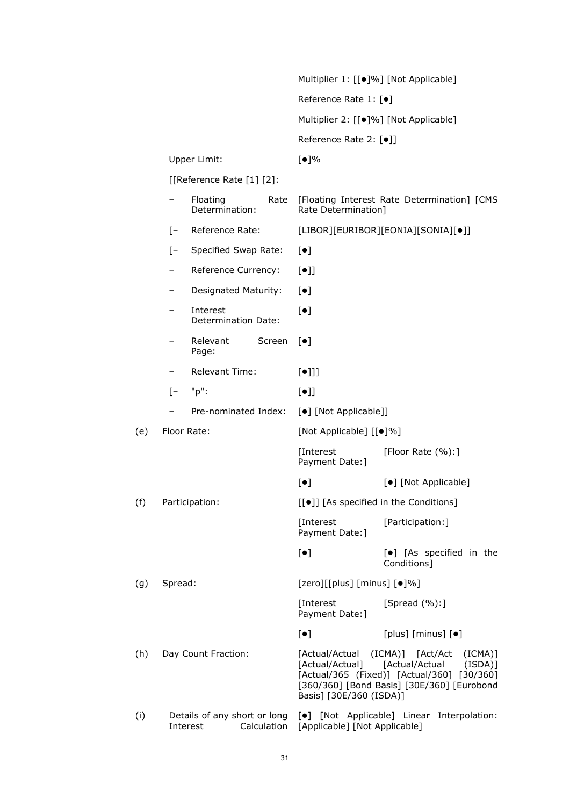|     |                   |                                                         |        |                                                              | Multiplier 1: [[●]%] [Not Applicable]                                                                                                                |
|-----|-------------------|---------------------------------------------------------|--------|--------------------------------------------------------------|------------------------------------------------------------------------------------------------------------------------------------------------------|
|     |                   |                                                         |        | Reference Rate 1: [ $\bullet$ ]                              |                                                                                                                                                      |
|     |                   |                                                         |        |                                                              | Multiplier 2: [[●]%] [Not Applicable]                                                                                                                |
|     |                   |                                                         |        | Reference Rate 2: [●]]                                       |                                                                                                                                                      |
|     |                   | Upper Limit:                                            |        | [•]%                                                         |                                                                                                                                                      |
|     |                   | [[Reference Rate [1] [2]:                               |        |                                                              |                                                                                                                                                      |
|     | -                 | Floating<br>Determination:                              | Rate   | Rate Determination]                                          | [Floating Interest Rate Determination] [CMS                                                                                                          |
|     | $\lceil - \rceil$ | Reference Rate:                                         |        |                                                              | [LIBOR][EURIBOR][EONIA][SONIA][•]]                                                                                                                   |
|     | $\lceil - \rceil$ | Specified Swap Rate:                                    |        | $[\bullet]$                                                  |                                                                                                                                                      |
|     | -                 | Reference Currency:                                     |        | $[\bullet]$                                                  |                                                                                                                                                      |
|     | -                 | Designated Maturity:                                    |        | $[\bullet]$                                                  |                                                                                                                                                      |
|     |                   | Interest<br>Determination Date:                         |        | $[\bullet]$                                                  |                                                                                                                                                      |
|     |                   | Relevant<br>Page:                                       | Screen | $\lceil \bullet \rceil$                                      |                                                                                                                                                      |
|     |                   | Relevant Time:                                          |        | $[\bullet]$ ]                                                |                                                                                                                                                      |
|     | $\lceil - \rceil$ | "p":                                                    |        | $[\bullet]$                                                  |                                                                                                                                                      |
|     |                   | Pre-nominated Index:                                    |        | [ $\bullet$ ] [Not Applicable]]                              |                                                                                                                                                      |
| (e) |                   | Floor Rate:                                             |        | [Not Applicable] [[ $\bullet$ ]%]                            |                                                                                                                                                      |
|     |                   |                                                         |        | [Interest<br>Payment Date: ]                                 | [Floor Rate (%):]                                                                                                                                    |
|     |                   |                                                         |        | $[\bullet]$                                                  | [•] [Not Applicable]                                                                                                                                 |
| (f) |                   | Participation:                                          |        |                                                              | [[ $\bullet$ ]] [As specified in the Conditions]                                                                                                     |
|     |                   |                                                         |        | [Interest<br>Payment Date:]                                  | [Participation:]                                                                                                                                     |
|     |                   |                                                         |        | $[\bullet]$                                                  | [ $\bullet$ ] [As specified in the<br>Conditions]                                                                                                    |
| (g) | Spread:           |                                                         |        | [zero][[plus] [minus] [ $\bullet$ ]%]                        |                                                                                                                                                      |
|     |                   |                                                         |        | [Interest<br>Payment Date: ]                                 | [Spread $(\%):$ ]                                                                                                                                    |
|     |                   |                                                         |        | $[\bullet]$                                                  | [plus] $[minus]$ [ $\bullet$ ]                                                                                                                       |
| (h) |                   | Day Count Fraction:                                     |        | [Actual/Actual<br>[Actual/Actual]<br>Basis] [30E/360 (ISDA)] | (ICMA)] [Act/Act<br>(ICMA)]<br>[Actual/Actual<br>(ISDA)]<br>[Actual/365 (Fixed)] [Actual/360] [30/360]<br>[360/360] [Bond Basis] [30E/360] [Eurobond |
| (i) |                   | Details of any short or long<br>Calculation<br>Interest |        | [Applicable] [Not Applicable]                                | [ $\bullet$ ] [Not Applicable] Linear Interpolation:                                                                                                 |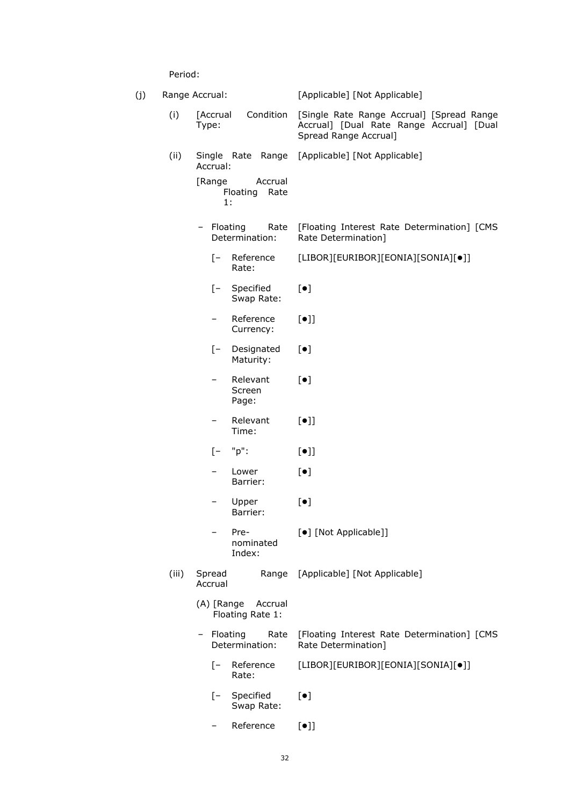Period:

| (j) |                                      | Range Accrual:                              | [Applicable] [Not Applicable]                                                                                  |
|-----|--------------------------------------|---------------------------------------------|----------------------------------------------------------------------------------------------------------------|
|     | (i)                                  | Condition<br>[Accrual<br>Type:              | [Single Rate Range Accrual] [Spread Range<br>Accrual] [Dual Rate Range Accrual] [Dual<br>Spread Range Accrual] |
|     | (ii)                                 | Accrual:                                    | Single Rate Range [Applicable] [Not Applicable]                                                                |
|     |                                      | [Range<br>Accrual<br>Floating<br>Rate<br>1: |                                                                                                                |
|     |                                      | - Floating<br>Rate<br>Determination:        | [Floating Interest Rate Determination] [CMS<br>Rate Determination]                                             |
|     |                                      | [- Reference<br>Rate:                       | [LIBOR][EURIBOR][EONIA][SONIA][•]]                                                                             |
|     |                                      | Specified<br>$[-$<br>Swap Rate:             | $[\bullet]$                                                                                                    |
|     |                                      | Reference<br>Currency:                      | $[\bullet]$                                                                                                    |
|     |                                      | $[-$<br>Designated<br>Maturity:             | $[\bullet]$                                                                                                    |
|     |                                      | Relevant<br>-<br>Screen<br>Page:            | $[\bullet]$                                                                                                    |
|     |                                      | Relevant<br>-<br>Time:                      | $[\bullet]$                                                                                                    |
|     |                                      | "p":<br>$[-]$                               | $[\bullet]$                                                                                                    |
|     |                                      | Lower<br>Barrier:                           | $[\bullet]$                                                                                                    |
|     |                                      | Upper<br>Barrier:                           | $[\bullet]$                                                                                                    |
|     | Pre-<br>nominated<br>Index:          |                                             | [ $\bullet$ ] [Not Applicable]]                                                                                |
|     | (iii)                                | Spread<br>Accrual                           | Range [Applicable] [Not Applicable]                                                                            |
|     |                                      | (A) [Range<br>Accrual<br>Floating Rate 1:   |                                                                                                                |
|     | - Floating<br>Rate<br>Determination: |                                             | [Floating Interest Rate Determination] [CMS<br>Rate Determination]                                             |
|     |                                      | Reference<br>$\lceil - \rceil$<br>Rate:     | [LIBOR][EURIBOR][EONIA][SONIA][•]]                                                                             |
|     |                                      | Specified<br>$\mathsf{I}$ –<br>Swap Rate:   | $[\bullet]$                                                                                                    |
|     |                                      | Reference                                   | $[\bullet]$                                                                                                    |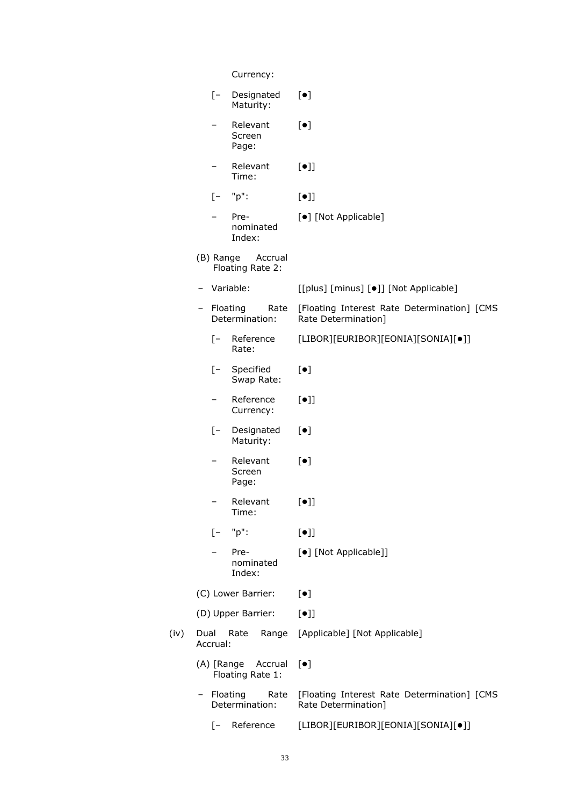|      |      |                   | Currency:                            |                                                                    |
|------|------|-------------------|--------------------------------------|--------------------------------------------------------------------|
|      |      | $[-$              | Designated<br>Maturity:              | $[\bullet]$                                                        |
|      |      |                   | Relevant<br>Screen<br>Page:          | $[\bullet]$                                                        |
|      |      |                   | Relevant<br>Time:                    | $[\bullet]$                                                        |
|      |      | $\lceil - \rceil$ | "p":                                 | $[\bullet]$                                                        |
|      |      |                   | Pre-<br>nominated<br>Index:          | [•] [Not Applicable]                                               |
|      |      | (B) Range         | Accrual<br>Floating Rate 2:          |                                                                    |
|      |      |                   | - Variable:                          | [[plus] [minus] [ $\bullet$ ]] [Not Applicable]                    |
|      |      |                   | - Floating<br>Rate<br>Determination: | [Floating Interest Rate Determination] [CMS<br>Rate Determination] |
|      |      | $\sqrt{-}$        | Reference<br>Rate:                   | [LIBOR][EURIBOR][EONIA][SONIA][•]]                                 |
|      |      | $[-$              | Specified<br>Swap Rate:              | $[\bullet]$                                                        |
|      |      | $\qquad \qquad -$ | Reference<br>Currency:               | $[\bullet]$                                                        |
|      |      | $[-]$             | Designated<br>Maturity:              | $[\bullet]$                                                        |
|      |      |                   | Relevant<br>Screen<br>Page:          | $[\bullet]$                                                        |
|      |      |                   | Relevant<br>Time:                    | $[\bullet]$                                                        |
|      |      | $[-$              | "p":                                 | $[\bullet]$                                                        |
|      |      |                   | Pre-<br>nominated<br>Index:          | [•] [Not Applicable]]                                              |
|      |      |                   | (C) Lower Barrier:                   | $[\bullet]$                                                        |
|      |      |                   | (D) Upper Barrier:                   | $[\bullet]$                                                        |
| (iv) | Dual | Accrual:          | Rate<br>Range                        | [Applicable] [Not Applicable]                                      |
|      |      | (A) [Range        | Accrual<br>Floating Rate 1:          | $[\bullet]$                                                        |
|      |      | - Floating        | Rate<br>Determination:               | [Floating Interest Rate Determination] [CMS<br>Rate Determination] |
|      |      | $\lceil - \rceil$ | Reference                            | [LIBOR][EURIBOR][EONIA][SONIA][•]]                                 |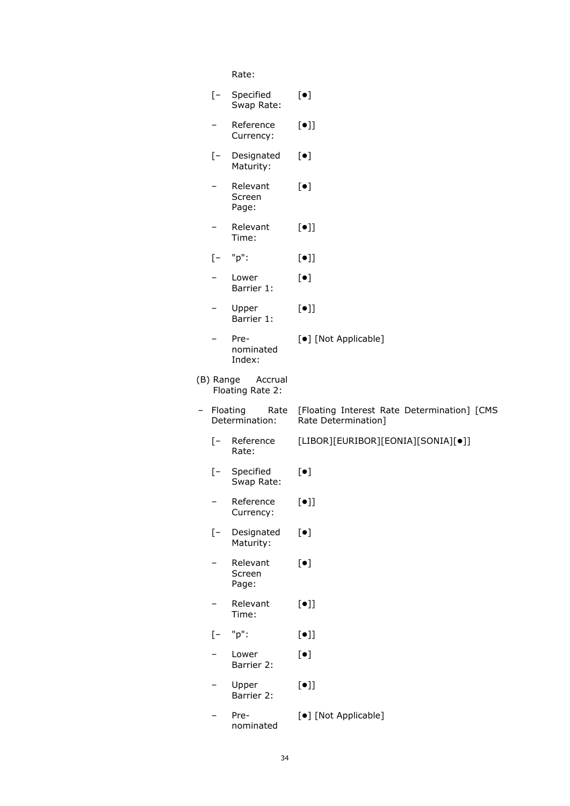Rate:

| $[-$              | Specified<br>Swap Rate:            | $[\bullet]$                                                        |
|-------------------|------------------------------------|--------------------------------------------------------------------|
| —                 | Reference<br>Currency:             | $[\bullet]$                                                        |
| $[-]$             | Designated<br>Maturity:            | $[\bullet]$                                                        |
|                   | Relevant<br>Screen<br>Page:        | $[\bullet]$                                                        |
|                   | Relevant<br>Time:                  | $[\bullet]$                                                        |
| $[-]$             | "p":                               | $[\bullet]$                                                        |
|                   | Lower<br>Barrier 1:                | $[\bullet]$                                                        |
|                   | Upper<br>Barrier 1:                | $\lbrack \bullet \rbrack \rbrack$                                  |
|                   | Pre-<br>nominated<br>Index:        | [•] [Not Applicable]                                               |
| (B) Range         | Accrual<br>Floating Rate 2:        |                                                                    |
|                   | Floating<br>Rate<br>Determination: | [Floating Interest Rate Determination] [CMS<br>Rate Determination] |
| $\lceil - \rceil$ | Reference<br>Rate:                 | [LIBOR][EURIBOR][EONIA][SONIA][•]]                                 |
| $[-]$             | Specified<br>Swap Rate:            | $[\bullet]$                                                        |
|                   | Reference<br>Currency:             | $[\bullet]$                                                        |
| $[-]$             | Designated<br>Maturity:            | $[\bullet]$                                                        |
|                   | Relevant<br>Screen<br>Page:        | $\left[\bullet\right]$                                             |
|                   | Relevant<br>Time:                  | $[\bullet]$                                                        |
| [-                | "p":                               | $[\bullet] ]$                                                      |
|                   | Lower<br>Barrier 2:                | $[\bullet]$                                                        |
|                   | Upper<br>Barrier 2:                | $\lbrack \bullet \rbrack \rbrack$                                  |
|                   | Pre-<br>nominated                  | [•] [Not Applicable]                                               |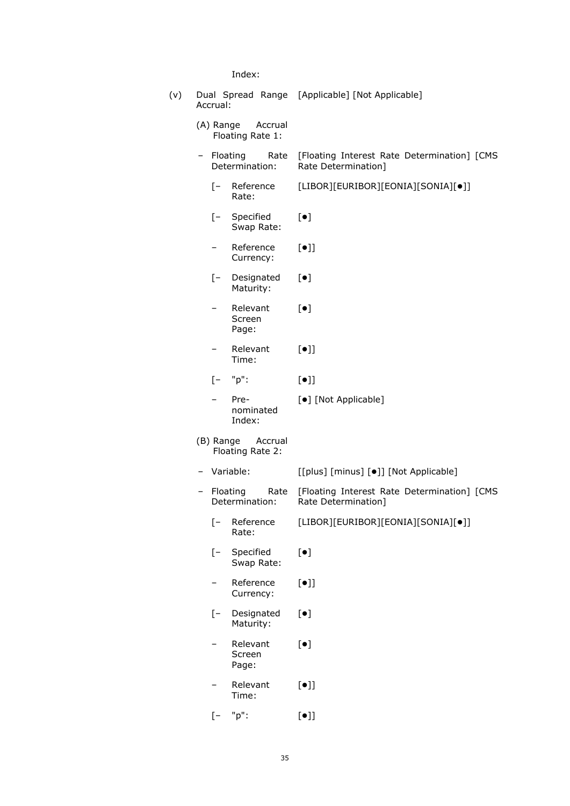Index:

| (v) | Accrual:          |                                          | Dual Spread Range [Applicable] [Not Applicable]                    |
|-----|-------------------|------------------------------------------|--------------------------------------------------------------------|
|     |                   | (A) Range Accrual<br>Floating Rate 1:    |                                                                    |
|     |                   | - Floating<br>Rate<br>Determination:     | [Floating Interest Rate Determination] [CMS<br>Rate Determination] |
|     |                   | [- Reference<br>Rate:                    | [LIBOR][EURIBOR][EONIA][SONIA][•]]                                 |
|     | $[-$              | Specified<br>Swap Rate:                  | $[\bullet]$                                                        |
|     |                   | Reference<br>Currency:                   | $[\bullet]$                                                        |
|     | $[-$              | Designated<br>Maturity:                  | $[\bullet]$                                                        |
|     |                   | Relevant<br>Screen<br>Page:              | $[\bullet]$                                                        |
|     |                   | Relevant<br>Time:                        | $[\bullet]$                                                        |
|     | $\lceil - \rceil$ | "p":                                     | $[\bullet]$                                                        |
|     |                   | Pre-<br>nominated<br>Index:              | [•] [Not Applicable]                                               |
|     |                   | (B) Range<br>Accrual<br>Floating Rate 2: |                                                                    |
|     |                   | - Variable:                              | [[plus] [minus] [ $\bullet$ ]] [Not Applicable]                    |
|     |                   | Floating<br>Rate<br>Determination:       | [Floating Interest Rate Determination] [CMS<br>Rate Determination] |
|     | $\lceil - \rceil$ | Reference<br>Rate:                       | [LIBOR][EURIBOR][EONIA][SONIA][•]]                                 |
|     | $[-]$             | Specified<br>Swap Rate:                  | $\lbrack \bullet \rbrack$                                          |
|     |                   | Reference<br>Currency:                   | $[\bullet]$                                                        |
|     | [-                | Designated<br>Maturity:                  | $[\bullet]$                                                        |
|     |                   | Relevant<br>Screen<br>Page:              | $[\bullet]$                                                        |
|     |                   | Relevant<br>Time:                        | $[\bullet]$                                                        |
|     | $\mathsf{I}$ –    | "p":                                     | $[\bullet]$                                                        |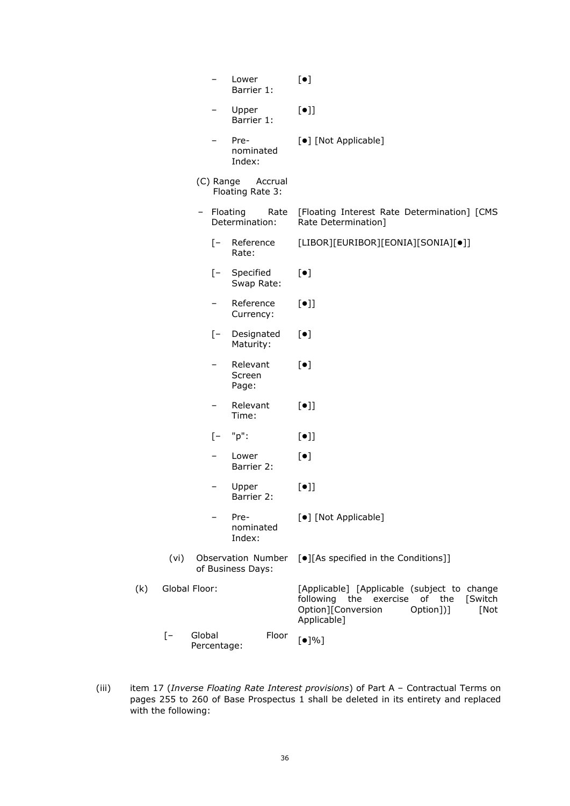|     |      |                       | Lower<br>Barrier 1:                     | $[\bullet]$                                                                                                                                                |
|-----|------|-----------------------|-----------------------------------------|------------------------------------------------------------------------------------------------------------------------------------------------------------|
|     |      |                       | Upper<br>Barrier 1:                     | $[\bullet]$                                                                                                                                                |
|     |      |                       | Pre-<br>nominated<br>Index:             | [ $\bullet$ ] [Not Applicable]                                                                                                                             |
|     |      | (C) Range             | Accrual<br>Floating Rate 3:             |                                                                                                                                                            |
|     |      | - Floating            | Rate<br>Determination:                  | [Floating Interest Rate Determination] [CMS<br>Rate Determination]                                                                                         |
|     |      | $\mathsf{I}$          | Reference<br>Rate:                      | [LIBOR][EURIBOR][EONIA][SONIA][•]]                                                                                                                         |
|     |      | $[-]$                 | Specified<br>Swap Rate:                 | $[\bullet]$                                                                                                                                                |
|     |      | -                     | Reference<br>Currency:                  | $[\bullet]$                                                                                                                                                |
|     |      | $\sqrt{-}$            | Designated<br>Maturity:                 | $[\bullet]$                                                                                                                                                |
|     |      |                       | Relevant<br>Screen<br>Page:             | $[\bullet]$                                                                                                                                                |
|     |      | -                     | Relevant<br>Time:                       | $[\bullet]$                                                                                                                                                |
|     |      | $[-]$                 | "p":                                    | $[\bullet]$                                                                                                                                                |
|     |      |                       | Lower<br>Barrier 2:                     | $[\bullet]$                                                                                                                                                |
|     |      |                       | Upper<br>Barrier 2:                     | $[\bullet]$                                                                                                                                                |
|     |      |                       | Pre-<br>nominated<br>Index:             | [•] [Not Applicable]                                                                                                                                       |
|     | (vi) |                       | Observation Number<br>of Business Days: | [.][As specified in the Conditions]]                                                                                                                       |
| (k) |      | Global Floor:         |                                         | [Applicable] [Applicable (subject to change<br>following the<br>exercise<br>[Switch<br>of<br>the<br>Option][Conversion<br>[Not<br>Option])]<br>Applicable] |
|     | $[-$ | Global<br>Percentage: | Floor                                   | [•]%                                                                                                                                                       |

(iii) item 17 (*Inverse Floating Rate Interest provisions*) of Part A – Contractual Terms on pages 255 to 260 of Base Prospectus 1 shall be deleted in its entirety and replaced with the following: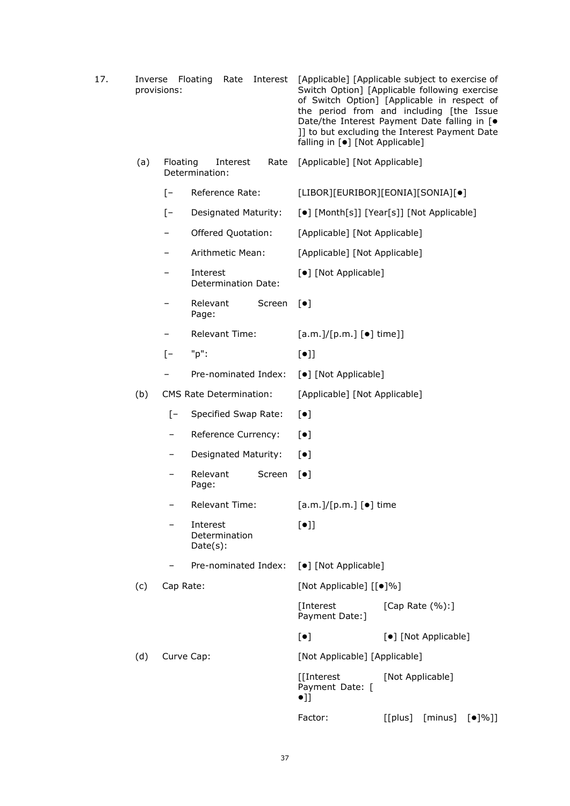| 17. |     | provisions:                                    | Inverse Floating<br>Rate                 | Interest | falling in [ $\bullet$ ] [Not Applicable]           | [Applicable] [Applicable subject to exercise of<br>Switch Option] [Applicable following exercise<br>of Switch Option] [Applicable in respect of<br>the period from and including [the Issue<br>Date/the Interest Payment Date falling in [ $\bullet$<br>]] to but excluding the Interest Payment Date |  |
|-----|-----|------------------------------------------------|------------------------------------------|----------|-----------------------------------------------------|-------------------------------------------------------------------------------------------------------------------------------------------------------------------------------------------------------------------------------------------------------------------------------------------------------|--|
|     | (a) | Floating<br>Interest<br>Rate<br>Determination: |                                          |          | [Applicable] [Not Applicable]                       |                                                                                                                                                                                                                                                                                                       |  |
|     |     | $\lceil - \rceil$                              | Reference Rate:                          |          | [LIBOR][EURIBOR][EONIA][SONIA][•]                   |                                                                                                                                                                                                                                                                                                       |  |
|     |     | $[-]$                                          | Designated Maturity:                     |          | [ $\bullet$ ] [Month[s]] [Year[s]] [Not Applicable] |                                                                                                                                                                                                                                                                                                       |  |
|     |     |                                                | Offered Quotation:                       |          | [Applicable] [Not Applicable]                       |                                                                                                                                                                                                                                                                                                       |  |
|     |     |                                                | Arithmetic Mean:                         |          | [Applicable] [Not Applicable]                       |                                                                                                                                                                                                                                                                                                       |  |
|     |     |                                                | Interest<br>Determination Date:          |          | [•] [Not Applicable]                                |                                                                                                                                                                                                                                                                                                       |  |
|     |     |                                                | Relevant<br>Page:                        | Screen   | $\lbrack \bullet \rbrack$                           |                                                                                                                                                                                                                                                                                                       |  |
|     |     |                                                | Relevant Time:                           |          | $[a.m.]/[p.m.]$ [ $\bullet$ ] time]]                |                                                                                                                                                                                                                                                                                                       |  |
|     |     | $[-]$                                          | "p":                                     |          | $[\bullet]$                                         |                                                                                                                                                                                                                                                                                                       |  |
|     |     |                                                | Pre-nominated Index:                     |          | [•] [Not Applicable]                                |                                                                                                                                                                                                                                                                                                       |  |
|     | (b) |                                                | CMS Rate Determination:                  |          | [Applicable] [Not Applicable]                       |                                                                                                                                                                                                                                                                                                       |  |
|     |     | $\mathsf{I}$                                   | Specified Swap Rate:                     |          | $[\bullet]$                                         |                                                                                                                                                                                                                                                                                                       |  |
|     |     |                                                | Reference Currency:                      |          | $[\bullet]$                                         |                                                                                                                                                                                                                                                                                                       |  |
|     |     | -                                              | Designated Maturity:                     |          | $[\bullet]$                                         |                                                                                                                                                                                                                                                                                                       |  |
|     |     | -                                              | Relevant<br>Page:                        | Screen   | $[\bullet]$                                         |                                                                                                                                                                                                                                                                                                       |  |
|     |     |                                                | <b>Relevant Time:</b>                    |          | [a.m.]/[p.m.] [•] time                              |                                                                                                                                                                                                                                                                                                       |  |
|     |     |                                                | Interest<br>Determination<br>$Date(s)$ : |          | $[\bullet]$                                         |                                                                                                                                                                                                                                                                                                       |  |
|     |     |                                                | Pre-nominated Index:                     |          | [•] [Not Applicable]                                |                                                                                                                                                                                                                                                                                                       |  |
|     | (c) | Cap Rate:                                      |                                          |          | [Not Applicable] [[ $\bullet$ ]%]                   |                                                                                                                                                                                                                                                                                                       |  |
|     |     |                                                |                                          |          | [Interest<br>Payment Date: ]                        | [Cap Rate (%):]                                                                                                                                                                                                                                                                                       |  |
|     |     |                                                |                                          |          | $\left[\,\bullet\,\right]$                          | [•] [Not Applicable]                                                                                                                                                                                                                                                                                  |  |
|     | (d) |                                                | Curve Cap:                               |          | [Not Applicable] [Applicable]                       |                                                                                                                                                                                                                                                                                                       |  |
|     |     |                                                |                                          |          | [[Interest<br>Payment Date: [<br>$\bullet$ ]]       | [Not Applicable]                                                                                                                                                                                                                                                                                      |  |
|     |     |                                                |                                          |          | Factor:                                             | $[$ [plus] $[$ minus] $[$ $\bullet$ ]%]]                                                                                                                                                                                                                                                              |  |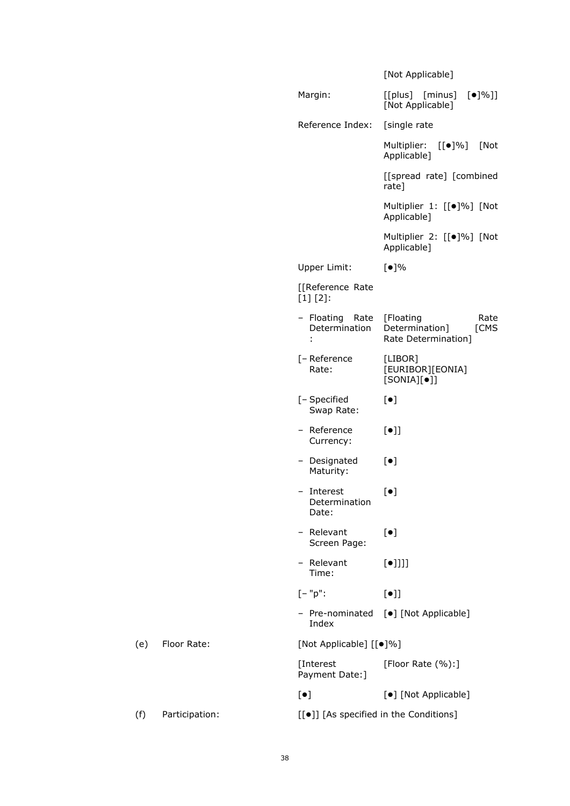|     |                |                                                  | [Not Applicable]                                                   |
|-----|----------------|--------------------------------------------------|--------------------------------------------------------------------|
|     |                | Margin:                                          | [[plus] [minus]<br>$[•]%$ ]]<br>[Not Applicable]                   |
|     |                | Reference Index:                                 | [single rate                                                       |
|     |                |                                                  | Multiplier:<br>$[[\bullet]\%]$<br>[Not<br>Applicable]              |
|     |                |                                                  | [[spread rate] [combined<br>rate]                                  |
|     |                |                                                  | Multiplier 1: [[·]%] [Not<br>Applicable]                           |
|     |                |                                                  | Multiplier 2: [[.]%] [Not<br>Applicable]                           |
|     |                | Upper Limit:                                     | [•]%                                                               |
|     |                | [[Reference Rate<br>$[1] [2]$ :                  |                                                                    |
|     |                | - Floating<br>Rate<br>Determination              | [Floating<br>Rate<br>Determination]<br>[CMS<br>Rate Determination] |
|     |                | [- Reference<br>Rate:                            | [LIBOR]<br>[EURIBOR][EONIA]<br>$[SONIA][\bullet]]$                 |
|     |                | [- Specified<br>Swap Rate:                       | $[\bullet]$                                                        |
|     |                | - Reference<br>Currency:                         | $[\bullet]$                                                        |
|     |                | - Designated<br>Maturity:                        | $[\bullet]$                                                        |
|     |                | - Interest<br>Determination<br>Date:             | $[\bullet]$                                                        |
|     |                | Relevant<br>$\qquad \qquad -$<br>Screen Page:    | $[\bullet]$                                                        |
|     |                | - Relevant<br>Time:                              | $[\bullet]]]]$                                                     |
|     |                | $[-"p":$                                         | $[\bullet]$                                                        |
|     |                | Index                                            | - Pre-nominated [ $\bullet$ ] [Not Applicable]                     |
| (e) | Floor Rate:    | [Not Applicable] [[ $\bullet$ ]%]                |                                                                    |
|     |                | [Interest<br>Payment Date: ]                     | [Floor Rate (%):]                                                  |
|     |                | $[\bullet]$                                      | [•] [Not Applicable]                                               |
| (f) | Participation: | [[ $\bullet$ ]] [As specified in the Conditions] |                                                                    |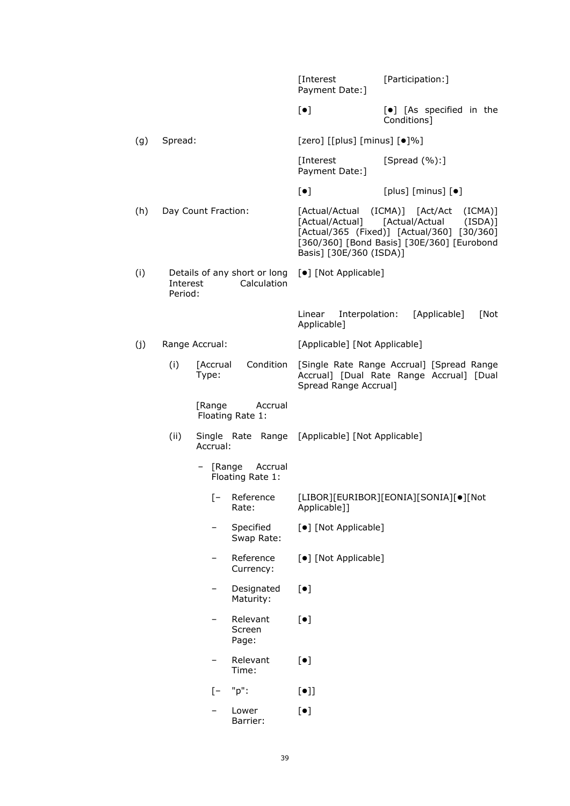|     |                          |                                             | [Interest<br>Payment Date: ]                              | [Participation:]                                                                                                                                  |
|-----|--------------------------|---------------------------------------------|-----------------------------------------------------------|---------------------------------------------------------------------------------------------------------------------------------------------------|
|     |                          |                                             | $[\bullet]$                                               | [ $\bullet$ ] [As specified in the<br>Conditions]                                                                                                 |
| (g) | Spread:                  |                                             | [zero] [[plus] [minus] [ $\bullet$ ]%]                    |                                                                                                                                                   |
|     |                          |                                             | [Interest<br>Payment Date: ]                              | [Spread $(\%):$ ]                                                                                                                                 |
|     |                          |                                             | $[\bullet]$                                               | [plus] $[minus]$ [minus] $[•]$                                                                                                                    |
| (h) | Day Count Fraction:      |                                             | [Actual/Actual] [Actual/Actual<br>Basis] [30E/360 (ISDA)] | [Actual/Actual (ICMA)] [Act/Act<br>(ICMA)]<br>(ISDA)]<br>[Actual/365 (Fixed)] [Actual/360] [30/360]<br>[360/360] [Bond Basis] [30E/360] [Eurobond |
| (i) | Interest<br>Period:      | Details of any short or long<br>Calculation | [•] [Not Applicable]                                      |                                                                                                                                                   |
|     |                          |                                             | Linear<br>Interpolation:<br>Applicable]                   | [Applicable]<br>[Not                                                                                                                              |
| (j) | Range Accrual:           |                                             | [Applicable] [Not Applicable]                             |                                                                                                                                                   |
|     | (i)<br>[Accrual<br>Type: | Condition                                   | Spread Range Accrual]                                     | [Single Rate Range Accrual] [Spread Range<br>Accrual] [Dual Rate Range Accrual] [Dual                                                             |
|     | [Range                   | Accrual<br>Floating Rate 1:                 |                                                           |                                                                                                                                                   |
|     | (ii)<br>Accrual:         | Single Rate Range                           | [Applicable] [Not Applicable]                             |                                                                                                                                                   |
|     | -                        | [Range<br>Accrual<br>Floating Rate 1:       |                                                           |                                                                                                                                                   |
|     |                          | [- Reference<br>Rate:                       | Applicable]]                                              | [LIBOR][EURIBOR][EONIA][SONIA][ $\bullet$ ][Not                                                                                                   |
|     |                          | Specified<br>Swap Rate:                     | [•] [Not Applicable]                                      |                                                                                                                                                   |
|     |                          | Reference<br>Currency:                      | [•] [Not Applicable]                                      |                                                                                                                                                   |
|     |                          | Designated<br>Maturity:                     | $[\bullet]$                                               |                                                                                                                                                   |
|     |                          | Relevant<br>Screen<br>Page:                 | $[\bullet]$                                               |                                                                                                                                                   |
|     |                          | Relevant<br>Time:                           | $[\bullet]$                                               |                                                                                                                                                   |
|     | $\mathsf{I}$             | "p":                                        | $[\bullet]$                                               |                                                                                                                                                   |
|     |                          | Lower<br>Barrier:                           | $\left[\bullet\right]$                                    |                                                                                                                                                   |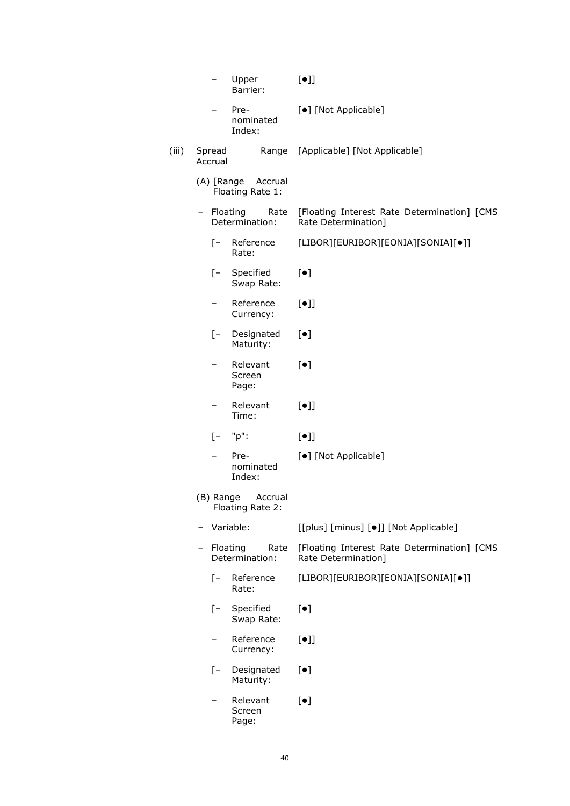|       |                   | Upper<br>Barrier:                      |      | $[\bullet]$                                                        |
|-------|-------------------|----------------------------------------|------|--------------------------------------------------------------------|
|       |                   | Pre-<br>nominated<br>Index:            |      | [•] [Not Applicable]                                               |
| (iii) | Spread<br>Accrual |                                        |      | Range [Applicable] [Not Applicable]                                |
|       |                   | (A) [Range Accrual<br>Floating Rate 1: |      |                                                                    |
|       | - Floating        | Determination:                         | Rate | [Floating Interest Rate Determination] [CMS<br>Rate Determination] |
|       | $[-$              | Reference<br>Rate:                     |      | [LIBOR][EURIBOR][EONIA][SONIA][•]]                                 |
|       | $[-$              | Specified<br>Swap Rate:                |      | $[\bullet]$                                                        |
|       |                   | Reference<br>Currency:                 |      | $[\bullet]$                                                        |
|       | $[-$              | Designated<br>Maturity:                |      | $[\bullet]$                                                        |
|       | Ξ.                | Relevant<br>Screen<br>Page:            |      | $[\bullet]$                                                        |
|       |                   | Relevant<br>Time:                      |      | $[\bullet]$                                                        |
|       | $\lceil - \rceil$ | "p":                                   |      | $[\bullet]$                                                        |
|       |                   | Pre-<br>nominated<br>Index:            |      | [•] [Not Applicable]                                               |
|       | (B) Range         | Accrual<br>Floating Rate 2:            |      |                                                                    |
|       |                   | Variable:                              |      | [[plus] [minus] [ $\bullet$ ]] [Not Applicable]                    |
|       |                   | Floating<br>Determination:             | Rate | [Floating Interest Rate Determination] [CMS<br>Rate Determination] |
|       | $[-]$             | Reference<br>Rate:                     |      | [LIBOR][EURIBOR][EONIA][SONIA][•]]                                 |
|       | $[- -]$           | Specified<br>Swap Rate:                |      | $[\bullet]$                                                        |
|       |                   | Reference<br>Currency:                 |      | $[\bullet]$                                                        |
|       | $[-]$             | Designated<br>Maturity:                |      | $[\bullet]$                                                        |
|       |                   | Relevant<br>Screen<br>Page:            |      | $[\bullet]$                                                        |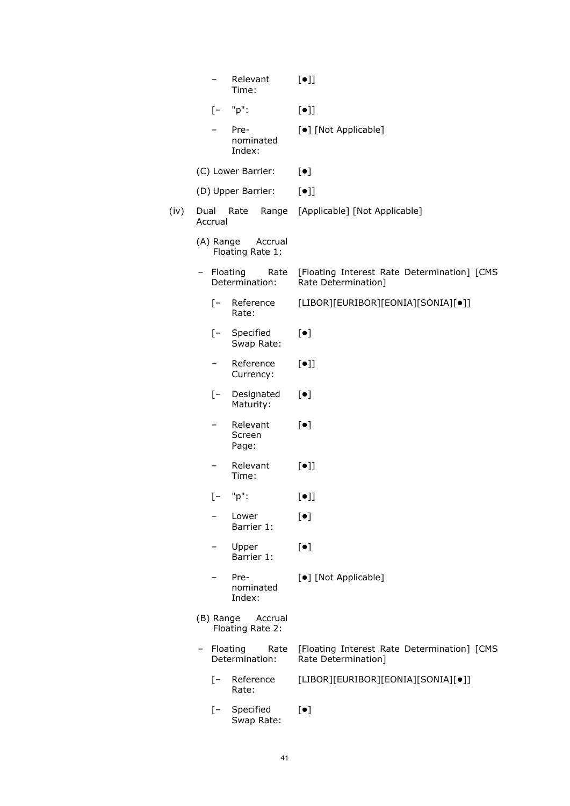| Relevant<br>Time:                        | $[\bullet]$                                                        |
|------------------------------------------|--------------------------------------------------------------------|
| "p":<br>$[-]$                            | $[\bullet]$                                                        |
| Pre-<br>nominated<br>Index:              | [•] [Not Applicable]                                               |
| (C) Lower Barrier:                       | $[\bullet]$                                                        |
| (D) Upper Barrier:                       | $[\bullet]$                                                        |
| Dual<br>Rate<br>Range<br>Accrual         | [Applicable] [Not Applicable]                                      |
| (A) Range<br>Accrual<br>Floating Rate 1: |                                                                    |
| - Floating<br>Rate<br>Determination:     | [Floating Interest Rate Determination] [CMS<br>Rate Determination] |
| $[-$<br>Reference<br>Rate:               | [LIBOR][EURIBOR][EONIA][SONIA][•]]                                 |
| Specified<br>$[-$<br>Swap Rate:          | $[\bullet]$                                                        |
| Reference<br>Currency:                   | $[\bullet]$                                                        |
| [- Designated<br>Maturity:               | $[\bullet]$                                                        |
| Relevant<br>Screen<br>Page:              | $[\bullet]$                                                        |
| Relevant<br>-<br>Time:                   | $[\bullet]$                                                        |
| "p":<br>$\mathsf{I}$ –                   | $\left[\bullet\right]$                                             |
| Lower<br>Barrier 1:                      | $[\bullet]$                                                        |
| Upper<br>Barrier 1:                      | $[\bullet]$                                                        |
| Pre-<br>nominated<br>Index:              | [•] [Not Applicable]                                               |
| (B) Range<br>Accrual<br>Floating Rate 2: |                                                                    |
| Floating<br>Rate<br>Determination:       | [Floating Interest Rate Determination] [CMS<br>Rate Determination] |
| [- Reference<br>Rate:                    | [LIBOR][EURIBOR][EONIA][SONIA][•]]                                 |
| [- Specified<br>Swap Rate:               | $[\bullet]$                                                        |

 $(iv)$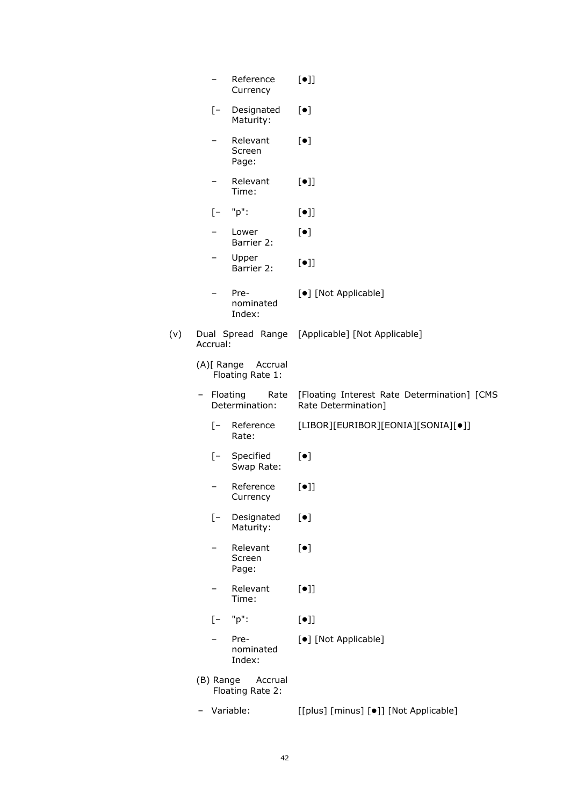|     |            | Reference<br>Currency                  | $[\bullet]$                                                             |
|-----|------------|----------------------------------------|-------------------------------------------------------------------------|
|     | $[-$       | Designated<br>Maturity:                | $[\bullet]$                                                             |
|     |            | Relevant<br>Screen<br>Page:            | $[\bullet]$                                                             |
|     |            | Relevant<br>Time:                      | $[\bullet]$                                                             |
|     | $[-]$      | "p":                                   | $[\bullet]$                                                             |
|     |            | Lower<br>Barrier 2:                    | $[\bullet]$                                                             |
|     |            | Upper<br>Barrier 2:                    | $[\bullet]$                                                             |
|     |            | Pre-<br>nominated<br>Index:            | [•] [Not Applicable]                                                    |
| (v) | Accrual:   |                                        | Dual Spread Range [Applicable] [Not Applicable]                         |
|     |            | (A)[ Range Accrual<br>Floating Rate 1: |                                                                         |
|     | - Floating | Determination:                         | Rate [Floating Interest Rate Determination] [CMS<br>Rate Determination] |
|     | $[-$       | Reference<br>Rate:                     | [LIBOR][EURIBOR][EONIA][SONIA][•]]                                      |
|     | $[-$       | Specified<br>Swap Rate:                | $[\bullet]$                                                             |
|     |            | Reference<br>Currency                  | $[\bullet]$                                                             |
|     | $[-]$      | Designated<br>Maturity:                | $[\bullet]$                                                             |
|     |            | Relevant<br>Screen<br>Page:            | $\lbrack \bullet \rbrack$                                               |
|     |            | Relevant<br>Time:                      | $[\bullet]$                                                             |
|     | [-         | "p":                                   | $[\bullet]$                                                             |
|     |            | Pre-<br>nominated<br>Index:            | [ $\bullet$ ] [Not Applicable]                                          |
|     | (B) Range  | Accrual<br>Floating Rate 2:            |                                                                         |
|     |            | Variable:                              | [[plus] [minus] [ $\bullet$ ]] [Not Applicable]                         |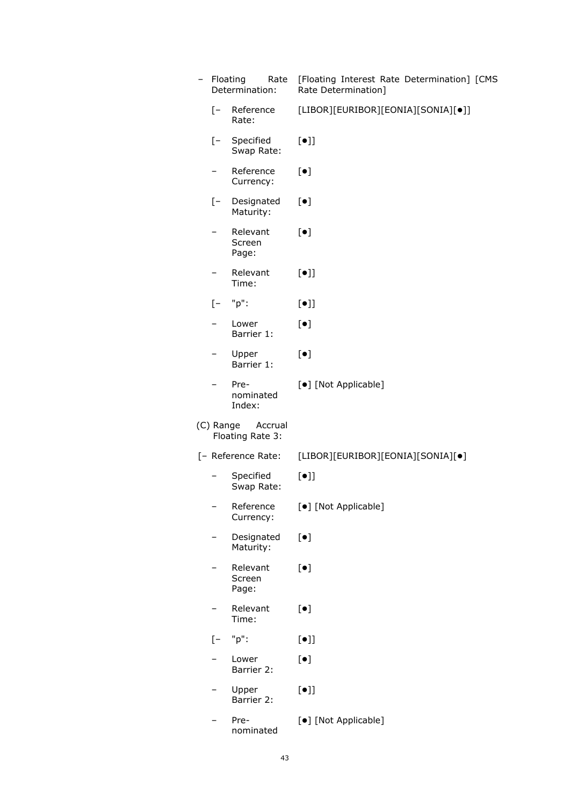|                          | Determination:              | Rate Determination]                |
|--------------------------|-----------------------------|------------------------------------|
| $[-]$                    | Reference<br>Rate:          | [LIBOR][EURIBOR][EONIA][SONIA][•]] |
| $[-$                     | Specified<br>Swap Rate:     | $[\bullet]$                        |
| $\overline{\phantom{0}}$ | Reference<br>Currency:      | $[\bullet]$                        |
| $[-]$                    | Designated<br>Maturity:     | $[\bullet]$                        |
|                          | Relevant<br>Screen<br>Page: | $[\bullet]$                        |
| -                        | Relevant<br>Time:           | $[\bullet]$                        |
| $[-]$                    | "p":                        | $[\bullet]$                        |
|                          | Lower<br>Barrier 1:         | $[\bullet]$                        |
|                          | Upper<br>Barrier 1:         | $\lbrack \bullet \rbrack$          |
|                          | Pre-<br>nominated<br>Index: | [•] [Not Applicable]               |
| (C) Range                | Accrual<br>Floating Rate 3: |                                    |
|                          | [- Reference Rate:          | [LIBOR][EURIBOR][EONIA][SONIA][•]  |
|                          |                             |                                    |
|                          | Specified<br>Swap Rate:     | $[\bullet]$                        |
|                          | Reference<br>Currency:      | [•] [Not Applicable]               |
|                          | Designated<br>Maturity:     | $[\bullet]$                        |
|                          | Relevant<br>Screen<br>Page: | $[\bullet]$                        |
|                          | Relevant<br>Time:           | $\lbrack \bullet \rbrack$          |
| $\sqrt{-}$               | "p":                        | $[\bullet]$                        |
|                          | Lower<br>Barrier 2:         | $[\bullet]$                        |
|                          | Upper<br>Barrier 2:         | $[\bullet]$                        |

Rate [Floating Interest Rate Determination] [CMS

– Floating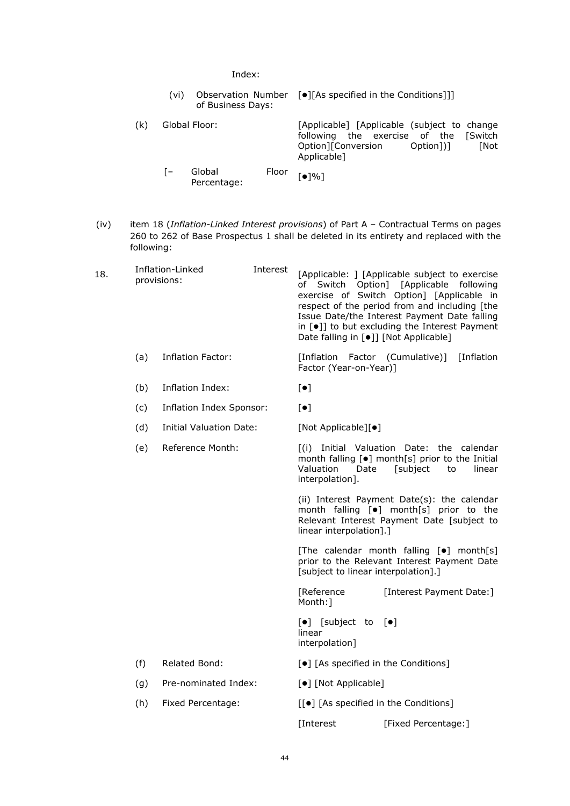Index:

|     | (vi)             | of Business Days:     |       | Observation Number [●][As specified in the Conditions]]]                                                                                       |
|-----|------------------|-----------------------|-------|------------------------------------------------------------------------------------------------------------------------------------------------|
| (k) | Global Floor:    |                       |       | [Applicable] [Applicable (subject to change<br>following the exercise of the [Switch<br>Option][Conversion<br>Option1)1<br>[Not<br>Applicable] |
|     | $\mathsf{I}$ $-$ | Global<br>Percentage: | Floor | [●]%]                                                                                                                                          |

(iv) item 18 (*Inflation-Linked Interest provisions*) of Part A – Contractual Terms on pages 260 to 262 of Base Prospectus 1 shall be deleted in its entirety and replaced with the following:

|     |                                |                                 | Date falling in [·]] [Not Applicable]                          | [Applicable: ] [Applicable subject to exercise<br>of Switch Option] [Applicable following<br>exercise of Switch Option] [Applicable in<br>respect of the period from and including [the<br>Issue Date/the Interest Payment Date falling<br>in [.] to but excluding the Interest Payment |
|-----|--------------------------------|---------------------------------|----------------------------------------------------------------|-----------------------------------------------------------------------------------------------------------------------------------------------------------------------------------------------------------------------------------------------------------------------------------------|
| (a) | <b>Inflation Factor:</b>       |                                 | [Inflation]<br>Factor (Year-on-Year)]                          | [Inflation<br>Factor (Cumulative)]                                                                                                                                                                                                                                                      |
| (b) | Inflation Index:               |                                 | $\lbrack \bullet \rbrack$                                      |                                                                                                                                                                                                                                                                                         |
| (c) |                                |                                 | $[\bullet]$                                                    |                                                                                                                                                                                                                                                                                         |
| (d) | <b>Initial Valuation Date:</b> |                                 | [Not Applicable][ $\bullet$ ]                                  |                                                                                                                                                                                                                                                                                         |
| (e) | Reference Month:               |                                 | Valuation<br>Date<br>interpolation].                           | [(i) Initial Valuation Date: the calendar<br>month falling [ $\bullet$ ] month[s] prior to the Initial<br>[subject<br>linear<br>to                                                                                                                                                      |
|     |                                |                                 | linear interpolation].]                                        | (ii) Interest Payment Date(s): the calendar<br>month falling [ $\bullet$ ] month[s] prior to the<br>Relevant Interest Payment Date [subject to                                                                                                                                          |
|     |                                |                                 | [subject to linear interpolation].]                            | [The calendar month falling [.] month[s]<br>prior to the Relevant Interest Payment Date                                                                                                                                                                                                 |
|     |                                |                                 | [Reference<br>Month:1                                          | [Interest Payment Date:]                                                                                                                                                                                                                                                                |
|     |                                |                                 | $\left[\bullet\right]$ [subject to<br>linear<br>interpolation] | $\lceil \bullet \rceil$                                                                                                                                                                                                                                                                 |
| (f) | Related Bond:                  |                                 | [ $\bullet$ ] [As specified in the Conditions]                 |                                                                                                                                                                                                                                                                                         |
| (g) | Pre-nominated Index:           |                                 | [ $\bullet$ ] [Not Applicable]                                 |                                                                                                                                                                                                                                                                                         |
| (h) | Fixed Percentage:              |                                 | [[●] [As specified in the Conditions]                          |                                                                                                                                                                                                                                                                                         |
|     |                                |                                 | [Interest                                                      | [Fixed Percentage:]                                                                                                                                                                                                                                                                     |
|     |                                | Inflation-Linked<br>provisions: | Interest<br>Inflation Index Sponsor:                           |                                                                                                                                                                                                                                                                                         |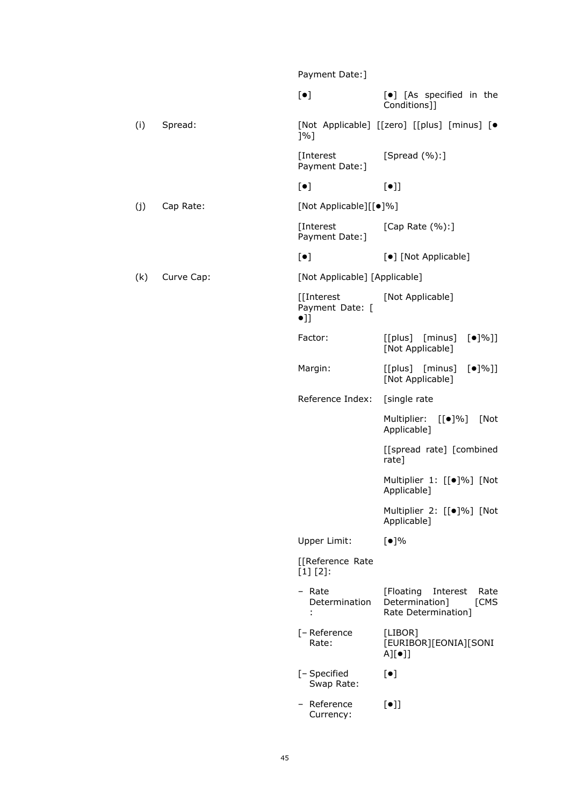|     |            | Payment Date: ]                               |                                                                                 |
|-----|------------|-----------------------------------------------|---------------------------------------------------------------------------------|
|     |            | $[\bullet]$                                   | [ $\bullet$ ] [As specified in the<br>Conditions]]                              |
| (i) | Spread:    | $]$ %]                                        | [Not Applicable] [[zero] [[plus] [minus] [ $\bullet$                            |
|     |            | [Interest<br>Payment Date: ]                  | [Spread $(\%):$ ]                                                               |
|     |            | $[\bullet]$                                   | $[\bullet]$                                                                     |
| (j) | Cap Rate:  | [Not Applicable][[ $\bullet$ ]%]              |                                                                                 |
|     |            | [Interest]<br>Payment Date: ]                 | [Cap Rate (%):]                                                                 |
|     |            | $[\bullet]$                                   | [•] [Not Applicable]                                                            |
| (k) | Curve Cap: | [Not Applicable] [Applicable]                 |                                                                                 |
|     |            | [[Interest<br>Payment Date: [<br>$\bullet$ ]] | [Not Applicable]                                                                |
|     |            | Factor:                                       | [[plus] [minus]<br>$\left[\bullet\right]\%$ ]]<br>[Not Applicable]              |
|     |            | Margin:                                       | [[plus] [minus]<br>$\left[\bullet\right]\%$ ]]<br>[Not Applicable]              |
|     |            | Reference Index:                              | [single rate                                                                    |
|     |            |                                               | Multiplier:<br>[[●]%]<br>[Not<br>Applicable]                                    |
|     |            |                                               | [[spread rate] [combined<br>rate]                                               |
|     |            |                                               | Multiplier 1: [[.]%] [Not<br>Applicable]                                        |
|     |            |                                               | Multiplier 2: [[●]%] [Not<br>Applicable]                                        |
|     |            | Upper Limit:                                  | [•]%                                                                            |
|     |            | [[Reference Rate<br>$[1] [2]$ :               |                                                                                 |
|     |            | – Rate<br>Determination<br>÷.                 | [Floating]<br>Interest<br>Rate<br>Determination]<br>[CMS<br>Rate Determination] |
|     |            | [- Reference<br>Rate:                         | [LIBOR]<br>[EURIBOR][EONIA][SONI<br>$A][\bullet]$                               |
|     |            | [- Specified<br>Swap Rate:                    | $[\bullet]$                                                                     |
|     |            | - Reference<br>Currency:                      | $[\bullet]$                                                                     |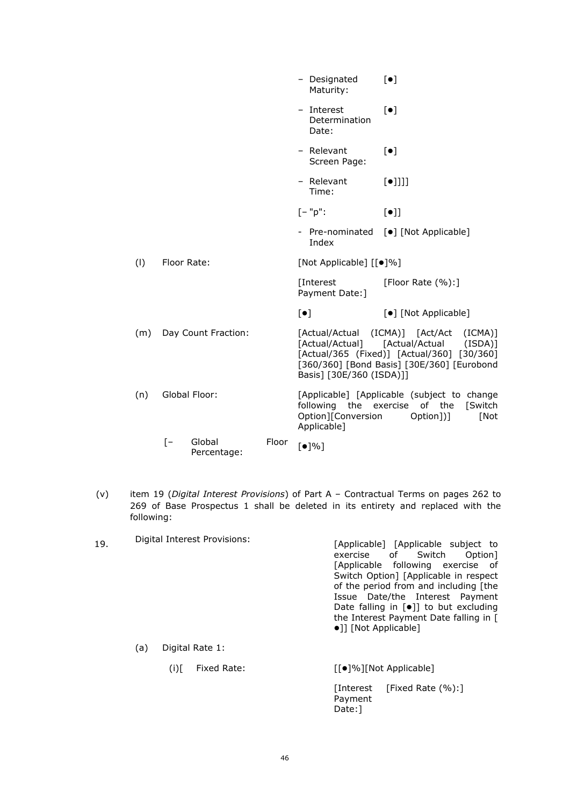|     |                                            |       | - Designated<br>Maturity:                                          | $\lceil \bullet \rceil$                                                                                                                                                                   |
|-----|--------------------------------------------|-------|--------------------------------------------------------------------|-------------------------------------------------------------------------------------------------------------------------------------------------------------------------------------------|
|     |                                            |       | - Interest<br>Determination<br>Date:                               | $\lceil \bullet \rceil$                                                                                                                                                                   |
|     |                                            |       | - Relevant<br>Screen Page:                                         | $\lceil \bullet \rceil$                                                                                                                                                                   |
|     |                                            |       | - Relevant<br>Time:                                                | $[\bullet]$ ]]]                                                                                                                                                                           |
|     |                                            |       | $[-"p":$                                                           | $[\bullet]$                                                                                                                                                                               |
|     |                                            |       | Index                                                              | - Pre-nominated [ $\bullet$ ] [Not Applicable]                                                                                                                                            |
| (1) | Floor Rate:                                |       | [Not Applicable] [[ $\bullet$ ]%]                                  |                                                                                                                                                                                           |
|     |                                            |       | [Interest<br>Payment Date: ]                                       | [Floor Rate $(\%):$ ]                                                                                                                                                                     |
|     |                                            |       | $[\bullet]$                                                        | [ $\bullet$ ] [Not Applicable]                                                                                                                                                            |
| (m) | Day Count Fraction:                        |       | Basis] [30E/360 (ISDA)]]                                           | [Actual/Actual (ICMA)] [Act/Act<br>$(ICMA)$ ]<br>$(ISDA)$ ]<br>[Actual/Actual] [Actual/Actual<br>[Actual/365 (Fixed)] [Actual/360] [30/360]<br>[360/360] [Bond Basis] [30E/360] [Eurobond |
| (n) | Global Floor:                              |       | following the exercise of the<br>Option][Conversion<br>Applicable] | [Applicable] [Applicable (subject to change<br><b>Switch</b><br>Option])]<br>[Not                                                                                                         |
|     | $\lceil - \rceil$<br>Global<br>Percentage: | Floor | [•]%                                                               |                                                                                                                                                                                           |

- (v) item 19 (*Digital Interest Provisions*) of Part A Contractual Terms on pages 262 to 269 of Base Prospectus 1 shall be deleted in its entirety and replaced with the following:
- 19. Digital Interest Provisions: [Applicable] [Applicable subject to exercise of Switch Option] exercise [Applicable following exercise of Switch Option] [Applicable in respect of the period from and including [the Issue Date/the Interest Payment Date falling in  $[\bullet]$  to but excluding the Interest Payment Date falling in [ ]] [Not Applicable] (a) Digital Rate 1: (i)[ Fixed Rate:  $[[\bullet]\%][\text{Not Applied}]$

[Interest **Payment** Date: ] [Fixed Rate (%):]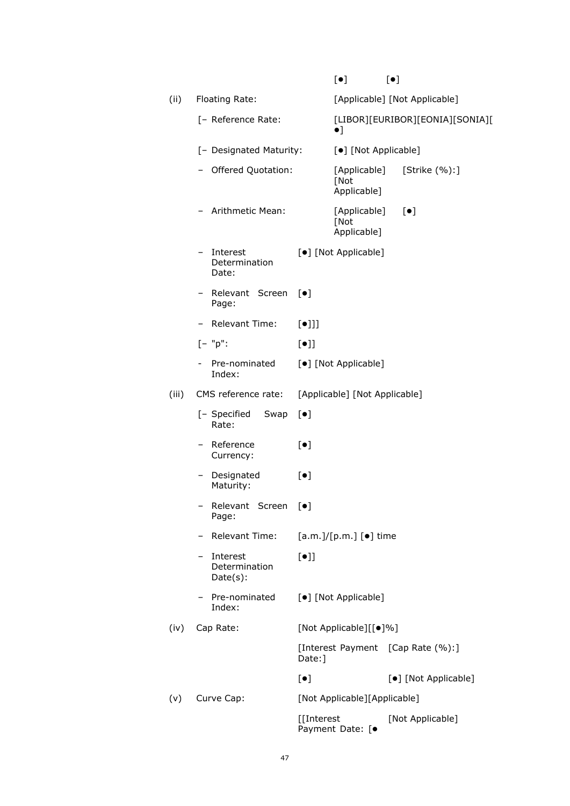|       |                                          |                         | $\lbrack \bullet \rbrack$           | $[\bullet]$                       |
|-------|------------------------------------------|-------------------------|-------------------------------------|-----------------------------------|
| (ii)  | Floating Rate:                           |                         |                                     | [Applicable] [Not Applicable]     |
|       | [- Reference Rate:                       |                         | $\bullet$ ]                         | [LIBOR][EURIBOR][EONIA][SONIA][   |
|       | [- Designated Maturity:                  |                         | [•] [Not Applicable]                |                                   |
|       | Offered Quotation:                       |                         | [Applicable]<br>[Not<br>Applicable] | [Strike (%):]                     |
|       | - Arithmetic Mean:                       |                         | [Applicable]<br>[Not<br>Applicable] | $[\bullet]$                       |
|       | Interest<br>Determination<br>Date:       |                         | [•] [Not Applicable]                |                                   |
|       | - Relevant Screen<br>Page:               | $\lceil \bullet \rceil$ |                                     |                                   |
|       | - Relevant Time:                         | $[\bullet]$ ]           |                                     |                                   |
|       | $[- "p":$                                | $[\bullet]$             |                                     |                                   |
|       | Pre-nominated<br>Index:                  |                         | [•] [Not Applicable]                |                                   |
| (iii) | CMS reference rate:                      |                         | [Applicable] [Not Applicable]       |                                   |
|       | [- Specified<br>Swap<br>Rate:            | $[\bullet]$             |                                     |                                   |
|       | - Reference<br>Currency:                 | $[\bullet]$             |                                     |                                   |
|       | Designated<br>Maturity:                  | $[\bullet]$             |                                     |                                   |
|       | Relevant Screen<br>Page:                 | $\lceil \bullet \rceil$ |                                     |                                   |
|       | <b>Relevant Time:</b>                    |                         | [a.m.]/[p.m.] [•] time              |                                   |
|       | Interest<br>Determination<br>$Date(s)$ : | $[\bullet]$             |                                     |                                   |
|       | Pre-nominated<br>Index:                  |                         | [•] [Not Applicable]                |                                   |
| (iv)  | Cap Rate:                                |                         | [Not Applicable][[ $\bullet$ ]%]    |                                   |
|       |                                          | Date:]                  |                                     | [Interest Payment [Cap Rate (%):] |
|       |                                          | $[\bullet]$             |                                     | [•] [Not Applicable]              |
| (v)   | Curve Cap:                               |                         | [Not Applicable][Applicable]        |                                   |
|       |                                          | [[Interest              | Payment Date: [ $\bullet$           | [Not Applicable]                  |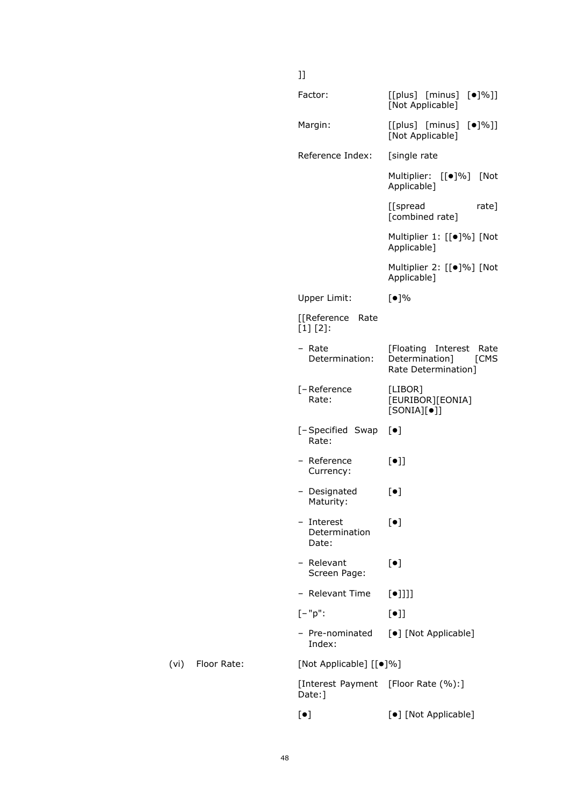## Factor: [[plus] [minus] [ $\bullet$ ]%]] [Not Applicable] Margin: [[plus] [minus] [ $|$ ]%]] [Not Applicable] Reference Index: [single rate] Multiplier: [[ $\bullet$ ]%] [Not Applicable] [[spread rate] [combined rate] Multiplier 1: [[ $\bullet$ ]%] [Not Applicable] Multiplier 2: [[ $\bullet$ ]%] [Not Applicable] Upper Limit: [ $\bullet$ ]% [[Reference Rate [1] [2]: – Rate Determination: [Floating Interest Rate<br>Determination] [CMS  $Determination$ ] Rate Determination] [–Reference Rate: [LIBOR] [EURIBOR][EONIA]  $[SONIA][\bullet]]$ [–Specified Swap Rate:  $\lceil \bullet \rceil$ – Reference Currency:  $[\bullet]$ ] – Designated Maturity:  $\lceil \bullet \rceil$ – Interest Determination Date:  $[\bullet]$ – Relevant Screen Page:  $[•]$ – Relevant Time  $[\bullet]$ ]]]  $[-"p": \qquad \qquad [•]]$ – Pre-nominated Index: [ $\bullet$ ] [Not Applicable] (vi) Floor Rate: [Not Applicable]  $[[\bullet]\%]$ [Interest Payment [Floor Rate (%):] Date: ] [ $\bullet$ ] [ $\bullet$ ] [Not Applicable]

]]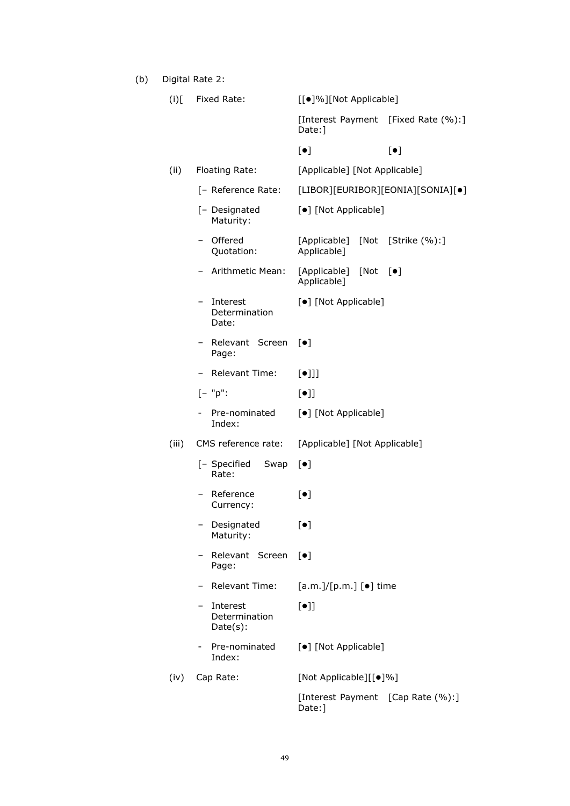(b) Digital Rate 2:

| $\left($ i $\right)$ [ | Fixed Rate:                              | [[●]%][Not Applicable]                         |  |  |
|------------------------|------------------------------------------|------------------------------------------------|--|--|
|                        |                                          | [Interest Payment [Fixed Rate (%):]<br>Date:]  |  |  |
|                        |                                          | $[\bullet]$<br>$[\bullet]$                     |  |  |
| (ii)                   | Floating Rate:                           | [Applicable] [Not Applicable]                  |  |  |
|                        | [- Reference Rate:                       | [LIBOR][EURIBOR][EONIA][SONIA][•]              |  |  |
|                        | [- Designated<br>Maturity:               | [•] [Not Applicable]                           |  |  |
|                        | Offered<br>Quotation:                    | [Applicable] [Not [Strike (%):]<br>Applicable] |  |  |
|                        | Arithmetic Mean:                         | [Applicable] [Not [ $\bullet$ ]<br>Applicable] |  |  |
|                        | Interest<br>Determination<br>Date:       | [•] [Not Applicable]                           |  |  |
|                        | - Relevant Screen<br>Page:               | $\lceil \bullet \rceil$                        |  |  |
|                        | Relevant Time:                           | $[\bullet]$ ]                                  |  |  |
|                        | $[- "p":$                                | $[\bullet]$                                    |  |  |
|                        | Pre-nominated<br>Index:                  | [•] [Not Applicable]                           |  |  |
| (iii)                  | CMS reference rate:                      | [Applicable] [Not Applicable]                  |  |  |
|                        | [- Specified<br>Swap<br>Rate:            | $[\bullet]$                                    |  |  |
|                        | Reference<br>Currency:                   | $[\bullet]$                                    |  |  |
|                        | Designated<br>Maturity:                  | $[\bullet]$                                    |  |  |
|                        | Relevant Screen<br>Page:                 | $[\bullet]$                                    |  |  |
|                        | <b>Relevant Time:</b>                    | $[a.m.]/[p.m.]$ [ $\bullet$ ] time             |  |  |
|                        | Interest<br>Determination<br>$Date(s)$ : | $[\bullet]$                                    |  |  |
|                        | Pre-nominated<br>Index:                  | [•] [Not Applicable]                           |  |  |
| (iv)                   | Cap Rate:                                | [Not Applicable][[ $\bullet$ ]%]               |  |  |
|                        |                                          | [Interest Payment [Cap Rate (%):]<br>Date:]    |  |  |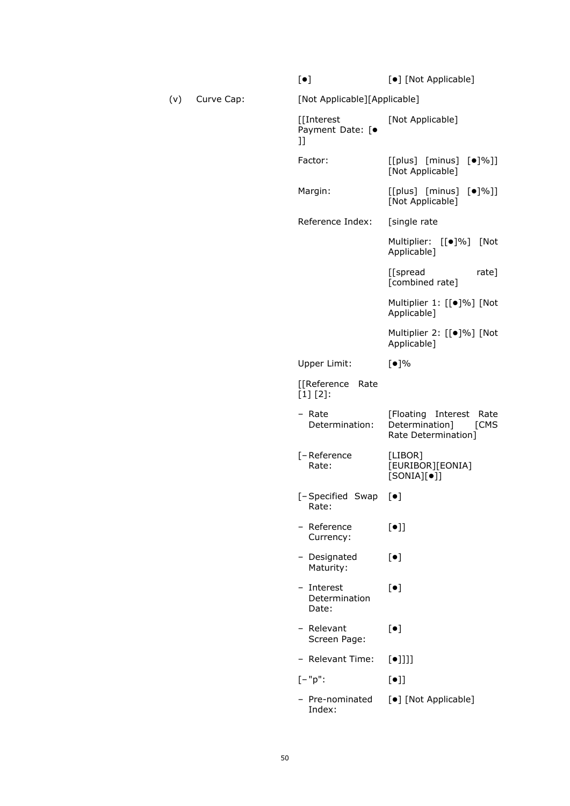|     |            | $[\bullet]$                                   | [•] [Not Applicable]                                                      |  |  |  |  |
|-----|------------|-----------------------------------------------|---------------------------------------------------------------------------|--|--|--|--|
| (v) | Curve Cap: | [Not Applicable][Applicable]                  |                                                                           |  |  |  |  |
|     |            | [[Interest<br>Payment Date: [ $\bullet$<br>IJ | [Not Applicable]                                                          |  |  |  |  |
|     |            | Factor:                                       | $[$ [plus] $[$ minus] $[$ $\bullet$ ]%]]<br>[Not Applicable]              |  |  |  |  |
|     |            | Margin:                                       | $[$ [plus] $[$ minus] $[$ $\bullet$ ]%]]<br>[Not Applicable]              |  |  |  |  |
|     |            | Reference Index:                              | [single rate                                                              |  |  |  |  |
|     |            |                                               | Multiplier: [[ $\bullet$ ]%] [Not<br>Applicable]                          |  |  |  |  |
|     |            |                                               | [[spread<br>rate]<br>[combined rate]                                      |  |  |  |  |
|     |            |                                               | Multiplier 1: [[·]%] [Not<br>Applicable]                                  |  |  |  |  |
|     |            |                                               | Multiplier 2: [[ $\bullet$ ]%] [Not<br>Applicable]                        |  |  |  |  |
|     |            | Upper Limit:                                  | [•]%                                                                      |  |  |  |  |
|     |            | [[Reference Rate<br>$[1] [2]$ :               |                                                                           |  |  |  |  |
|     |            | - Rate<br>Determination:                      | [Floating Interest Rate<br>Determination]<br>[CMS]<br>Rate Determination] |  |  |  |  |
|     |            | [-Reference<br>Rate:                          | [LIBOR]<br>[EURIBOR][EONIA]<br>$[SONIA][\bullet]]$                        |  |  |  |  |
|     |            | [-Specified Swap<br>Rate:                     | $[\bullet]$                                                               |  |  |  |  |
|     |            | - Reference<br>Currency:                      | $[\bullet]$                                                               |  |  |  |  |
|     |            | - Designated<br>Maturity:                     | $\left[\bullet\right]$                                                    |  |  |  |  |
|     |            | - Interest<br>Determination<br>Date:          | $[\bullet]$                                                               |  |  |  |  |
|     |            | - Relevant<br>Screen Page:                    | $[\bullet]$                                                               |  |  |  |  |
|     |            | - Relevant Time:                              | $[\bullet]$ ]]]                                                           |  |  |  |  |
|     |            | $[-"p":$                                      | $[\bullet]$                                                               |  |  |  |  |
|     |            | - Pre-nominated<br>Index:                     | [•] [Not Applicable]                                                      |  |  |  |  |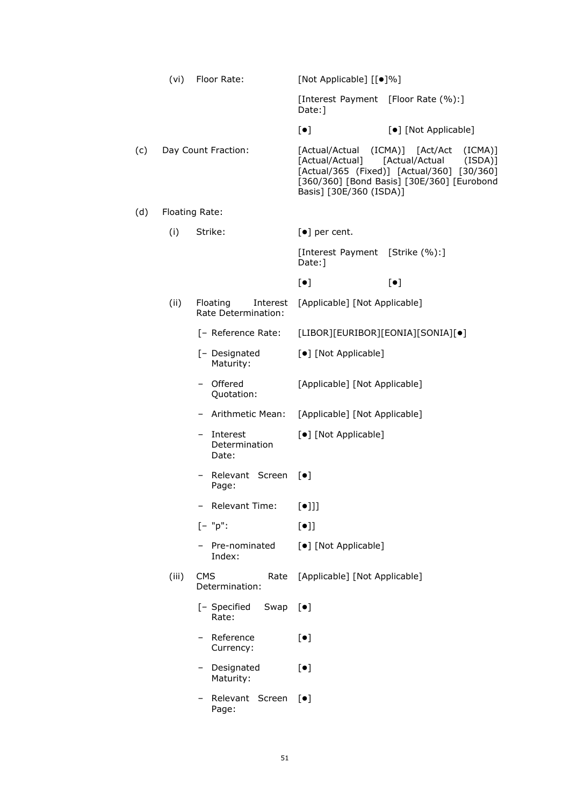|     | (vi)  | Floor Rate:                                 | [Not Applicable] [[ $\bullet$ ]%]                            |                                                                                                                                                      |
|-----|-------|---------------------------------------------|--------------------------------------------------------------|------------------------------------------------------------------------------------------------------------------------------------------------------|
|     |       |                                             | [Interest Payment [Floor Rate (%):]<br>Date: ]               |                                                                                                                                                      |
|     |       |                                             | $[\bullet]$                                                  | [•] [Not Applicable]                                                                                                                                 |
| (c) |       | Day Count Fraction:                         | [Actual/Actual<br>[Actual/Actual]<br>Basis] [30E/360 (ISDA)] | (ICMA)] [Act/Act<br>(ICMA)]<br>[Actual/Actual<br>(ISDA)]<br>[Actual/365 (Fixed)] [Actual/360] [30/360]<br>[360/360] [Bond Basis] [30E/360] [Eurobond |
| (d) |       | Floating Rate:                              |                                                              |                                                                                                                                                      |
|     | (i)   | Strike:                                     | $\lbrack \bullet \rbrack$ per cent.                          |                                                                                                                                                      |
|     |       |                                             | [Interest Payment [Strike (%):]<br>Date: ]                   |                                                                                                                                                      |
|     |       |                                             | $[\bullet]$                                                  | $\lbrack \bullet \rbrack$                                                                                                                            |
|     | (ii)  | Floating<br>Interest<br>Rate Determination: | [Applicable] [Not Applicable]                                |                                                                                                                                                      |
|     |       | [- Reference Rate:                          | [LIBOR][EURIBOR][EONIA][SONIA][•]                            |                                                                                                                                                      |
|     |       | [- Designated<br>Maturity:                  | [•] [Not Applicable]                                         |                                                                                                                                                      |
|     |       | Offered<br>$-$<br>Quotation:                | [Applicable] [Not Applicable]                                |                                                                                                                                                      |
|     |       | - Arithmetic Mean:                          | [Applicable] [Not Applicable]                                |                                                                                                                                                      |
|     |       | Interest<br>$-$<br>Determination<br>Date:   | [•] [Not Applicable]                                         |                                                                                                                                                      |
|     |       | - Relevant Screen<br>Page:                  | $\lceil \bullet \rceil$                                      |                                                                                                                                                      |
|     |       | <b>Relevant Time:</b>                       | $[\bullet]]]$                                                |                                                                                                                                                      |
|     |       | $[- "p":$                                   | $[\bullet]$                                                  |                                                                                                                                                      |
|     |       | Pre-nominated<br>Index:                     | [•] [Not Applicable]                                         |                                                                                                                                                      |
|     | (iii) | <b>CMS</b><br>Rate<br>Determination:        | [Applicable] [Not Applicable]                                |                                                                                                                                                      |
|     |       | [- Specified<br>Swap<br>Rate:               | $[\bullet]$                                                  |                                                                                                                                                      |
|     |       | Reference<br>Currency:                      | $[\bullet]$                                                  |                                                                                                                                                      |
|     |       | - Designated<br>Maturity:                   | $[\bullet]$                                                  |                                                                                                                                                      |
|     |       | Relevant Screen<br>Page:                    | $\lceil \bullet \rceil$                                      |                                                                                                                                                      |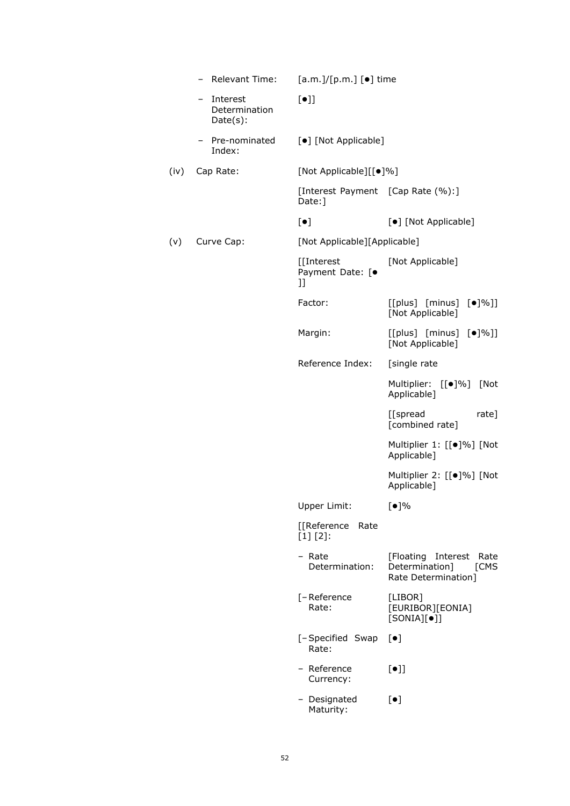|      | Relevant Time:                             | $[a.m.]/[p.m.]$ [ $\bullet$ ] time            |                                                                             |
|------|--------------------------------------------|-----------------------------------------------|-----------------------------------------------------------------------------|
|      | Interest<br>-<br>Determination<br>Date(s): | $[\bullet]$                                   |                                                                             |
|      | Pre-nominated<br>Index:                    | [•] [Not Applicable]                          |                                                                             |
| (iv) | Cap Rate:                                  | [Not Applicable][[ $\bullet$ ]%]              |                                                                             |
|      |                                            | [Interest Payment [Cap Rate (%):]<br>Date:    |                                                                             |
|      |                                            | $[\bullet]$                                   | [•] [Not Applicable]                                                        |
| (v)  | Curve Cap:                                 | [Not Applicable][Applicable]                  |                                                                             |
|      |                                            | [[Interest<br>Payment Date: [ $\bullet$<br>]] | [Not Applicable]                                                            |
|      |                                            | Factor:                                       | $[$ [plus] $[$ minus] $[$ $\bullet$ ]%]]<br>[Not Applicable]                |
|      |                                            | Margin:                                       | $[$ [plus] $[$ minus] $[$ $\bullet$ ]%]]<br>[Not Applicable]                |
|      |                                            | Reference Index:                              | [single rate                                                                |
|      |                                            |                                               | Multiplier: [[·]%] [Not<br>Applicable]                                      |
|      |                                            |                                               | [[spread<br>rate]<br>[combined rate]                                        |
|      |                                            |                                               | Multiplier 1: [[·]%] [Not<br>Applicable]                                    |
|      |                                            |                                               | Multiplier 2: [[·]%] [Not<br>Applicable]                                    |
|      |                                            | Upper Limit:                                  | [•]%                                                                        |
|      |                                            | [[Reference<br>Rate<br>$[1] [2]$ :            |                                                                             |
|      |                                            | - Rate<br>Determination:                      | [Floating Interest<br>Rate<br>Determination]<br>[CMS<br>Rate Determination] |
|      |                                            | [-Reference<br>Rate:                          | [LIBOR]<br>[EURIBOR][EONIA]<br>$[SONIA][\bullet]]$                          |
|      |                                            | [-Specified Swap<br>Rate:                     | $[\bullet]$                                                                 |
|      |                                            | - Reference<br>Currency:                      | $[\bullet]$                                                                 |
|      |                                            | - Designated<br>Maturity:                     | $[\bullet]$                                                                 |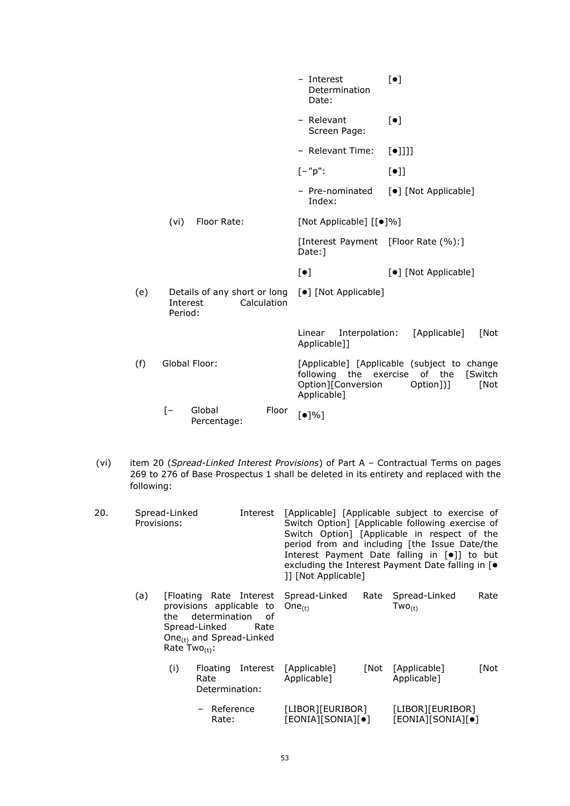|                                                                                                          |      |                       |       |             | - Interest<br>Determination<br>Date:                                                                       | $\lceil \bullet \rceil$ |                      |                       |
|----------------------------------------------------------------------------------------------------------|------|-----------------------|-------|-------------|------------------------------------------------------------------------------------------------------------|-------------------------|----------------------|-----------------------|
|                                                                                                          |      |                       |       |             | - Relevant<br>Screen Page:                                                                                 | $[\bullet]$             |                      |                       |
|                                                                                                          |      |                       |       |             | - Relevant Time:                                                                                           | $[\bullet]$ ]]]         |                      |                       |
|                                                                                                          |      |                       |       |             | $[-"p":$                                                                                                   | $[\bullet]$             |                      |                       |
|                                                                                                          |      |                       |       |             | - Pre-nominated<br>Index:                                                                                  |                         | [•] [Not Applicable] |                       |
|                                                                                                          | (vi) | Floor Rate:           |       |             | [Not Applicable] [[ $\bullet$ ]%]                                                                          |                         |                      |                       |
|                                                                                                          |      |                       |       |             | [Interest Payment [Floor Rate (%):]<br>Date:1                                                              |                         |                      |                       |
|                                                                                                          |      |                       |       | $[\bullet]$ |                                                                                                            |                         | [•] [Not Applicable] |                       |
| (e)<br>Details of any short or long [ $\bullet$ ] [Not Applicable]<br>Calculation<br>Interest<br>Period: |      |                       |       |             |                                                                                                            |                         |                      |                       |
|                                                                                                          |      |                       |       |             | Interpolation:<br>Linear<br>Applicable]]                                                                   |                         | [Applicable]         | [Not                  |
| (f)                                                                                                      |      | Global Floor:         |       |             | [Applicable] [Applicable (subject to change<br>following the exercise<br>Option][Conversion<br>Applicable] |                         | of the<br>Option])]  | <b>Switch</b><br>[Not |
|                                                                                                          | ſ-   | Global<br>Percentage: | Floor |             | $\lceil \bullet \rceil\% \rceil$                                                                           |                         |                      |                       |

(vi) item 20 (*Spread-Linked Interest Provisions*) of Part A – Contractual Terms on pages 269 to 276 of Base Prospectus 1 shall be deleted in its entirety and replaced with the following:

| 20. | Spread-Linked<br>Provisions: |     |                                                                                                                             | Interest | [1] [Not Applicable]                                  | [Applicable] [Applicable subject to exercise of<br>Switch Option] [Applicable following exercise of<br>Switch Option] [Applicable in respect of the<br>period from and including [the Issue Date/the<br>Interest Payment Date falling in $\lceil \bullet \rceil$ to but<br>excluding the Interest Payment Date falling in $\lceil \bullet \rceil$ |      |
|-----|------------------------------|-----|-----------------------------------------------------------------------------------------------------------------------------|----------|-------------------------------------------------------|---------------------------------------------------------------------------------------------------------------------------------------------------------------------------------------------------------------------------------------------------------------------------------------------------------------------------------------------------|------|
|     | (a)                          | the | provisions applicable to<br>determination of<br>Spread-Linked<br>One <sub>(t)</sub> and Spread-Linked<br>Rate $Two_{(t)}$ : | Rate     | [Floating Rate Interest Spread-Linked<br>One $_{(t)}$ | Rate Spread-Linked<br>$Two_{(t)}$                                                                                                                                                                                                                                                                                                                 | Rate |
|     |                              | (i) | Floating<br>Rate<br>Determination:                                                                                          |          | Interest [Applicable]<br>Applicable]                  | [Not [Applicable]<br>Applicable]                                                                                                                                                                                                                                                                                                                  | [Not |
|     |                              |     | - Reference<br>Rate:                                                                                                        |          | [LIBOR][EURIBOR]<br>[EONIA][SONIA][•]                 | [LIBOR][EURIBOR]<br>[EONIA][SONIA][ $\bullet$ ]                                                                                                                                                                                                                                                                                                   |      |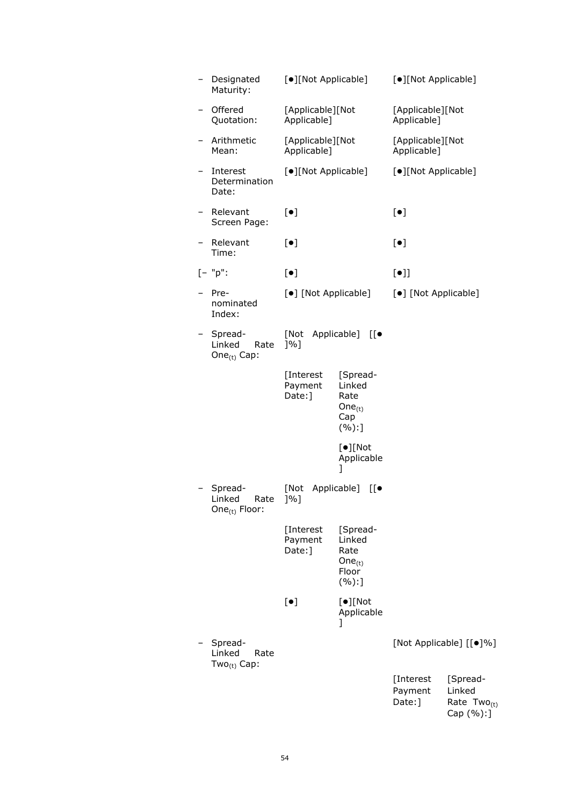| -                        | Designated<br>Maturity:                                | [•][Not Applicable]             |                                                              | [•][Not Applicable]             |                                                     |
|--------------------------|--------------------------------------------------------|---------------------------------|--------------------------------------------------------------|---------------------------------|-----------------------------------------------------|
|                          | Offered<br>Quotation:                                  | [Applicable][Not<br>Applicable] |                                                              | [Applicable][Not<br>Applicable] |                                                     |
|                          | Arithmetic<br>Mean:                                    | [Applicable][Not<br>Applicable] |                                                              | [Applicable][Not<br>Applicable] |                                                     |
|                          | Interest<br>Determination<br>Date:                     | [•][Not Applicable]             |                                                              | [·][Not Applicable]             |                                                     |
| $\overline{\phantom{0}}$ | Relevant<br>Screen Page:                               | $[\bullet]$                     |                                                              | $[\bullet]$                     |                                                     |
|                          | Relevant<br>Time:                                      | $[\bullet]$                     |                                                              | $[\bullet]$                     |                                                     |
|                          | $[- "p":$                                              | $\lbrack \bullet \rbrack$       |                                                              | $[\bullet]$                     |                                                     |
|                          | Pre-<br>nominated<br>Index:                            | [•] [Not Applicable]            |                                                              | [•] [Not Applicable]            |                                                     |
|                          | Spread-<br>Linked<br>Rate<br>One $_{(t)}$ Cap:         | [Not<br>$]$ %]                  | Applicable] [[ $\bullet$                                     |                                 |                                                     |
|                          |                                                        | [Interest<br>Payment<br>Date:]  | [Spread-<br>Linked<br>Rate<br>One $_{(t)}$<br>Cap<br>(%):]   |                                 |                                                     |
|                          |                                                        |                                 | $[•]$ [Not<br>Applicable<br>J                                |                                 |                                                     |
|                          | Spread-<br>Linked<br>Rate<br>One <sub>(t)</sub> Floor: | [Not<br>]%]                     | Applicable]<br>$[[\bullet$                                   |                                 |                                                     |
|                          |                                                        | [Interest<br>Payment<br>Date: ] | [Spread-<br>Linked<br>Rate<br>One $_{(t)}$<br>Floor<br>(%):] |                                 |                                                     |
|                          |                                                        | $\lbrack \bullet \rbrack$       | $[•]$ [Not<br>Applicable<br>I                                |                                 |                                                     |
|                          | Spread-<br>Linked<br>Rate<br>Two $_{(t)}$ Cap:         |                                 |                                                              |                                 | [Not Applicable] [[ $\bullet$ ]%]                   |
|                          |                                                        |                                 |                                                              | [Interest<br>Payment<br>Date:]  | [Spread-<br>Linked<br>Rate $Two_{(t)}$<br>Cap (%):] |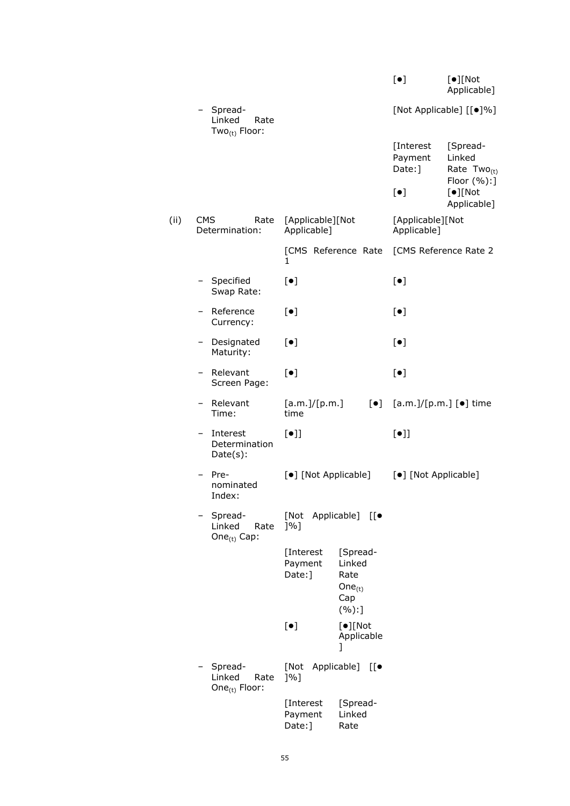| Spread-<br>[Not Applicable] [[ $\bullet$ ]%]<br>Linked<br>Rate<br>Two $_{(t)}$ Floor:<br>[Interest<br>Payment<br>Date:] | [Spread-<br>Linked<br>Rate $Two_{(t)}$<br>Floor $(\%):$<br>$[•]$ [Not<br>Applicable] |
|-------------------------------------------------------------------------------------------------------------------------|--------------------------------------------------------------------------------------|
|                                                                                                                         |                                                                                      |
|                                                                                                                         |                                                                                      |
| $[\bullet]$                                                                                                             |                                                                                      |
| (ii)<br><b>CMS</b><br>[Applicable][Not<br>[Applicable][Not<br>Rate<br>Applicable]<br>Applicable]<br>Determination:      |                                                                                      |
| [CMS Reference Rate<br>[CMS Reference Rate 2<br>1                                                                       |                                                                                      |
| - Specified<br>$[\bullet]$<br>$[\bullet]$<br>Swap Rate:                                                                 |                                                                                      |
| Reference<br>$[\bullet]$<br>$[\bullet]$<br>Currency:                                                                    |                                                                                      |
| $[\bullet]$<br>$[\bullet]$<br>Designated<br>Maturity:                                                                   |                                                                                      |
| $[\bullet]$<br>- Relevant<br>$[\bullet]$<br>Screen Page:                                                                |                                                                                      |
| Relevant<br>[a.m.]/[p.m.]<br>$[\bullet]$<br>$[a.m.]/[p.m.]$ $[•]$ time<br>Time:<br>time                                 |                                                                                      |
| $[\bullet]$<br>$[\bullet]$<br>Interest<br>Determination<br>$Date(s)$ :                                                  |                                                                                      |
| [•] [Not Applicable]<br>[•] [Not Applicable]<br>Pre-<br>nominated<br>Index:                                             |                                                                                      |
| Spread-<br>[Not<br>Applicable] [[ $\bullet$<br>Linked<br>[%]<br>Rate<br>One $_{(t)}$ Cap:                               |                                                                                      |
| [Interest<br>[Spread-<br>Payment<br>Linked<br>Date:]<br>Rate<br>One $_{(t)}$<br>Cap<br>(%):                             |                                                                                      |
| $\lceil \bullet \rceil$ Not<br>$[\bullet]$<br>Applicable<br>1                                                           |                                                                                      |
| Spread-<br>Applicable]<br>[Not<br>$[[\bullet$<br>Linked<br>[%]<br>Rate<br>One <sub>(t)</sub> Floor:                     |                                                                                      |
| [Spread-<br>[Interest<br>Linked<br>Payment<br>Date:]<br>Rate                                                            |                                                                                      |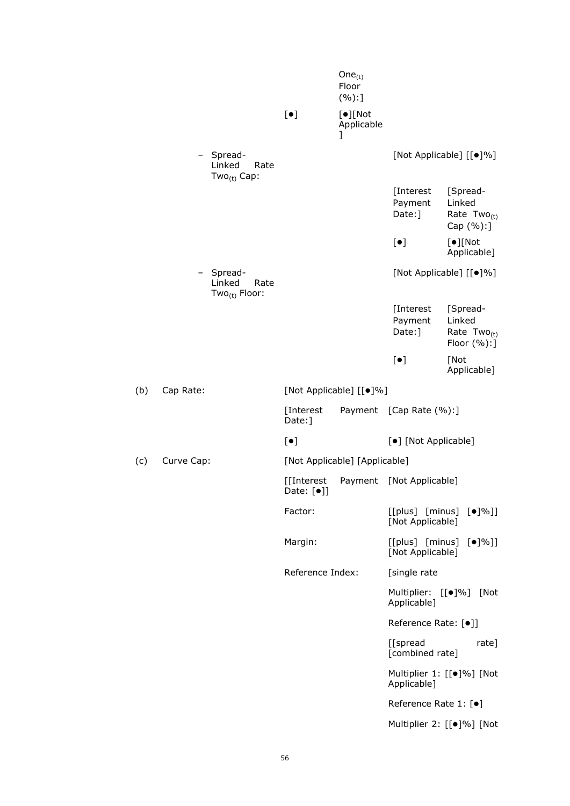|     |                                                        |                           | One $_{(t)}$<br>Floor<br>(%):]    |                                             |                                                       |
|-----|--------------------------------------------------------|---------------------------|-----------------------------------|---------------------------------------------|-------------------------------------------------------|
|     |                                                        | $[\bullet]$               | $[•]$ [Not<br>Applicable<br>]     |                                             |                                                       |
|     | Spread-<br>Linked<br>Rate<br>Two $_{(t)}$ Cap:         |                           |                                   |                                             | [Not Applicable] [[ $\bullet$ ]%]                     |
|     |                                                        |                           |                                   | [Interest<br>Payment<br>Date:]              | [Spread-<br>Linked<br>Rate $Two_{(t)}$<br>Cap (%):]   |
|     |                                                        |                           |                                   | $[\bullet]$                                 | $[•]$ [Not<br>Applicable]                             |
|     | Spread-<br>Linked<br>Rate<br>Two <sub>(t)</sub> Floor: |                           |                                   |                                             | [Not Applicable] [[ $\bullet$ ]%]                     |
|     |                                                        |                           |                                   | [Interest<br>Payment<br>Date:]              | [Spread-<br>Linked<br>Rate $Two_{(t)}$<br>Floor (%):] |
|     |                                                        |                           |                                   | $[\bullet]$                                 | [Not<br>Applicable]                                   |
| (b) | Cap Rate:                                              |                           | [Not Applicable] [[ $\bullet$ ]%] |                                             |                                                       |
|     |                                                        | [Interest<br>Date:]       |                                   | Payment [Cap Rate (%):]                     |                                                       |
|     |                                                        | $[\bullet]$               |                                   | [•] [Not Applicable]                        |                                                       |
| (c) | Curve Cap:                                             |                           | [Not Applicable] [Applicable]     |                                             |                                                       |
|     |                                                        | [[Interest<br>Date: $[•]$ |                                   | Payment [Not Applicable]                    |                                                       |
|     |                                                        | Factor:                   |                                   | [Not Applicable]                            | $[$ [plus] $[$ minus] $[$ $\bullet$ ]%]]              |
|     |                                                        | Margin:                   |                                   | [Not Applicable]                            | $[$ [plus] $[$ minus] $[$ $\bullet$ ]%]]              |
|     |                                                        | Reference Index:          |                                   | [single rate                                |                                                       |
|     |                                                        |                           |                                   | Multiplier: [[ $\bullet$ ]%]<br>Applicable] | [Not                                                  |
|     |                                                        |                           |                                   | Reference Rate: [ $\bullet$ ]]              |                                                       |
|     |                                                        |                           |                                   | [[spread<br>[combined rate]                 | rate]                                                 |
|     |                                                        |                           |                                   | Applicable]                                 | Multiplier 1: [[·]%] [Not                             |
|     |                                                        |                           |                                   | Reference Rate 1: [●]                       |                                                       |
|     |                                                        |                           |                                   |                                             | Multiplier 2: [[·]%] [Not                             |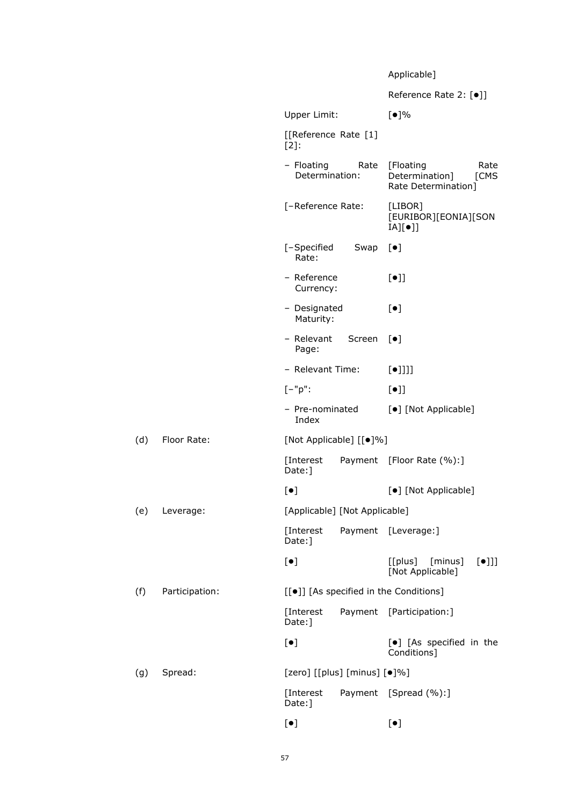# Applicable]

|     |                |                                   |        | Reference Rate 2: [●]]                                             |  |
|-----|----------------|-----------------------------------|--------|--------------------------------------------------------------------|--|
|     |                | Upper Limit:                      |        | [•]%                                                               |  |
|     |                | [[Reference Rate [1]<br>$[2]$ :   |        |                                                                    |  |
|     |                | - Floating<br>Determination:      | Rate   | [Floating<br>Rate<br>Determination]<br>[CMS<br>Rate Determination] |  |
|     |                | [-Reference Rate:                 |        | [LIBOR]<br>[EURIBOR][EONIA][SON<br>$[A][\bullet]]$                 |  |
|     |                | [-Specified<br>Rate:              | Swap   | $[\bullet]$                                                        |  |
|     |                | - Reference<br>Currency:          |        | $[\bullet]$                                                        |  |
|     |                | - Designated<br>Maturity:         |        | $\left[\bullet\right]$                                             |  |
|     |                | - Relevant<br>Page:               | Screen | $\lceil \bullet \rceil$                                            |  |
|     |                | - Relevant Time:                  |        | $[\bullet]$ ]]]                                                    |  |
|     |                | $[-"p":$                          |        | $[\bullet]$                                                        |  |
|     |                | - Pre-nominated<br>Index          |        | [•] [Not Applicable]                                               |  |
| (d) | Floor Rate:    | [Not Applicable] [[ $\bullet$ ]%] |        |                                                                    |  |
|     |                | [Interest<br>Date:]               |        | Payment [Floor Rate (%):]                                          |  |
|     |                | $[\bullet]$                       |        | [•] [Not Applicable]                                               |  |
| (e) | Leverage:      | [Applicable] [Not Applicable]     |        |                                                                    |  |
|     |                | [Interest<br>Date:]               |        | Payment [Leverage:]                                                |  |
|     |                | $[\bullet]$                       |        | $[$ [plus] $[$ minus]<br>$[\bullet]]]$<br>[Not Applicable]         |  |
| (f) | Participation: |                                   |        | [[ $\bullet$ ]] [As specified in the Conditions]                   |  |
|     |                | [Interest<br>Date: ]              |        | Payment [Participation:]                                           |  |
|     |                | $[\bullet]$                       |        | [·] [As specified in the<br>Conditions]                            |  |
| (g) | Spread:        | [zero] [[plus] [minus] $[•]%$ ]   |        |                                                                    |  |
|     |                | [Interest<br>Date:]               |        | Payment [Spread (%):]                                              |  |
|     |                | $\lbrack \bullet \rbrack$         |        | $\lbrack \bullet \rbrack$                                          |  |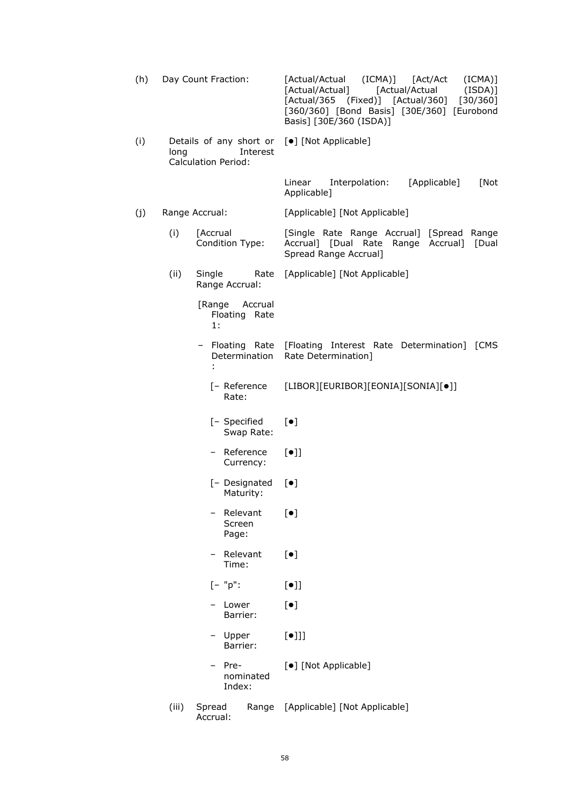| (h) | Day Count Fraction:                                                       |                                          | [Actual/Actual (ICMA)] [Act/Act<br>$(ICMA)$ ]<br>(ISDA)]<br>[Actual/Actual]<br>[Actual/Actual<br>[Actual/365 (Fixed)] [Actual/360] [30/360]<br>[360/360] [Bond Basis] [30E/360] [Eurobond<br>Basis] [30E/360 (ISDA)] |
|-----|---------------------------------------------------------------------------|------------------------------------------|----------------------------------------------------------------------------------------------------------------------------------------------------------------------------------------------------------------------|
| (i) | Details of any short or<br>long<br>Interest<br><b>Calculation Period:</b> |                                          | [•] [Not Applicable]                                                                                                                                                                                                 |
|     |                                                                           |                                          | [Applicable]<br>Linear<br>Interpolation:<br>[Not<br>Applicable]                                                                                                                                                      |
| (j) |                                                                           | Range Accrual:                           | [Applicable] [Not Applicable]                                                                                                                                                                                        |
|     | (i)                                                                       | [Accrual<br>Condition Type:              | [Single Rate Range Accrual] [Spread Range<br>Accrual] [Dual Rate Range<br>Accrual] [Dual<br>Spread Range Accrual]                                                                                                    |
|     | (ii)                                                                      | Single<br>Rate<br>Range Accrual:         | [Applicable] [Not Applicable]                                                                                                                                                                                        |
|     |                                                                           | [Range<br>Accrual<br>Floating Rate<br>1: |                                                                                                                                                                                                                      |
|     |                                                                           | - Floating Rate<br>Determination         | [Floating Interest Rate Determination] [CMS<br>Rate Determination]                                                                                                                                                   |
|     |                                                                           | [- Reference<br>Rate:                    | [LIBOR][EURIBOR][EONIA][SONIA][•]]                                                                                                                                                                                   |
|     |                                                                           | [- Specified<br>Swap Rate:               | $[\bullet]$                                                                                                                                                                                                          |
|     |                                                                           | Reference<br>Currency:                   | $[\bullet]$                                                                                                                                                                                                          |
|     |                                                                           | [- Designated<br>Maturity:               | $\lceil \bullet \rceil$                                                                                                                                                                                              |
|     |                                                                           | Relevant<br>Screen<br>Page:              | $[\bullet]$                                                                                                                                                                                                          |
|     |                                                                           | Relevant<br>$\qquad \qquad -$<br>Time:   | $[\bullet]$                                                                                                                                                                                                          |
|     |                                                                           | $[- "p":$                                | $[\bullet]$                                                                                                                                                                                                          |
|     |                                                                           | Lower<br>Barrier:                        | $[\bullet]$                                                                                                                                                                                                          |
|     |                                                                           | Upper<br>Barrier:                        | $[\bullet]$ ]]                                                                                                                                                                                                       |
|     |                                                                           | Pre-<br>nominated<br>Index:              | [•] [Not Applicable]                                                                                                                                                                                                 |
|     | (iii)                                                                     | Spread<br>Range<br>Accrual:              | [Applicable] [Not Applicable]                                                                                                                                                                                        |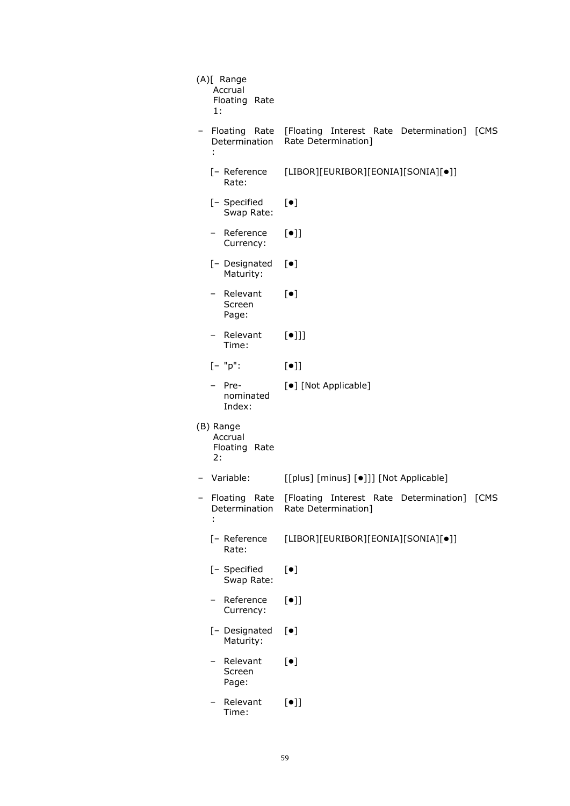| (A)[ Range<br>Accrual<br>Floating Rate<br>1:   |                                                                                |
|------------------------------------------------|--------------------------------------------------------------------------------|
| Floating Rate<br>Determination<br>÷            | [Floating Interest Rate Determination] [CMS<br>Rate Determination]             |
| [- Reference<br>Rate:                          | [LIBOR][EURIBOR][EONIA][SONIA][•]]                                             |
| [- Specified<br>Swap Rate:                     | $[\bullet]$                                                                    |
| Reference<br>Currency:                         | $[\bullet]$                                                                    |
| [- Designated<br>Maturity:                     | $[\bullet]$                                                                    |
| - Relevant<br>Screen<br>Page:                  | $\lbrack \bullet \rbrack$                                                      |
| - Relevant<br>Time:                            | $[\bullet]$ ]                                                                  |
| $[- "p":$                                      | $[\bullet]$                                                                    |
| Pre-<br>nominated<br>Index:                    | [•] [Not Applicable]                                                           |
| (B) Range<br>Accrual<br>Floating<br>Rate<br>2: |                                                                                |
| Variable:                                      | [[plus] [minus] [ $\bullet$ ]]] [Not Applicable]                               |
| Floating<br>Rate<br>Determination              | [CMS<br>[Floating<br>Interest<br>Rate<br>Determination]<br>Rate Determination] |
| [- Reference<br>Rate:                          | [LIBOR][EURIBOR][EONIA][SONIA][•]]                                             |
| [- Specified<br>Swap Rate:                     | $\left[\bullet\right]$                                                         |
| Reference<br>-<br>Currency:                    | $[\bullet]$                                                                    |
| [- Designated<br>Maturity:                     | $[\bullet]$                                                                    |
| Relevant<br>Screen<br>Page:                    | $\left[\bullet\right]$                                                         |
| Relevant<br>Time:                              | $[\bullet]$                                                                    |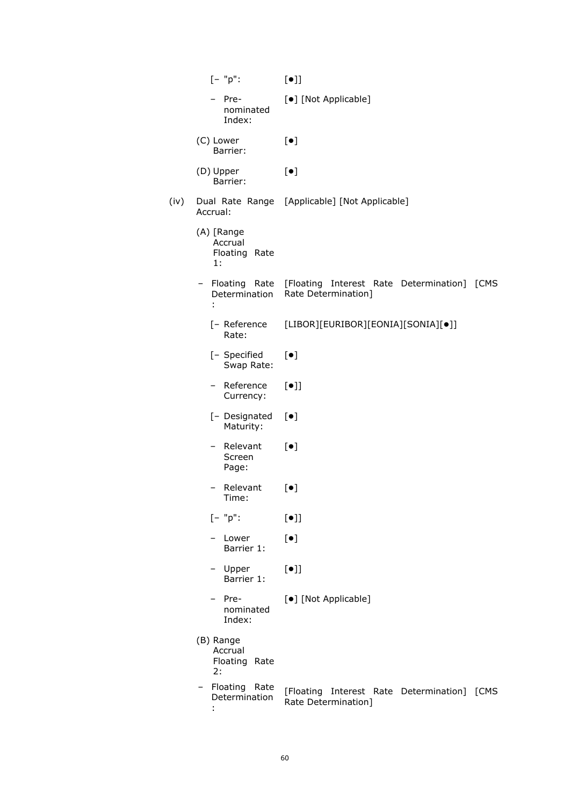|      | $[- "p":$                                    | $[\bullet]$                                                                           |
|------|----------------------------------------------|---------------------------------------------------------------------------------------|
|      | Pre-<br>nominated<br>Index:                  | [•] [Not Applicable]                                                                  |
|      | (C) Lower<br>Barrier:                        | $[\bullet]$                                                                           |
|      | (D) Upper<br>Barrier:                        | $[\bullet]$                                                                           |
| (iv) | Accrual:                                     | Dual Rate Range [Applicable] [Not Applicable]                                         |
|      | (A) [Range<br>Accrual<br>Floating Rate<br>1: |                                                                                       |
|      | Determination<br>÷                           | - Floating Rate [Floating Interest Rate Determination]<br>[CMS<br>Rate Determination] |
|      | [- Reference<br>Rate:                        | [LIBOR][EURIBOR][EONIA][SONIA][•]]                                                    |
|      | [- Specified<br>Swap Rate:                   | $[\bullet]$                                                                           |
|      | - Reference<br>Currency:                     | $[\bullet]$                                                                           |
|      | [- Designated<br>Maturity:                   | $[\bullet]$                                                                           |
|      | - Relevant<br>Screen<br>Page:                | $\lbrack \bullet \rbrack$                                                             |
|      | Relevant<br>Time:                            | $\lbrack \bullet \rbrack$                                                             |
|      | $[- "p":$                                    | $[\bullet]$                                                                           |
|      | – Lower<br>Barrier 1:                        | $[\bullet]$                                                                           |
|      | - Upper<br>Barrier 1:                        | $[\bullet]$                                                                           |
|      | - Pre-<br>nominated<br>Index:                | [•] [Not Applicable]                                                                  |
|      | (B) Range<br>Accrual<br>Floating Rate<br>2:  |                                                                                       |
|      | Floating Rate<br>Determination               | [Floating Interest Rate Determination]<br>[CMS<br>Rate Determination]                 |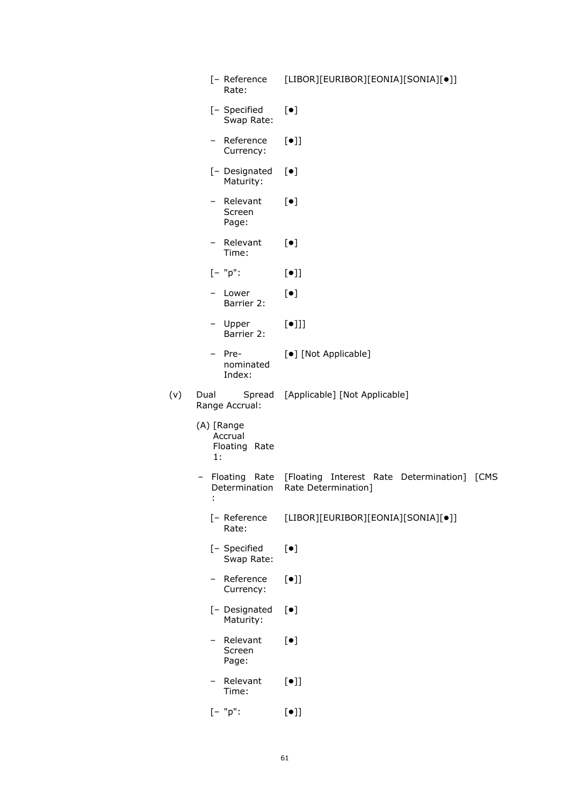|     | [- Reference<br>Rate:                        | [LIBOR][EURIBOR][EONIA][SONIA][•]]                                 |
|-----|----------------------------------------------|--------------------------------------------------------------------|
|     | [- Specified<br>Swap Rate:                   | $[\bullet]$                                                        |
|     | - Reference<br>Currency:                     | $[\bullet]$                                                        |
|     | [- Designated<br>Maturity:                   | $[\bullet]$                                                        |
|     | - Relevant<br>Screen<br>Page:                | $[\bullet]$                                                        |
|     | - Relevant<br>Time:                          | $[\bullet]$                                                        |
|     | $[- "p":$                                    | $[\bullet]$                                                        |
|     | – Lower<br>Barrier 2:                        | $[\bullet]$                                                        |
|     | - Upper<br>Barrier 2:                        | $[\bullet]$ ]                                                      |
|     | - Pre-<br>nominated<br>Index:                | [•] [Not Applicable]                                               |
| (v) | Dual<br>Spread<br>Range Accrual:             | [Applicable] [Not Applicable]                                      |
|     | (A) [Range<br>Accrual<br>Floating Rate<br>1: |                                                                    |
|     | - Floating Rate<br>Determination<br>÷        | [Floating Interest Rate Determination] [CMS<br>Rate Determination] |
|     | [- Reference<br>Rate:                        | [LIBOR][EURIBOR][EONIA][SONIA][•]]                                 |
|     | [- Specified<br>Swap Rate:                   | $[\bullet]$                                                        |
|     | - Reference<br>Currency:                     | $[\bullet]$                                                        |
|     | [- Designated<br>Maturity:                   | $[\bullet]$                                                        |
|     | - Relevant<br>Screen<br>Page:                | $[\bullet]$                                                        |
|     | Relevant<br>$-$<br>Time:                     | $[\bullet]$                                                        |
|     | $[- "p":$                                    | $[\bullet]$                                                        |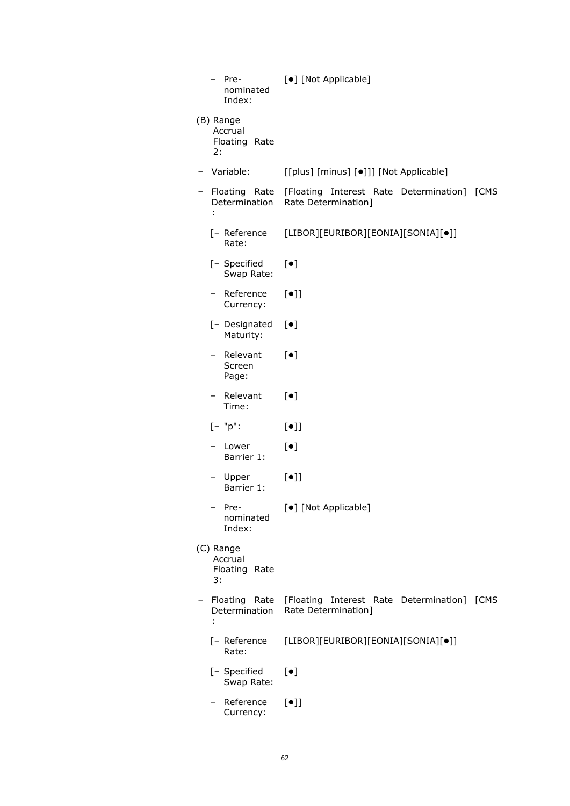| Pre-<br>nominated<br>Index:                         | [•] [Not Applicable]                                                   |  |
|-----------------------------------------------------|------------------------------------------------------------------------|--|
| (B) Range<br>Accrual<br>Floating Rate<br>2:         |                                                                        |  |
| Variable:<br>[[plus] [minus] [.]]] [Not Applicable] |                                                                        |  |
| Floating Rate<br>Determination<br>÷                 | [Floating Interest Rate Determination]<br>[CMS<br>Rate Determination]  |  |
| [- Reference<br>Rate:                               | [LIBOR][EURIBOR][EONIA][SONIA][•]]                                     |  |
| [- Specified<br>Swap Rate:                          | $[\bullet]$                                                            |  |
| Reference<br>$\qquad \qquad -$<br>Currency:         | [•]                                                                    |  |
| [- Designated<br>Maturity:                          | $[\bullet]$                                                            |  |
| Relevant<br>Screen<br>Page:                         | $[\bullet]$                                                            |  |
| Relevant<br>Time:                                   | $\lbrack \bullet \rbrack$                                              |  |
| $[- "p":$                                           | $[\bullet]$                                                            |  |
| Lower<br>Barrier 1:                                 | $\lceil \bullet \rceil$                                                |  |
| Upper<br>Barrier 1:                                 | $[\bullet]$                                                            |  |
| Pre-<br>nominated<br>Index:                         | [·] [Not Applicable]                                                   |  |
| (C) Range<br>Accrual<br>Floating<br>Rate<br>3:      |                                                                        |  |
| Floating<br>Rate<br>Determination<br>÷              | [Floating Interest Rate Determination]<br>[CMS]<br>Rate Determination] |  |
| [- Reference<br>Rate:                               | [LIBOR][EURIBOR][EONIA][SONIA][•]]                                     |  |
| [- Specified<br>Swap Rate:                          | $[\bullet]$                                                            |  |
| Reference<br>Currency:                              | $[\bullet]$                                                            |  |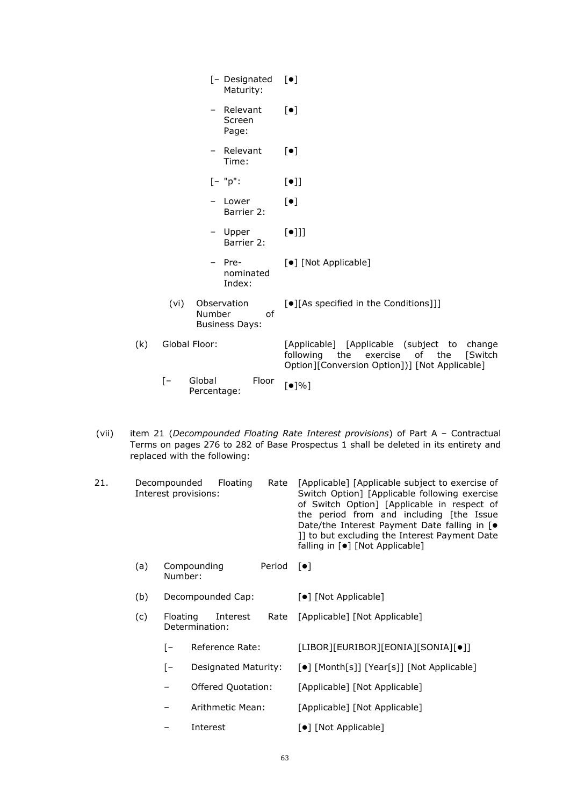| [- Designated<br>Maturity:                             | $\lceil \bullet \rceil$                                                                                                                     |
|--------------------------------------------------------|---------------------------------------------------------------------------------------------------------------------------------------------|
| - Relevant<br>Screen<br>Page:                          | $[\bullet]$                                                                                                                                 |
| Relevant<br>Ξ.<br>Time:                                | $[\bullet]$                                                                                                                                 |
| $[- "p":$                                              | $[\bullet]$                                                                                                                                 |
| Lower<br>$\overline{\phantom{0}}$<br>Barrier 2:        | $\lceil \bullet \rceil$                                                                                                                     |
| - Upper<br>Barrier 2:                                  | $[\bullet]]]$                                                                                                                               |
| - Pre-<br>nominated<br>Index:                          | [•] [Not Applicable]                                                                                                                        |
| Observation<br>(vi)<br>Number<br><b>Business Days:</b> | [●][As specified in the Conditions]]]<br>of                                                                                                 |
| Global Floor:<br>(k)                                   | [Applicable] [Applicable (subject to<br>change<br>following the exercise of the<br>[Switch<br>Option][Conversion Option])] [Not Applicable] |
| Global<br>$\mathsf{I}$<br>Percentage:                  | Floor<br>[•]%                                                                                                                               |

(vii) item 21 (*Decompounded Floating Rate Interest provisions*) of Part A – Contractual Terms on pages 276 to 282 of Base Prospectus 1 shall be deleted in its entirety and replaced with the following:

| 21. |     | Rate<br>Decompounded<br>Floating<br>Interest provisions: | [Applicable] [Applicable subject to exercise of<br>Switch Option] [Applicable following exercise<br>of Switch Option] [Applicable in respect of<br>the period from and including [the Issue<br>Date/the Interest Payment Date falling in [ $\bullet$<br>11 to but excluding the Interest Payment Date<br>falling in [●] [Not Applicable] |
|-----|-----|----------------------------------------------------------|------------------------------------------------------------------------------------------------------------------------------------------------------------------------------------------------------------------------------------------------------------------------------------------------------------------------------------------|
|     | (a) | Compounding<br>Period<br>Number:                         | $\lceil \bullet \rceil$                                                                                                                                                                                                                                                                                                                  |
|     | (b) | Decompounded Cap:                                        | [•] [Not Applicable]                                                                                                                                                                                                                                                                                                                     |
|     | (c) | Floating<br>Interest<br>Rate<br>Determination:           | [Applicable] [Not Applicable]                                                                                                                                                                                                                                                                                                            |
|     |     | Reference Rate:<br>[ –                                   | [LIBOR][EURIBOR][EONIA][SONIA][•]]                                                                                                                                                                                                                                                                                                       |
|     |     | Designated Maturity:<br>[-                               | [•] [Month[s]] [Year[s]] [Not Applicable]                                                                                                                                                                                                                                                                                                |
|     |     | Offered Quotation:                                       | [Applicable] [Not Applicable]                                                                                                                                                                                                                                                                                                            |
|     |     | Arithmetic Mean:                                         | [Applicable] [Not Applicable]                                                                                                                                                                                                                                                                                                            |
|     |     | Interest                                                 | [●] [Not Applicable]                                                                                                                                                                                                                                                                                                                     |
|     |     |                                                          |                                                                                                                                                                                                                                                                                                                                          |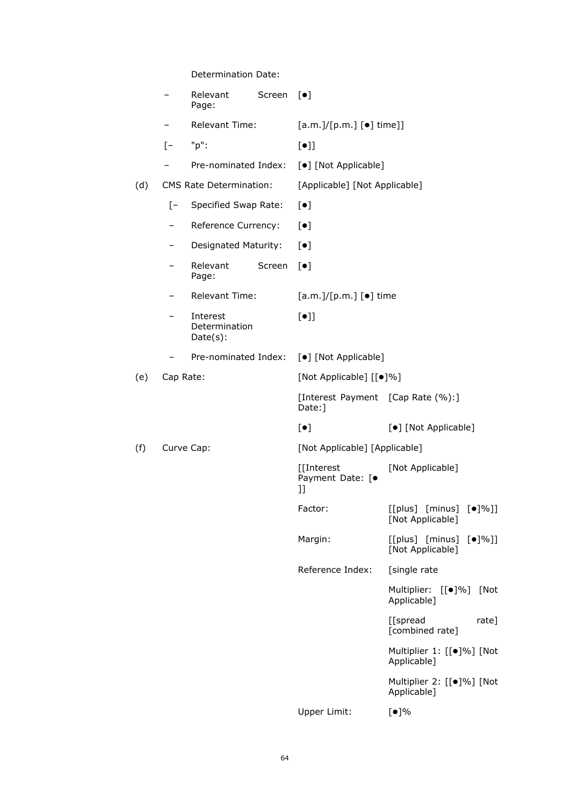Determination Date:

|     |                   | Relevant<br>Page:                        | Screen                            | $\lceil \bullet \rceil$                       |                                                              |  |
|-----|-------------------|------------------------------------------|-----------------------------------|-----------------------------------------------|--------------------------------------------------------------|--|
|     | -                 | Relevant Time:                           |                                   | $[a.m.]/[p.m.]$ $[•]$ time]]                  |                                                              |  |
|     | $[-]$             | "p":                                     |                                   | $[\bullet]$                                   |                                                              |  |
|     |                   | Pre-nominated Index:                     |                                   | [ $\bullet$ ] [Not Applicable]                |                                                              |  |
| (d) |                   | <b>CMS Rate Determination:</b>           |                                   | [Applicable] [Not Applicable]                 |                                                              |  |
|     | $\lceil - \rceil$ | Specified Swap Rate:                     |                                   | $[\bullet]$                                   |                                                              |  |
|     | —                 | Reference Currency:                      |                                   | $[\bullet]$                                   |                                                              |  |
|     | -                 | Designated Maturity:                     |                                   | $[\bullet]$                                   |                                                              |  |
|     | <sup>-</sup>      | Relevant<br>Page:                        | Screen                            | $[\bullet]$                                   |                                                              |  |
|     | -                 | <b>Relevant Time:</b>                    |                                   | $[a.m.]/[p.m.]$ $[•]$ time                    |                                                              |  |
|     |                   | Interest<br>Determination<br>$Date(s)$ : |                                   | $[\bullet]$                                   |                                                              |  |
|     |                   | Pre-nominated Index:                     |                                   | [•] [Not Applicable]                          |                                                              |  |
| (e) | Cap Rate:         |                                          | [Not Applicable] [[ $\bullet$ ]%] |                                               |                                                              |  |
|     |                   |                                          |                                   | [Interest Payment [Cap Rate (%):]<br>Date:]   |                                                              |  |
|     |                   |                                          |                                   | $[\bullet]$                                   | [ $\bullet$ ] [Not Applicable]                               |  |
| (f) |                   | Curve Cap:                               |                                   | [Not Applicable] [Applicable]                 |                                                              |  |
|     |                   |                                          |                                   | [[Interest<br>Payment Date: [ $\bullet$<br>ננ | [Not Applicable]                                             |  |
|     |                   |                                          |                                   | Factor:                                       | $[$ [plus] $[$ minus] $[$ $\bullet$ ]%]]<br>[Not Applicable] |  |
|     |                   |                                          |                                   | Margin:                                       | $[$ [plus] $[$ minus] $[$ $\bullet$ ]%]]<br>[Not Applicable] |  |
|     |                   |                                          |                                   | Reference Index:                              | [single rate                                                 |  |
|     |                   |                                          |                                   |                                               | Multiplier: [[ $\bullet$ ]%]<br>[Not<br>Applicable]          |  |
|     |                   |                                          |                                   |                                               | [[spread<br>$rate$ ]<br>[combined rate]                      |  |
|     |                   |                                          |                                   |                                               | Multiplier 1: [[·]%] [Not<br>Applicable]                     |  |
|     |                   |                                          |                                   |                                               | Multiplier 2: [[·]%] [Not<br>Applicable]                     |  |
|     |                   |                                          |                                   | Upper Limit:                                  | [•]%                                                         |  |
|     |                   |                                          |                                   |                                               |                                                              |  |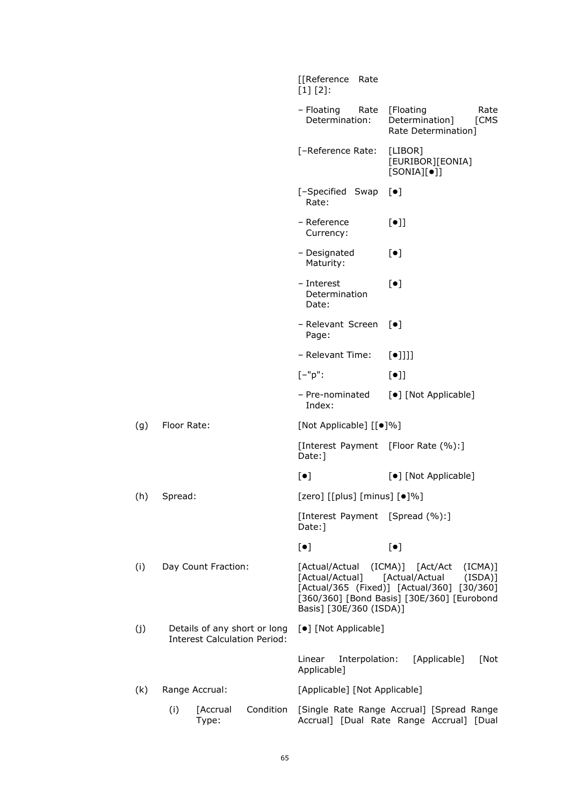|     |                                                                     | [[Reference<br>Rate<br>$[1] [2]$ :                         |                                                                                                                                               |
|-----|---------------------------------------------------------------------|------------------------------------------------------------|-----------------------------------------------------------------------------------------------------------------------------------------------|
|     |                                                                     | - Floating<br>Rate<br>Determination:                       | [Floating<br>Rate<br>[CMS<br>Determination]<br>Rate Determination]                                                                            |
|     |                                                                     | [-Reference Rate:                                          | [LIBOR]<br>[EURIBOR][EONIA]<br>$[SONIA][\bullet]]$                                                                                            |
|     |                                                                     | [-Specified Swap<br>Rate:                                  | $\lceil \bullet \rceil$                                                                                                                       |
|     |                                                                     | - Reference<br>Currency:                                   | $[\bullet]$                                                                                                                                   |
|     |                                                                     | - Designated<br>Maturity:                                  | $[\bullet]$                                                                                                                                   |
|     |                                                                     | - Interest<br>Determination<br>Date:                       | $[\bullet]$                                                                                                                                   |
|     |                                                                     | - Relevant Screen<br>Page:                                 | $\lceil \bullet \rceil$                                                                                                                       |
|     |                                                                     | - Relevant Time:                                           | $[\bullet]$ ]]]                                                                                                                               |
|     |                                                                     | $[-"p":$                                                   | $[\bullet]$                                                                                                                                   |
|     |                                                                     | - Pre-nominated<br>Index:                                  | [•] [Not Applicable]                                                                                                                          |
| (g) | Floor Rate:                                                         | [Not Applicable] [[ $\bullet$ ]%]                          |                                                                                                                                               |
|     |                                                                     | [Interest Payment [Floor Rate (%):]<br>Date: ]             |                                                                                                                                               |
|     |                                                                     | $[\bullet]$                                                | [•] [Not Applicable]                                                                                                                          |
| (h) | Spread:                                                             | [zero] [[plus] [minus] [ $\bullet$ ]%]                     |                                                                                                                                               |
|     |                                                                     | [Interest Payment [Spread (%):]<br>Date: ]                 |                                                                                                                                               |
|     |                                                                     | $[\bullet]$                                                | $\left[\bullet\right]$                                                                                                                        |
| (i) | Day Count Fraction:                                                 | [Actual/Actual (ICMA)] [Act/Act<br>Basis] [30E/360 (ISDA)] | (ICMA)]<br>[Actual/Actual] [Actual/Actual (ISDA)]<br>[Actual/365 (Fixed)] [Actual/360] [30/360]<br>[360/360] [Bond Basis] [30E/360] [Eurobond |
| (j) | Details of any short or long<br><b>Interest Calculation Period:</b> | [•] [Not Applicable]                                       |                                                                                                                                               |
|     |                                                                     | Linear<br>Interpolation:<br>Applicable]                    | [Applicable]<br>[Not                                                                                                                          |
| (k) | Range Accrual:                                                      | [Applicable] [Not Applicable]                              |                                                                                                                                               |
|     | (i)<br>Condition<br>[Accrual<br>Type:                               |                                                            | [Single Rate Range Accrual] [Spread Range<br>Accrual] [Dual Rate Range Accrual] [Dual                                                         |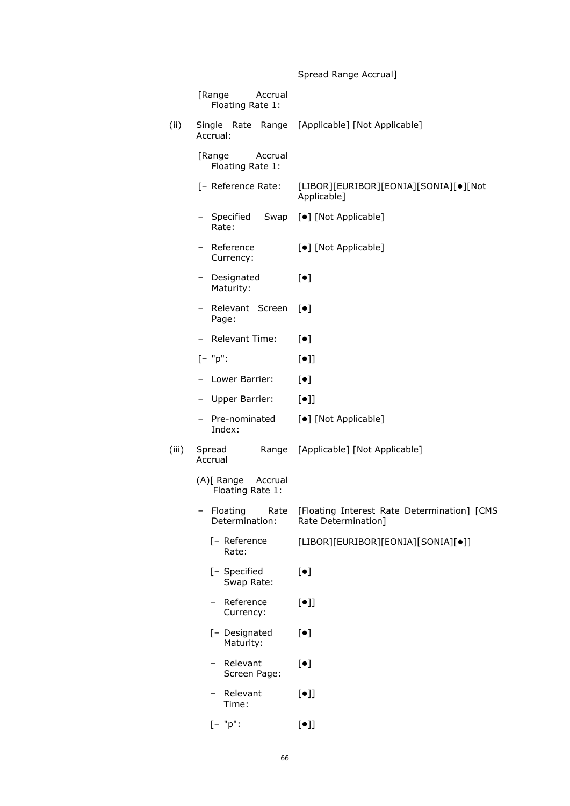# Spread Range Accrual]

|       | [Range<br>Accrual<br>Floating Rate 1:     |                                                                    |
|-------|-------------------------------------------|--------------------------------------------------------------------|
| (ii)  | Accrual:                                  | Single Rate Range [Applicable] [Not Applicable]                    |
|       | [Range<br>Accrual<br>Floating Rate 1:     |                                                                    |
|       | [- Reference Rate:                        | [LIBOR][EURIBOR][EONIA][SONIA][ $\bullet$ ][Not<br>Applicable]     |
|       | – Specified<br>Rate:                      | Swap [ $\bullet$ ] [Not Applicable]                                |
|       | Reference<br>Currency:                    | [•] [Not Applicable]                                               |
|       | Designated<br>-<br>Maturity:              | $\lceil \bullet \rceil$                                            |
|       | - Relevant Screen<br>Page:                | $[\bullet]$                                                        |
|       | <b>Relevant Time:</b>                     | $\lbrack \bullet \rbrack$                                          |
|       | $[- "p":$                                 | $[\bullet]$                                                        |
|       | Lower Barrier:                            | $[\bullet]$                                                        |
|       | Upper Barrier:<br>Ξ.                      | $[\bullet]$                                                        |
|       | Pre-nominated<br>Index:                   | [•] [Not Applicable]                                               |
| (iii) | Spread<br>Range<br>Accrual                | [Applicable] [Not Applicable]                                      |
|       | (A)[ Range<br>Accrual<br>Floating Rate 1: |                                                                    |
|       | Floating<br>Rate<br>-<br>Determination:   | [Floating Interest Rate Determination] [CMS<br>Rate Determination] |
|       | [- Reference<br>Rate:                     | [LIBOR][EURIBOR][EONIA][SONIA][•]]                                 |
|       | [- Specified<br>Swap Rate:                | $[\bullet]$                                                        |
|       | - Reference<br>Currency:                  | $[\bullet]$                                                        |
|       | [- Designated<br>Maturity:                | $[\bullet]$                                                        |
|       | Relevant<br>Screen Page:                  | $[\bullet]$                                                        |
|       | Relevant<br>Time:                         | $[\bullet] \rbrack$                                                |
|       | $[- "p":$                                 | $[\bullet]$                                                        |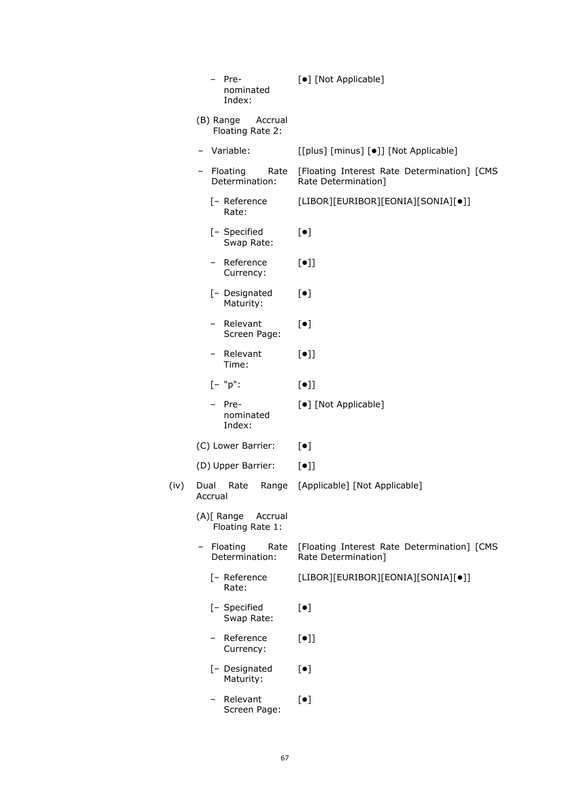| -Pre<br>Ξ.<br>nominated<br>Index:             | [•] [Not Applicable]                                               |
|-----------------------------------------------|--------------------------------------------------------------------|
| (B) Range<br>Accrual<br>Floating Rate 2:      |                                                                    |
| Variable:                                     | [[plus] [minus] [ $\bullet$ ]] [Not Applicable]                    |
| - Floating<br>Rate<br>Determination:          | [Floating Interest Rate Determination] [CMS<br>Rate Determination] |
| [- Reference<br>Rate:                         | [LIBOR][EURIBOR][EONIA][SONIA][•]]                                 |
| [- Specified<br>Swap Rate:                    | $[\bullet]$                                                        |
| - Reference<br>Currency:                      | $[\bullet]$                                                        |
| [- Designated<br>Maturity:                    | $[\bullet]$                                                        |
| Relevant<br>$\qquad \qquad -$<br>Screen Page: | $[\bullet]$                                                        |
| - Relevant<br>Time:                           | $[\bullet]$                                                        |
| $[- "p":$                                     | $[\bullet]$                                                        |
| Pre-<br>nominated<br>Index:                   | [•] [Not Applicable]                                               |
| (C) Lower Barrier:                            | $[\bullet]$                                                        |
|                                               |                                                                    |
| (D) Upper Barrier:                            | $[\bullet]$                                                        |
| Dual<br>Rate<br>Range<br>Accrual              | [Applicable] [Not Applicable]                                      |
| (A)[ Range Accrual<br>Floating Rate 1:        |                                                                    |
| - Floating<br>Rate<br>Determination:          | [Floating Interest Rate Determination] [CMS<br>Rate Determination] |
| [- Reference<br>Rate:                         | [LIBOR][EURIBOR][EONIA][SONIA][•]]                                 |
| [- Specified<br>Swap Rate:                    | $[\bullet]$                                                        |
| Reference<br>Currency:                        | $[\bullet]$                                                        |
| [- Designated<br>Maturity:                    | $[\bullet]$                                                        |

 $(iv)$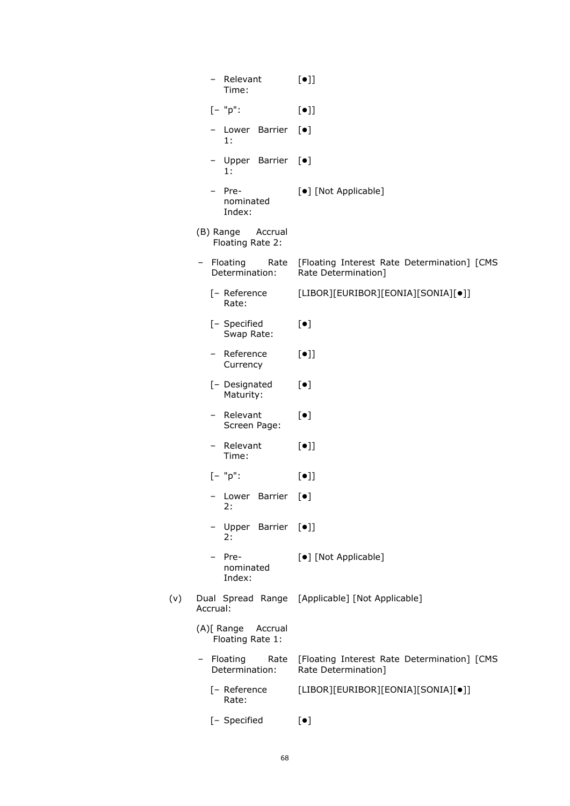| Relevant<br>Time:                         | $[\bullet]$                                                        |
|-------------------------------------------|--------------------------------------------------------------------|
| $[- "p":$                                 | $[\bullet]$                                                        |
| - Lower Barrier<br>1:                     | $[\bullet]$                                                        |
| - Upper Barrier<br>1:                     | $[\bullet]$                                                        |
| - Pre-<br>nominated<br>Index:             | [•] [Not Applicable]                                               |
| (B) Range<br>Accrual<br>Floating Rate 2:  |                                                                    |
| Floating<br>Rate<br>$-$<br>Determination: | [Floating Interest Rate Determination] [CMS<br>Rate Determination] |
| [- Reference<br>Rate:                     | [LIBOR][EURIBOR][EONIA][SONIA][•]]                                 |
| [- Specified<br>Swap Rate:                | $[\bullet]$                                                        |
| Reference<br>Currency                     | $[\bullet]$                                                        |
| [- Designated<br>Maturity:                | $[\bullet]$                                                        |
| - Relevant<br>Screen Page:                | $[\bullet]$                                                        |
| Relevant<br>Time:                         | $[\bullet]$                                                        |
| $[- "p":$                                 | $\lbrack \bullet \rbrack \rbrack$                                  |
| Barrier<br>Lower<br>2:                    | $\lceil \bullet \rceil$                                            |
| Upper Barrier [.]<br>2:                   |                                                                    |
| Pre-<br>nominated<br>Index:               | [ $\bullet$ ] [Not Applicable]                                     |
| Accrual:                                  | Dual Spread Range [Applicable] [Not Applicable]                    |
| (A)[ Range Accrual<br>Floating Rate 1:    |                                                                    |
| Floating<br>Rate<br>Determination:        | [Floating Interest Rate Determination] [CMS<br>Rate Determination] |
| [- Reference<br>Rate:                     | [LIBOR][EURIBOR][EONIA][SONIA][•]]                                 |
| [- Specified                              | $[\bullet]$                                                        |

 $(v)$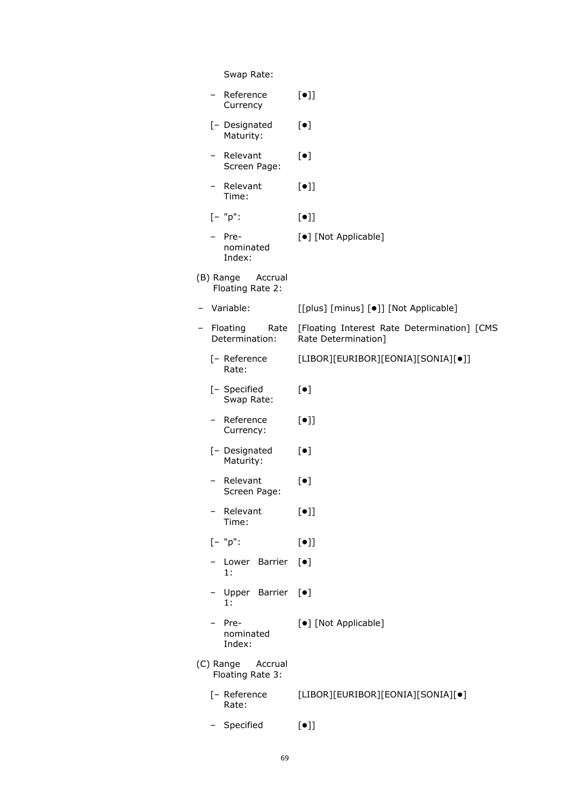|   | Swap Rate:                               |                                                                    |
|---|------------------------------------------|--------------------------------------------------------------------|
|   | Reference<br>Currency                    | $[\bullet]$                                                        |
|   | [- Designated<br>Maturity:               | $[\bullet]$                                                        |
|   | Relevant<br>Screen Page:                 | $[\bullet]$                                                        |
|   | Relevant<br>Time:                        | $[\bullet]$                                                        |
|   | $[- "p":$                                | $[\bullet]$                                                        |
|   | Pre-<br>nominated<br>Index:              | [•] [Not Applicable]                                               |
|   | (B) Range Accrual<br>Floating Rate 2:    |                                                                    |
| - | Variable:                                | [[plus] [minus] [•]] [Not Applicable]                              |
|   | Floating<br>Rate<br>Determination:       | [Floating Interest Rate Determination] [CMS<br>Rate Determination] |
|   | [- Reference<br>Rate:                    | [LIBOR][EURIBOR][EONIA][SONIA][•]]                                 |
|   | [- Specified<br>Swap Rate:               | $[\bullet]$                                                        |
|   | Reference<br>Currency:                   | $[\bullet]$                                                        |
|   | [- Designated<br>Maturity:               | $[\bullet]$                                                        |
|   | Relevant<br>Screen Page:                 | $[\bullet]$                                                        |
|   | Relevant<br>Time:                        | $[\bullet]$                                                        |
|   | $[- "p":$                                | $[\bullet]$                                                        |
|   | Lower Barrier<br>1:                      | $[\bullet]$                                                        |
|   | Upper Barrier [ $\bullet$ ]<br>$1$ .     |                                                                    |
|   | Pre-<br>nominated<br>Index:              | [•] [Not Applicable]                                               |
|   | (C) Range<br>Accrual<br>Floating Rate 3: |                                                                    |
|   | [- Reference<br>Rate:                    | [LIBOR][EURIBOR][EONIA][SONIA][•]                                  |
|   | Specified                                | $[\bullet]$                                                        |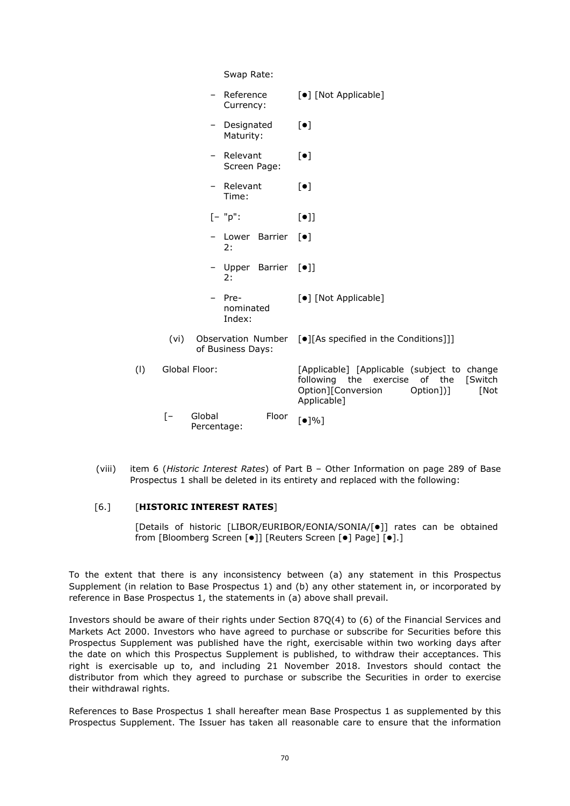| Swap Rate: |                           |                          |                               |                                                          |                                                                                                                                                   |
|------------|---------------------------|--------------------------|-------------------------------|----------------------------------------------------------|---------------------------------------------------------------------------------------------------------------------------------------------------|
|            |                           | $\overline{\phantom{0}}$ | Reference<br>Currency:        |                                                          | [•] [Not Applicable]                                                                                                                              |
|            |                           | -                        | Designated<br>Maturity:       |                                                          | $[\bullet]$                                                                                                                                       |
|            |                           | $\overline{\phantom{0}}$ | Relevant<br>Screen Page:      |                                                          | $\lceil \bullet \rceil$                                                                                                                           |
|            |                           | -                        | Relevant<br>Time:             |                                                          | $[\bullet]$                                                                                                                                       |
|            |                           |                          | $[- "p":$                     |                                                          | $[\bullet]$                                                                                                                                       |
|            |                           |                          | - Lower Barrier<br>2:         |                                                          | $\lceil \bullet \rceil$                                                                                                                           |
|            |                           |                          | - Upper Barrier<br>2:         |                                                          | $[\bullet]$                                                                                                                                       |
|            |                           |                          | - Pre-<br>nominated<br>Index: |                                                          | [•] [Not Applicable]                                                                                                                              |
|            | (vi)<br>of Business Days: |                          |                               | Observation Number [.][As specified in the Conditions]]] |                                                                                                                                                   |
| (1)        |                           | Global Floor:            |                               |                                                          | [Applicable] [Applicable (subject to change<br>following the exercise of the<br>[Switch<br>Option][Conversion<br>Option])]<br>[Not<br>Applicable] |
|            | $[-]$                     | Global<br>Percentage:    |                               | Floor                                                    | $\lceil \bullet \rceil\% \rceil$                                                                                                                  |
|            |                           |                          |                               |                                                          |                                                                                                                                                   |

(viii) item 6 (*Historic Interest Rates*) of Part B – Other Information on page 289 of Base Prospectus 1 shall be deleted in its entirety and replaced with the following:

## [6.] [**HISTORIC INTEREST RATES**]

[Details of historic [LIBOR/EURIBOR/EONIA/SONIA/[ $\bullet$ ]] rates can be obtained from [Bloomberg Screen [ $\bullet$ ]] [Reuters Screen [ $\bullet$ ] Page] [ $\bullet$ ].]

To the extent that there is any inconsistency between (a) any statement in this Prospectus Supplement (in relation to Base Prospectus 1) and (b) any other statement in, or incorporated by reference in Base Prospectus 1, the statements in (a) above shall prevail.

Investors should be aware of their rights under Section 87Q(4) to (6) of the Financial Services and Markets Act 2000. Investors who have agreed to purchase or subscribe for Securities before this Prospectus Supplement was published have the right, exercisable within two working days after the date on which this Prospectus Supplement is published, to withdraw their acceptances. This right is exercisable up to, and including 21 November 2018. Investors should contact the distributor from which they agreed to purchase or subscribe the Securities in order to exercise their withdrawal rights.

References to Base Prospectus 1 shall hereafter mean Base Prospectus 1 as supplemented by this Prospectus Supplement. The Issuer has taken all reasonable care to ensure that the information